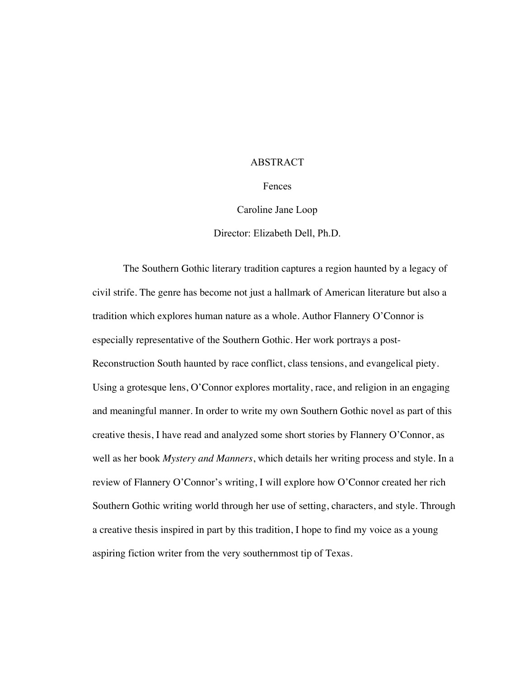#### ABSTRACT

Fences

Caroline Jane Loop

Director: Elizabeth Dell, Ph.D.

The Southern Gothic literary tradition captures a region haunted by a legacy of civil strife. The genre has become not just a hallmark of American literature but also a tradition which explores human nature as a whole. Author Flannery O'Connor is especially representative of the Southern Gothic. Her work portrays a post-Reconstruction South haunted by race conflict, class tensions, and evangelical piety. Using a grotesque lens, O'Connor explores mortality, race, and religion in an engaging and meaningful manner. In order to write my own Southern Gothic novel as part of this creative thesis, I have read and analyzed some short stories by Flannery O'Connor, as well as her book *Mystery and Manners*, which details her writing process and style. In a review of Flannery O'Connor's writing, I will explore how O'Connor created her rich Southern Gothic writing world through her use of setting, characters, and style. Through a creative thesis inspired in part by this tradition, I hope to find my voice as a young aspiring fiction writer from the very southernmost tip of Texas.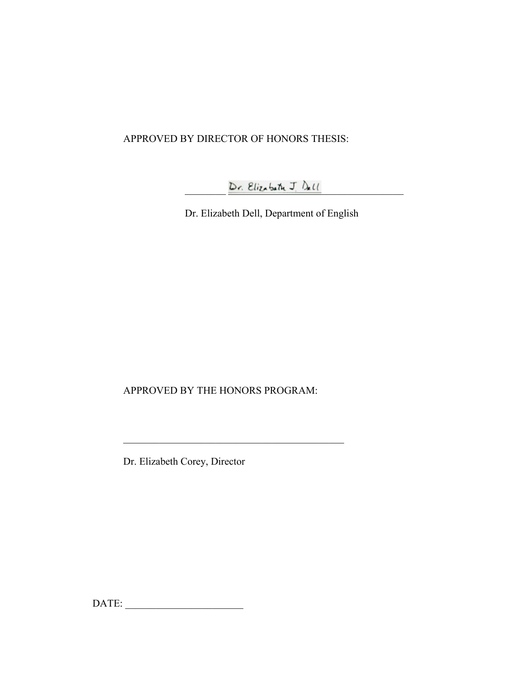# APPROVED BY DIRECTOR OF HONORS THESIS:

 $D$ r. Elizabeth J.  $D$ ell

Dr. Elizabeth Dell, Department of English

APPROVED BY THE HONORS PROGRAM:

Dr. Elizabeth Corey, Director

DATE: \_\_\_\_\_\_\_\_\_\_\_\_\_\_\_\_\_\_\_\_\_\_\_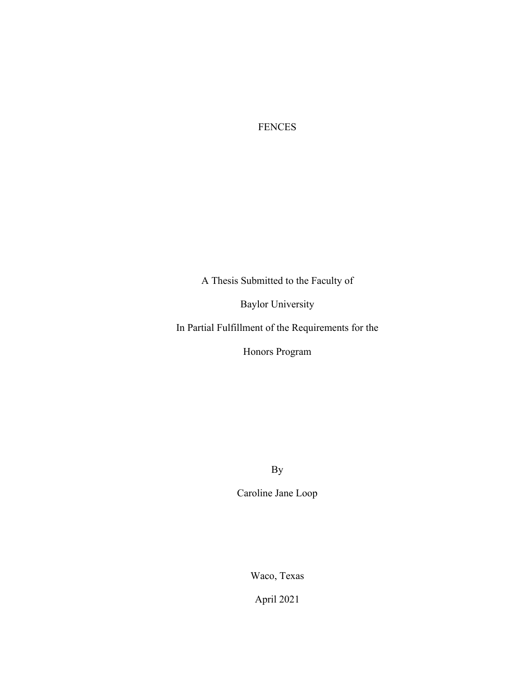FENCES

A Thesis Submitted to the Faculty of

Baylor University

In Partial Fulfillment of the Requirements for the

Honors Program

By

Caroline Jane Loop

Waco, Texas

April 2021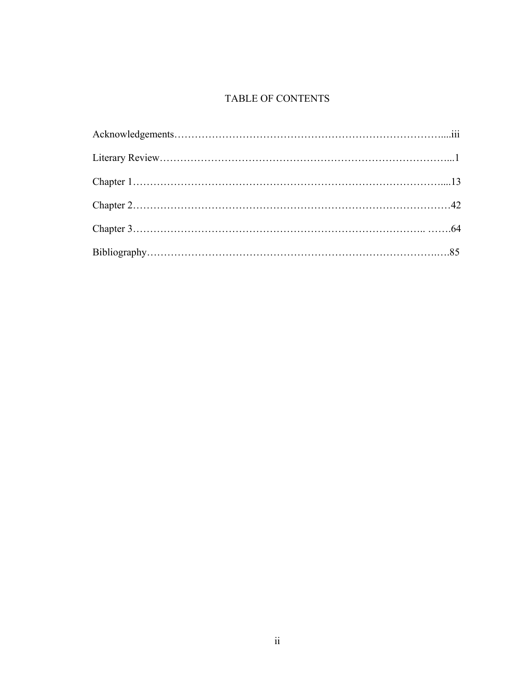# TABLE OF CONTENTS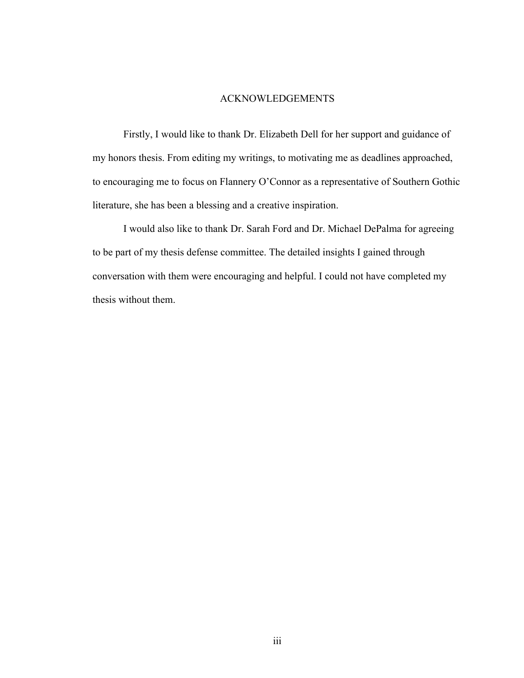### ACKNOWLEDGEMENTS

Firstly, I would like to thank Dr. Elizabeth Dell for her support and guidance of my honors thesis. From editing my writings, to motivating me as deadlines approached, to encouraging me to focus on Flannery O'Connor as a representative of Southern Gothic literature, she has been a blessing and a creative inspiration.

I would also like to thank Dr. Sarah Ford and Dr. Michael DePalma for agreeing to be part of my thesis defense committee. The detailed insights I gained through conversation with them were encouraging and helpful. I could not have completed my thesis without them.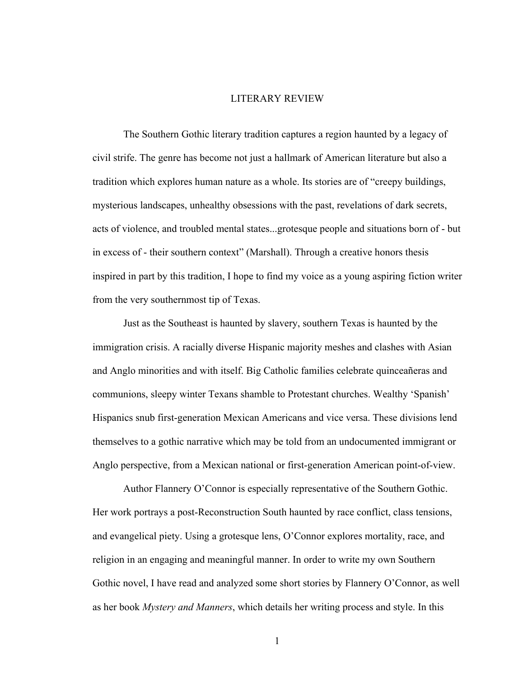### LITERARY REVIEW

The Southern Gothic literary tradition captures a region haunted by a legacy of civil strife. The genre has become not just a hallmark of American literature but also a tradition which explores human nature as a whole. Its stories are of "creepy buildings, mysterious landscapes, unhealthy obsessions with the past, revelations of dark secrets, acts of violence, and troubled mental states...grotesque people and situations born of - but in excess of - their southern context" (Marshall). Through a creative honors thesis inspired in part by this tradition, I hope to find my voice as a young aspiring fiction writer from the very southernmost tip of Texas.

Just as the Southeast is haunted by slavery, southern Texas is haunted by the immigration crisis. A racially diverse Hispanic majority meshes and clashes with Asian and Anglo minorities and with itself. Big Catholic families celebrate quinceañeras and communions, sleepy winter Texans shamble to Protestant churches. Wealthy 'Spanish' Hispanics snub first-generation Mexican Americans and vice versa. These divisions lend themselves to a gothic narrative which may be told from an undocumented immigrant or Anglo perspective, from a Mexican national or first-generation American point-of-view.

Author Flannery O'Connor is especially representative of the Southern Gothic. Her work portrays a post-Reconstruction South haunted by race conflict, class tensions, and evangelical piety. Using a grotesque lens, O'Connor explores mortality, race, and religion in an engaging and meaningful manner. In order to write my own Southern Gothic novel, I have read and analyzed some short stories by Flannery O'Connor, as well as her book *Mystery and Manners*, which details her writing process and style. In this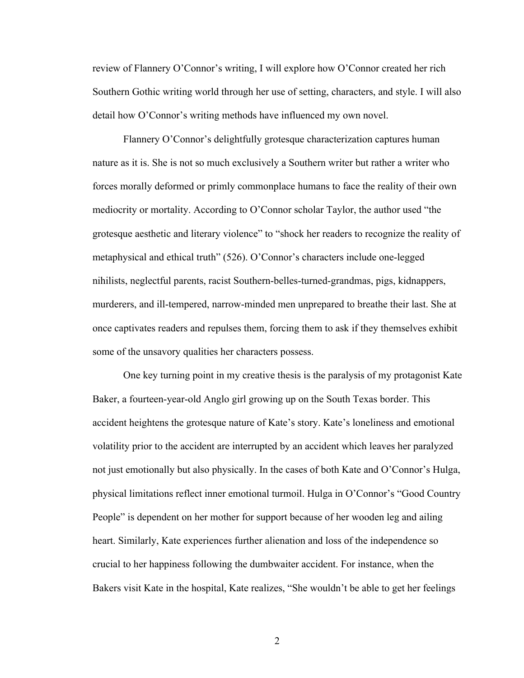review of Flannery O'Connor's writing, I will explore how O'Connor created her rich Southern Gothic writing world through her use of setting, characters, and style. I will also detail how O'Connor's writing methods have influenced my own novel.

Flannery O'Connor's delightfully grotesque characterization captures human nature as it is. She is not so much exclusively a Southern writer but rather a writer who forces morally deformed or primly commonplace humans to face the reality of their own mediocrity or mortality. According to O'Connor scholar Taylor, the author used "the grotesque aesthetic and literary violence" to "shock her readers to recognize the reality of metaphysical and ethical truth" (526). O'Connor's characters include one-legged nihilists, neglectful parents, racist Southern-belles-turned-grandmas, pigs, kidnappers, murderers, and ill-tempered, narrow-minded men unprepared to breathe their last. She at once captivates readers and repulses them, forcing them to ask if they themselves exhibit some of the unsavory qualities her characters possess.

One key turning point in my creative thesis is the paralysis of my protagonist Kate Baker, a fourteen-year-old Anglo girl growing up on the South Texas border. This accident heightens the grotesque nature of Kate's story. Kate's loneliness and emotional volatility prior to the accident are interrupted by an accident which leaves her paralyzed not just emotionally but also physically. In the cases of both Kate and O'Connor's Hulga, physical limitations reflect inner emotional turmoil. Hulga in O'Connor's "Good Country People" is dependent on her mother for support because of her wooden leg and ailing heart. Similarly, Kate experiences further alienation and loss of the independence so crucial to her happiness following the dumbwaiter accident. For instance, when the Bakers visit Kate in the hospital, Kate realizes, "She wouldn't be able to get her feelings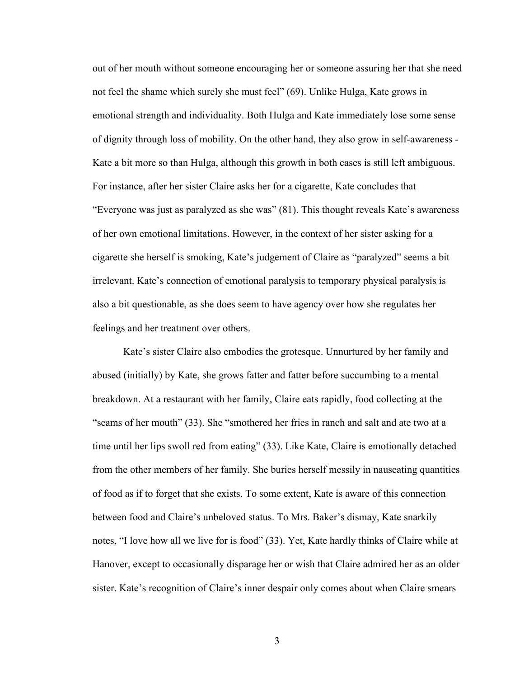out of her mouth without someone encouraging her or someone assuring her that she need not feel the shame which surely she must feel" (69). Unlike Hulga, Kate grows in emotional strength and individuality. Both Hulga and Kate immediately lose some sense of dignity through loss of mobility. On the other hand, they also grow in self-awareness - Kate a bit more so than Hulga, although this growth in both cases is still left ambiguous. For instance, after her sister Claire asks her for a cigarette, Kate concludes that "Everyone was just as paralyzed as she was" (81). This thought reveals Kate's awareness of her own emotional limitations. However, in the context of her sister asking for a cigarette she herself is smoking, Kate's judgement of Claire as "paralyzed" seems a bit irrelevant. Kate's connection of emotional paralysis to temporary physical paralysis is also a bit questionable, as she does seem to have agency over how she regulates her feelings and her treatment over others.

Kate's sister Claire also embodies the grotesque. Unnurtured by her family and abused (initially) by Kate, she grows fatter and fatter before succumbing to a mental breakdown. At a restaurant with her family, Claire eats rapidly, food collecting at the "seams of her mouth" (33). She "smothered her fries in ranch and salt and ate two at a time until her lips swoll red from eating" (33). Like Kate, Claire is emotionally detached from the other members of her family. She buries herself messily in nauseating quantities of food as if to forget that she exists. To some extent, Kate is aware of this connection between food and Claire's unbeloved status. To Mrs. Baker's dismay, Kate snarkily notes, "I love how all we live for is food" (33). Yet, Kate hardly thinks of Claire while at Hanover, except to occasionally disparage her or wish that Claire admired her as an older sister. Kate's recognition of Claire's inner despair only comes about when Claire smears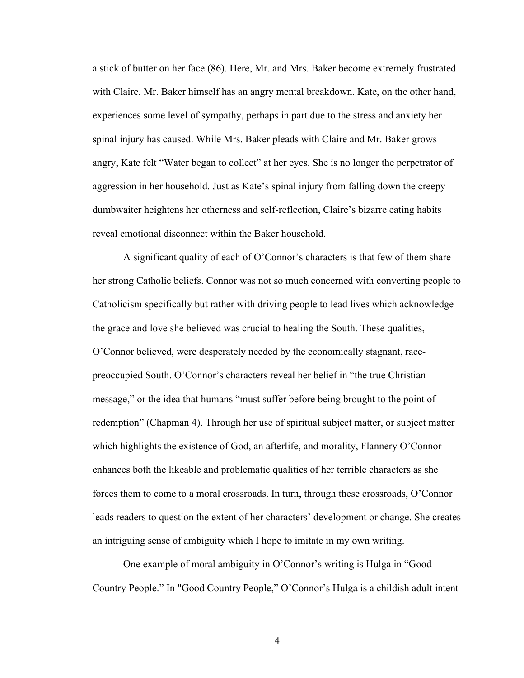a stick of butter on her face (86). Here, Mr. and Mrs. Baker become extremely frustrated with Claire. Mr. Baker himself has an angry mental breakdown. Kate, on the other hand, experiences some level of sympathy, perhaps in part due to the stress and anxiety her spinal injury has caused. While Mrs. Baker pleads with Claire and Mr. Baker grows angry, Kate felt "Water began to collect" at her eyes. She is no longer the perpetrator of aggression in her household. Just as Kate's spinal injury from falling down the creepy dumbwaiter heightens her otherness and self-reflection, Claire's bizarre eating habits reveal emotional disconnect within the Baker household.

A significant quality of each of O'Connor's characters is that few of them share her strong Catholic beliefs. Connor was not so much concerned with converting people to Catholicism specifically but rather with driving people to lead lives which acknowledge the grace and love she believed was crucial to healing the South. These qualities, O'Connor believed, were desperately needed by the economically stagnant, racepreoccupied South. O'Connor's characters reveal her belief in "the true Christian message," or the idea that humans "must suffer before being brought to the point of redemption" (Chapman 4). Through her use of spiritual subject matter, or subject matter which highlights the existence of God, an afterlife, and morality, Flannery O'Connor enhances both the likeable and problematic qualities of her terrible characters as she forces them to come to a moral crossroads. In turn, through these crossroads, O'Connor leads readers to question the extent of her characters' development or change. She creates an intriguing sense of ambiguity which I hope to imitate in my own writing.

One example of moral ambiguity in O'Connor's writing is Hulga in "Good Country People." In "Good Country People," O'Connor's Hulga is a childish adult intent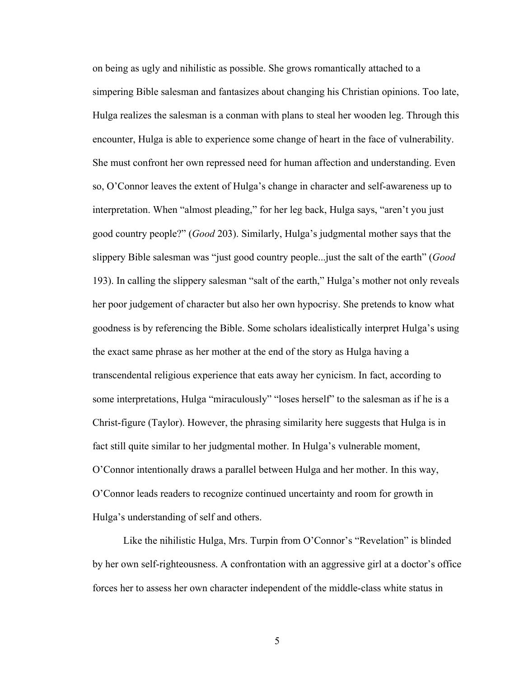on being as ugly and nihilistic as possible. She grows romantically attached to a simpering Bible salesman and fantasizes about changing his Christian opinions. Too late, Hulga realizes the salesman is a conman with plans to steal her wooden leg. Through this encounter, Hulga is able to experience some change of heart in the face of vulnerability. She must confront her own repressed need for human affection and understanding. Even so, O'Connor leaves the extent of Hulga's change in character and self-awareness up to interpretation. When "almost pleading," for her leg back, Hulga says, "aren't you just good country people?" (*Good* 203). Similarly, Hulga's judgmental mother says that the slippery Bible salesman was "just good country people...just the salt of the earth" (*Good*  193). In calling the slippery salesman "salt of the earth," Hulga's mother not only reveals her poor judgement of character but also her own hypocrisy. She pretends to know what goodness is by referencing the Bible. Some scholars idealistically interpret Hulga's using the exact same phrase as her mother at the end of the story as Hulga having a transcendental religious experience that eats away her cynicism. In fact, according to some interpretations, Hulga "miraculously" "loses herself" to the salesman as if he is a Christ-figure (Taylor). However, the phrasing similarity here suggests that Hulga is in fact still quite similar to her judgmental mother. In Hulga's vulnerable moment, O'Connor intentionally draws a parallel between Hulga and her mother. In this way, O'Connor leads readers to recognize continued uncertainty and room for growth in Hulga's understanding of self and others.

Like the nihilistic Hulga, Mrs. Turpin from O'Connor's "Revelation" is blinded by her own self-righteousness. A confrontation with an aggressive girl at a doctor's office forces her to assess her own character independent of the middle-class white status in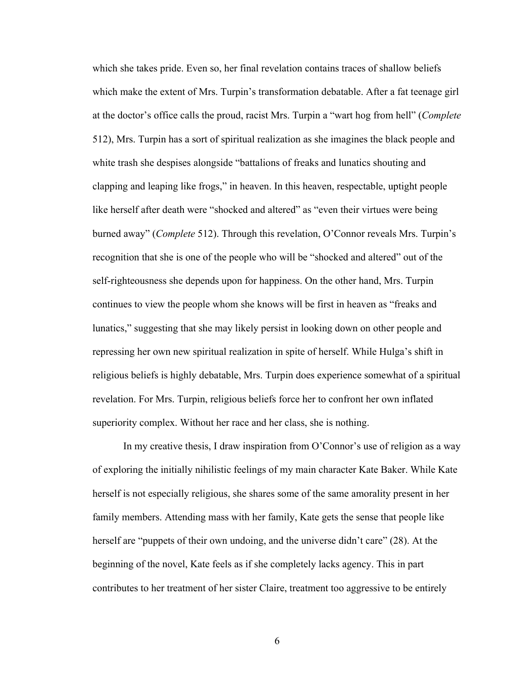which she takes pride. Even so, her final revelation contains traces of shallow beliefs which make the extent of Mrs. Turpin's transformation debatable. After a fat teenage girl at the doctor's office calls the proud, racist Mrs. Turpin a "wart hog from hell" (*Complete* 512), Mrs. Turpin has a sort of spiritual realization as she imagines the black people and white trash she despises alongside "battalions of freaks and lunatics shouting and clapping and leaping like frogs," in heaven. In this heaven, respectable, uptight people like herself after death were "shocked and altered" as "even their virtues were being burned away" (*Complete* 512). Through this revelation, O'Connor reveals Mrs. Turpin's recognition that she is one of the people who will be "shocked and altered" out of the self-righteousness she depends upon for happiness. On the other hand, Mrs. Turpin continues to view the people whom she knows will be first in heaven as "freaks and lunatics," suggesting that she may likely persist in looking down on other people and repressing her own new spiritual realization in spite of herself. While Hulga's shift in religious beliefs is highly debatable, Mrs. Turpin does experience somewhat of a spiritual revelation. For Mrs. Turpin, religious beliefs force her to confront her own inflated superiority complex. Without her race and her class, she is nothing.

In my creative thesis, I draw inspiration from O'Connor's use of religion as a way of exploring the initially nihilistic feelings of my main character Kate Baker. While Kate herself is not especially religious, she shares some of the same amorality present in her family members. Attending mass with her family, Kate gets the sense that people like herself are "puppets of their own undoing, and the universe didn't care" (28). At the beginning of the novel, Kate feels as if she completely lacks agency. This in part contributes to her treatment of her sister Claire, treatment too aggressive to be entirely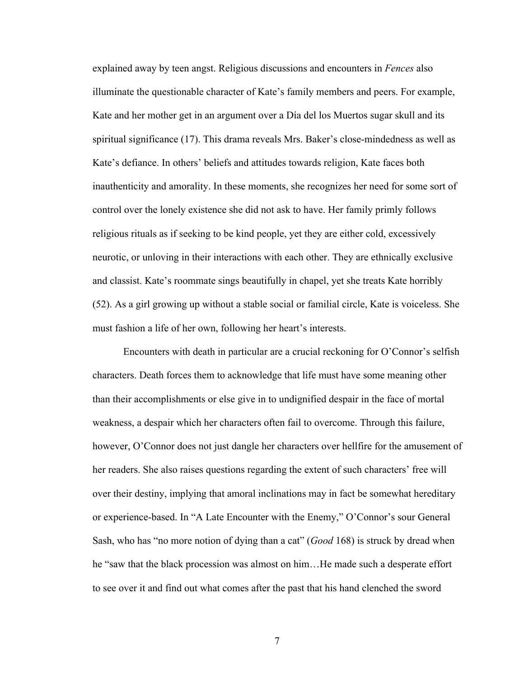explained away by teen angst. Religious discussions and encounters in *Fences* also illuminate the questionable character of Kate's family members and peers. For example, Kate and her mother get in an argument over a Día del los Muertos sugar skull and its spiritual significance (17). This drama reveals Mrs. Baker's close-mindedness as well as Kate's defiance. In others' beliefs and attitudes towards religion, Kate faces both inauthenticity and amorality. In these moments, she recognizes her need for some sort of control over the lonely existence she did not ask to have. Her family primly follows religious rituals as if seeking to be kind people, yet they are either cold, excessively neurotic, or unloving in their interactions with each other. They are ethnically exclusive and classist. Kate's roommate sings beautifully in chapel, yet she treats Kate horribly (52). As a girl growing up without a stable social or familial circle, Kate is voiceless. She must fashion a life of her own, following her heart's interests.

Encounters with death in particular are a crucial reckoning for O'Connor's selfish characters. Death forces them to acknowledge that life must have some meaning other than their accomplishments or else give in to undignified despair in the face of mortal weakness, a despair which her characters often fail to overcome. Through this failure, however, O'Connor does not just dangle her characters over hellfire for the amusement of her readers. She also raises questions regarding the extent of such characters' free will over their destiny, implying that amoral inclinations may in fact be somewhat hereditary or experience-based. In "A Late Encounter with the Enemy," O'Connor's sour General Sash, who has "no more notion of dying than a cat" (*Good* 168) is struck by dread when he "saw that the black procession was almost on him...He made such a desperate effort to see over it and find out what comes after the past that his hand clenched the sword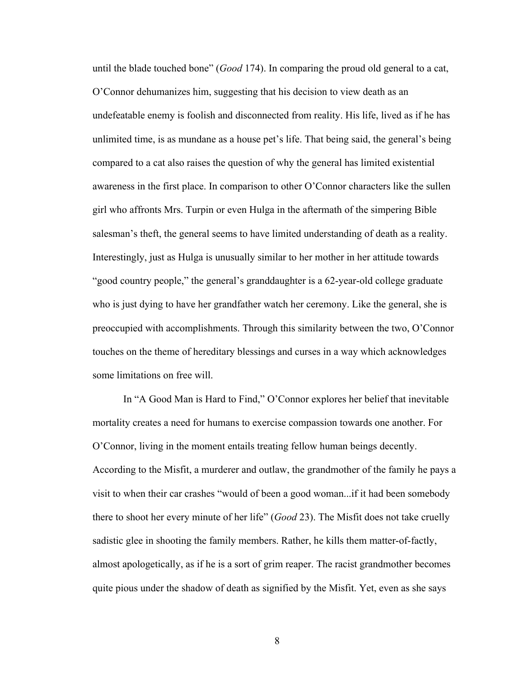until the blade touched bone" (*Good* 174). In comparing the proud old general to a cat, O'Connor dehumanizes him, suggesting that his decision to view death as an undefeatable enemy is foolish and disconnected from reality. His life, lived as if he has unlimited time, is as mundane as a house pet's life. That being said, the general's being compared to a cat also raises the question of why the general has limited existential awareness in the first place. In comparison to other O'Connor characters like the sullen girl who affronts Mrs. Turpin or even Hulga in the aftermath of the simpering Bible salesman's theft, the general seems to have limited understanding of death as a reality. Interestingly, just as Hulga is unusually similar to her mother in her attitude towards "good country people," the general's granddaughter is a 62-year-old college graduate who is just dying to have her grandfather watch her ceremony. Like the general, she is preoccupied with accomplishments. Through this similarity between the two, O'Connor touches on the theme of hereditary blessings and curses in a way which acknowledges some limitations on free will.

In "A Good Man is Hard to Find," O'Connor explores her belief that inevitable mortality creates a need for humans to exercise compassion towards one another. For O'Connor, living in the moment entails treating fellow human beings decently. According to the Misfit, a murderer and outlaw, the grandmother of the family he pays a visit to when their car crashes "would of been a good woman...if it had been somebody there to shoot her every minute of her life" (*Good* 23). The Misfit does not take cruelly sadistic glee in shooting the family members. Rather, he kills them matter-of-factly, almost apologetically, as if he is a sort of grim reaper. The racist grandmother becomes quite pious under the shadow of death as signified by the Misfit. Yet, even as she says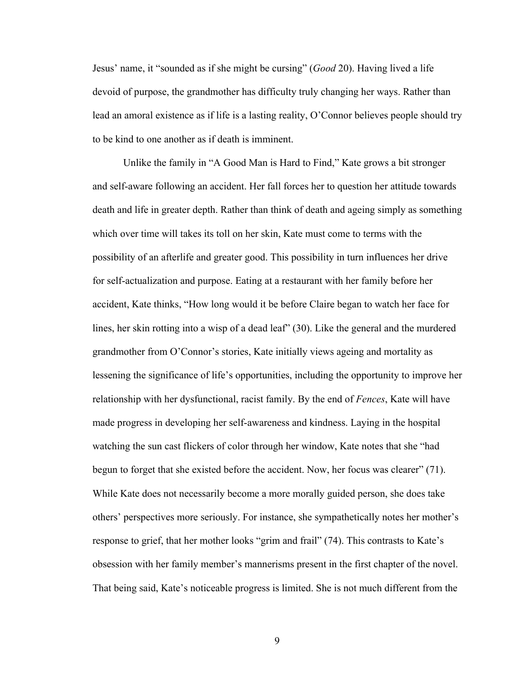Jesus' name, it "sounded as if she might be cursing" (*Good* 20). Having lived a life devoid of purpose, the grandmother has difficulty truly changing her ways. Rather than lead an amoral existence as if life is a lasting reality, O'Connor believes people should try to be kind to one another as if death is imminent.

Unlike the family in "A Good Man is Hard to Find," Kate grows a bit stronger and self-aware following an accident. Her fall forces her to question her attitude towards death and life in greater depth. Rather than think of death and ageing simply as something which over time will takes its toll on her skin, Kate must come to terms with the possibility of an afterlife and greater good. This possibility in turn influences her drive for self-actualization and purpose. Eating at a restaurant with her family before her accident, Kate thinks, "How long would it be before Claire began to watch her face for lines, her skin rotting into a wisp of a dead leaf" (30). Like the general and the murdered grandmother from O'Connor's stories, Kate initially views ageing and mortality as lessening the significance of life's opportunities, including the opportunity to improve her relationship with her dysfunctional, racist family. By the end of *Fences*, Kate will have made progress in developing her self-awareness and kindness. Laying in the hospital watching the sun cast flickers of color through her window, Kate notes that she "had begun to forget that she existed before the accident. Now, her focus was clearer" (71). While Kate does not necessarily become a more morally guided person, she does take others' perspectives more seriously. For instance, she sympathetically notes her mother's response to grief, that her mother looks "grim and frail" (74). This contrasts to Kate's obsession with her family member's mannerisms present in the first chapter of the novel. That being said, Kate's noticeable progress is limited. She is not much different from the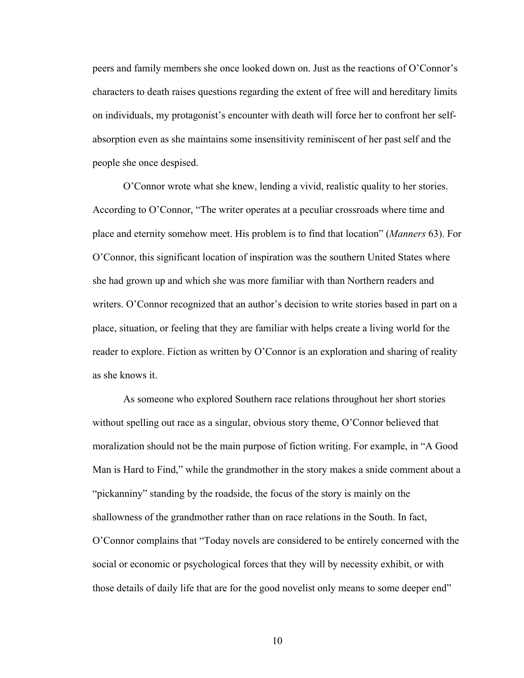peers and family members she once looked down on. Just as the reactions of O'Connor's characters to death raises questions regarding the extent of free will and hereditary limits on individuals, my protagonist's encounter with death will force her to confront her selfabsorption even as she maintains some insensitivity reminiscent of her past self and the people she once despised.

O'Connor wrote what she knew, lending a vivid, realistic quality to her stories. According to O'Connor, "The writer operates at a peculiar crossroads where time and place and eternity somehow meet. His problem is to find that location" (*Manners* 63). For O'Connor, this significant location of inspiration was the southern United States where she had grown up and which she was more familiar with than Northern readers and writers. O'Connor recognized that an author's decision to write stories based in part on a place, situation, or feeling that they are familiar with helps create a living world for the reader to explore. Fiction as written by O'Connor is an exploration and sharing of reality as she knows it.

As someone who explored Southern race relations throughout her short stories without spelling out race as a singular, obvious story theme, O'Connor believed that moralization should not be the main purpose of fiction writing. For example, in "A Good Man is Hard to Find," while the grandmother in the story makes a snide comment about a "pickanniny" standing by the roadside, the focus of the story is mainly on the shallowness of the grandmother rather than on race relations in the South. In fact, O'Connor complains that "Today novels are considered to be entirely concerned with the social or economic or psychological forces that they will by necessity exhibit, or with those details of daily life that are for the good novelist only means to some deeper end"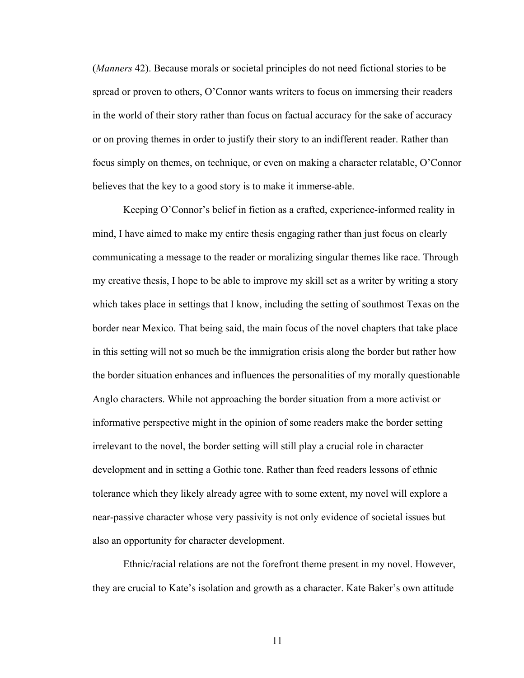(*Manners* 42). Because morals or societal principles do not need fictional stories to be spread or proven to others, O'Connor wants writers to focus on immersing their readers in the world of their story rather than focus on factual accuracy for the sake of accuracy or on proving themes in order to justify their story to an indifferent reader. Rather than focus simply on themes, on technique, or even on making a character relatable, O'Connor believes that the key to a good story is to make it immerse-able.

Keeping O'Connor's belief in fiction as a crafted, experience-informed reality in mind, I have aimed to make my entire thesis engaging rather than just focus on clearly communicating a message to the reader or moralizing singular themes like race. Through my creative thesis, I hope to be able to improve my skill set as a writer by writing a story which takes place in settings that I know, including the setting of southmost Texas on the border near Mexico. That being said, the main focus of the novel chapters that take place in this setting will not so much be the immigration crisis along the border but rather how the border situation enhances and influences the personalities of my morally questionable Anglo characters. While not approaching the border situation from a more activist or informative perspective might in the opinion of some readers make the border setting irrelevant to the novel, the border setting will still play a crucial role in character development and in setting a Gothic tone. Rather than feed readers lessons of ethnic tolerance which they likely already agree with to some extent, my novel will explore a near-passive character whose very passivity is not only evidence of societal issues but also an opportunity for character development.

Ethnic/racial relations are not the forefront theme present in my novel. However, they are crucial to Kate's isolation and growth as a character. Kate Baker's own attitude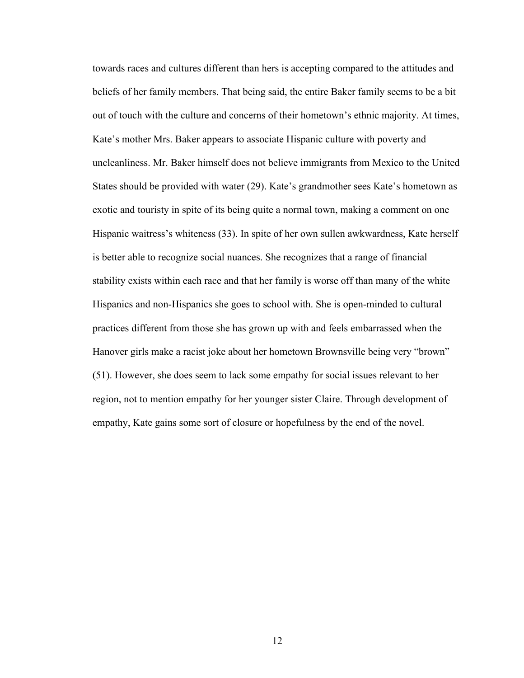towards races and cultures different than hers is accepting compared to the attitudes and beliefs of her family members. That being said, the entire Baker family seems to be a bit out of touch with the culture and concerns of their hometown's ethnic majority. At times, Kate's mother Mrs. Baker appears to associate Hispanic culture with poverty and uncleanliness. Mr. Baker himself does not believe immigrants from Mexico to the United States should be provided with water (29). Kate's grandmother sees Kate's hometown as exotic and touristy in spite of its being quite a normal town, making a comment on one Hispanic waitress's whiteness (33). In spite of her own sullen awkwardness, Kate herself is better able to recognize social nuances. She recognizes that a range of financial stability exists within each race and that her family is worse off than many of the white Hispanics and non-Hispanics she goes to school with. She is open-minded to cultural practices different from those she has grown up with and feels embarrassed when the Hanover girls make a racist joke about her hometown Brownsville being very "brown" (51). However, she does seem to lack some empathy for social issues relevant to her region, not to mention empathy for her younger sister Claire. Through development of empathy, Kate gains some sort of closure or hopefulness by the end of the novel.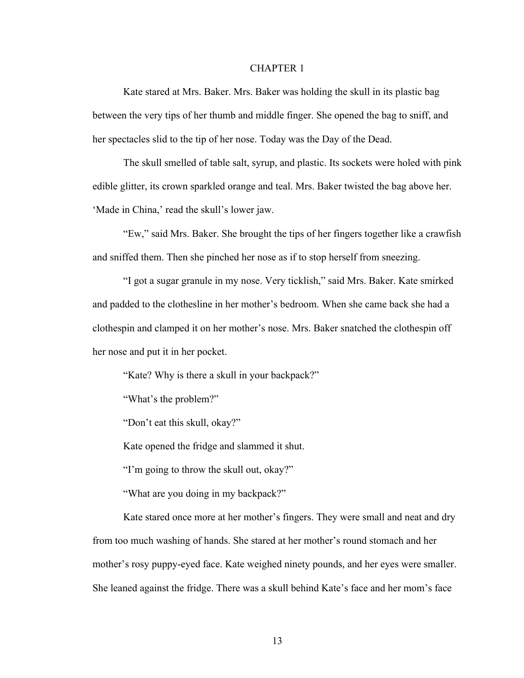#### CHAPTER 1

Kate stared at Mrs. Baker. Mrs. Baker was holding the skull in its plastic bag between the very tips of her thumb and middle finger. She opened the bag to sniff, and her spectacles slid to the tip of her nose. Today was the Day of the Dead.

The skull smelled of table salt, syrup, and plastic. Its sockets were holed with pink edible glitter, its crown sparkled orange and teal. Mrs. Baker twisted the bag above her. 'Made in China,' read the skull's lower jaw.

"Ew," said Mrs. Baker. She brought the tips of her fingers together like a crawfish and sniffed them. Then she pinched her nose as if to stop herself from sneezing.

"I got a sugar granule in my nose. Very ticklish," said Mrs. Baker. Kate smirked and padded to the clothesline in her mother's bedroom. When she came back she had a clothespin and clamped it on her mother's nose. Mrs. Baker snatched the clothespin off her nose and put it in her pocket.

"Kate? Why is there a skull in your backpack?"

"What's the problem?"

"Don't eat this skull, okay?"

Kate opened the fridge and slammed it shut.

"I'm going to throw the skull out, okay?"

"What are you doing in my backpack?"

Kate stared once more at her mother's fingers. They were small and neat and dry from too much washing of hands. She stared at her mother's round stomach and her mother's rosy puppy-eyed face. Kate weighed ninety pounds, and her eyes were smaller. She leaned against the fridge. There was a skull behind Kate's face and her mom's face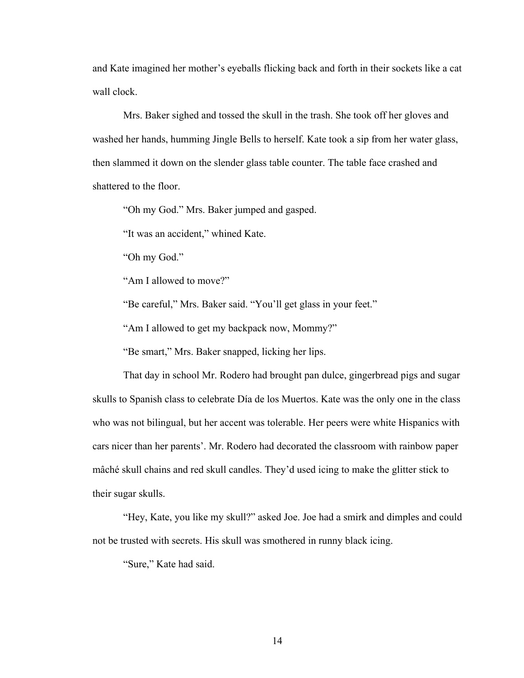and Kate imagined her mother's eyeballs flicking back and forth in their sockets like a cat wall clock.

Mrs. Baker sighed and tossed the skull in the trash. She took off her gloves and washed her hands, humming Jingle Bells to herself. Kate took a sip from her water glass, then slammed it down on the slender glass table counter. The table face crashed and shattered to the floor.

"Oh my God." Mrs. Baker jumped and gasped.

"It was an accident," whined Kate.

"Oh my God."

"Am I allowed to move?"

"Be careful," Mrs. Baker said. "You'll get glass in your feet."

"Am I allowed to get my backpack now, Mommy?"

"Be smart," Mrs. Baker snapped, licking her lips.

That day in school Mr. Rodero had brought pan dulce, gingerbread pigs and sugar skulls to Spanish class to celebrate Día de los Muertos. Kate was the only one in the class who was not bilingual, but her accent was tolerable. Her peers were white Hispanics with cars nicer than her parents'. Mr. Rodero had decorated the classroom with rainbow paper mâché skull chains and red skull candles. They'd used icing to make the glitter stick to their sugar skulls.

"Hey, Kate, you like my skull?" asked Joe. Joe had a smirk and dimples and could not be trusted with secrets. His skull was smothered in runny black icing.

"Sure," Kate had said.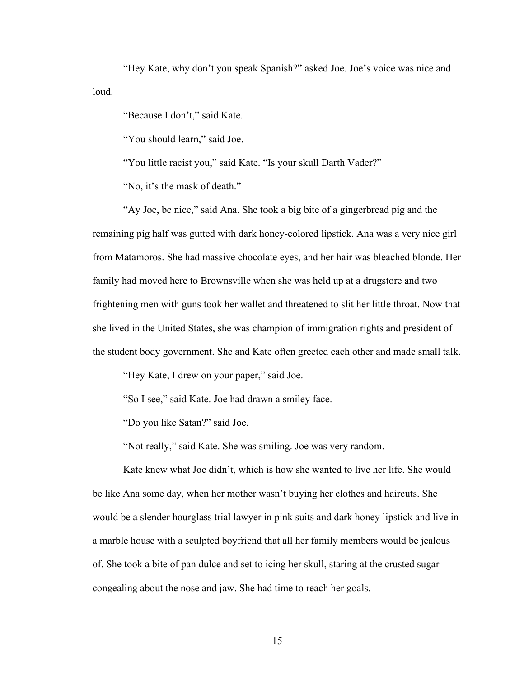"Hey Kate, why don't you speak Spanish?" asked Joe. Joe's voice was nice and loud.

"Because I don't," said Kate.

"You should learn," said Joe.

"You little racist you," said Kate. "Is your skull Darth Vader?"

"No, it's the mask of death."

"Ay Joe, be nice," said Ana. She took a big bite of a gingerbread pig and the remaining pig half was gutted with dark honey-colored lipstick. Ana was a very nice girl from Matamoros. She had massive chocolate eyes, and her hair was bleached blonde. Her family had moved here to Brownsville when she was held up at a drugstore and two frightening men with guns took her wallet and threatened to slit her little throat. Now that she lived in the United States, she was champion of immigration rights and president of the student body government. She and Kate often greeted each other and made small talk.

"Hey Kate, I drew on your paper," said Joe.

"So I see," said Kate. Joe had drawn a smiley face.

"Do you like Satan?" said Joe.

"Not really," said Kate. She was smiling. Joe was very random.

Kate knew what Joe didn't, which is how she wanted to live her life. She would be like Ana some day, when her mother wasn't buying her clothes and haircuts. She would be a slender hourglass trial lawyer in pink suits and dark honey lipstick and live in a marble house with a sculpted boyfriend that all her family members would be jealous of. She took a bite of pan dulce and set to icing her skull, staring at the crusted sugar congealing about the nose and jaw. She had time to reach her goals.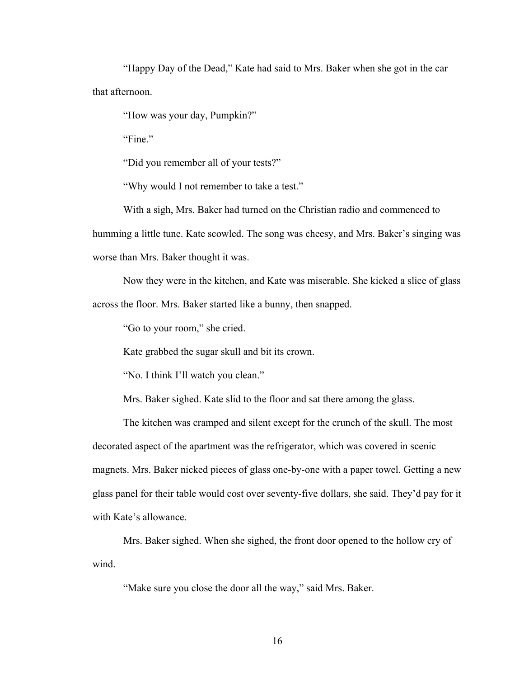"Happy Day of the Dead," Kate had said to Mrs. Baker when she got in the car that afternoon.

"How was your day, Pumpkin?"

"Fine."

"Did you remember all of your tests?"

"Why would I not remember to take a test."

With a sigh, Mrs. Baker had turned on the Christian radio and commenced to humming a little tune. Kate scowled. The song was cheesy, and Mrs. Baker's singing was worse than Mrs. Baker thought it was.

Now they were in the kitchen, and Kate was miserable. She kicked a slice of glass across the floor. Mrs. Baker started like a bunny, then snapped.

"Go to your room," she cried.

Kate grabbed the sugar skull and bit its crown.

"No. I think I'll watch you clean."

Mrs. Baker sighed. Kate slid to the floor and sat there among the glass.

The kitchen was cramped and silent except for the crunch of the skull. The most decorated aspect of the apartment was the refrigerator, which was covered in scenic magnets. Mrs. Baker nicked pieces of glass one-by-one with a paper towel. Getting a new glass panel for their table would cost over seventy-five dollars, she said. They'd pay for it with Kate's allowance.

Mrs. Baker sighed. When she sighed, the front door opened to the hollow cry of wind.

"Make sure you close the door all the way," said Mrs. Baker.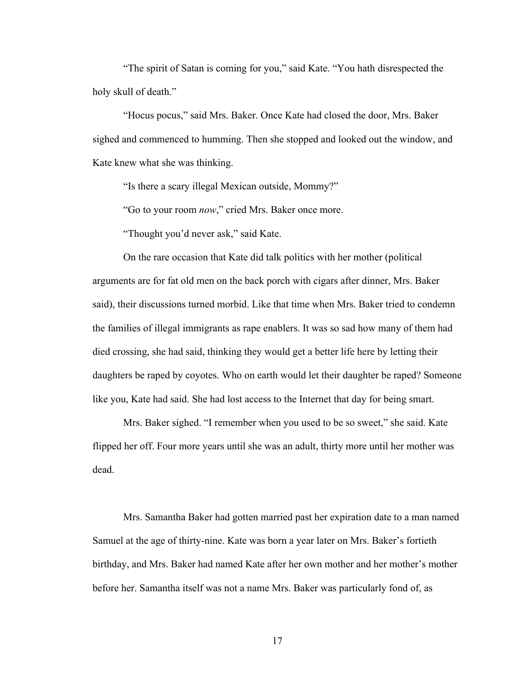"The spirit of Satan is coming for you," said Kate. "You hath disrespected the holy skull of death."

"Hocus pocus," said Mrs. Baker. Once Kate had closed the door, Mrs. Baker sighed and commenced to humming. Then she stopped and looked out the window, and Kate knew what she was thinking.

"Is there a scary illegal Mexican outside, Mommy?"

"Go to your room *now*," cried Mrs. Baker once more.

"Thought you'd never ask," said Kate.

On the rare occasion that Kate did talk politics with her mother (political arguments are for fat old men on the back porch with cigars after dinner, Mrs. Baker said), their discussions turned morbid. Like that time when Mrs. Baker tried to condemn the families of illegal immigrants as rape enablers. It was so sad how many of them had died crossing, she had said, thinking they would get a better life here by letting their daughters be raped by coyotes. Who on earth would let their daughter be raped? Someone like you, Kate had said. She had lost access to the Internet that day for being smart.

Mrs. Baker sighed. "I remember when you used to be so sweet," she said. Kate flipped her off. Four more years until she was an adult, thirty more until her mother was dead.

Mrs. Samantha Baker had gotten married past her expiration date to a man named Samuel at the age of thirty-nine. Kate was born a year later on Mrs. Baker's fortieth birthday, and Mrs. Baker had named Kate after her own mother and her mother's mother before her. Samantha itself was not a name Mrs. Baker was particularly fond of, as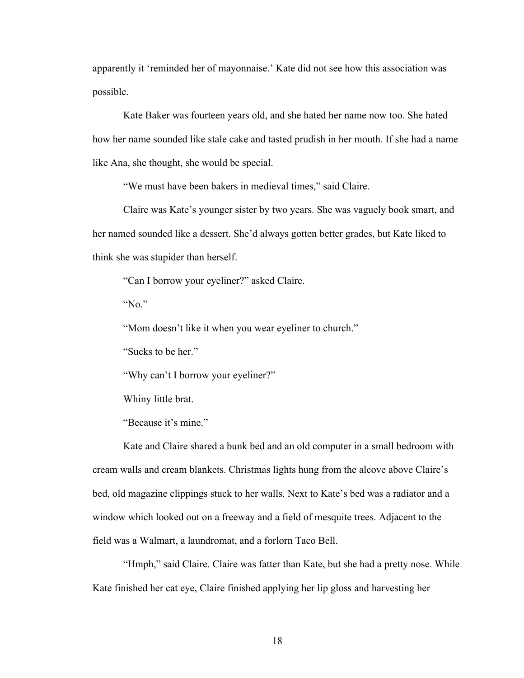apparently it 'reminded her of mayonnaise.' Kate did not see how this association was possible.

Kate Baker was fourteen years old, and she hated her name now too. She hated how her name sounded like stale cake and tasted prudish in her mouth. If she had a name like Ana, she thought, she would be special.

"We must have been bakers in medieval times," said Claire.

Claire was Kate's younger sister by two years. She was vaguely book smart, and her named sounded like a dessert. She'd always gotten better grades, but Kate liked to think she was stupider than herself.

"Can I borrow your eyeliner?" asked Claire.

"No."

"Mom doesn't like it when you wear eyeliner to church."

"Sucks to be her."

"Why can't I borrow your eyeliner?"

Whiny little brat.

"Because it's mine."

Kate and Claire shared a bunk bed and an old computer in a small bedroom with cream walls and cream blankets. Christmas lights hung from the alcove above Claire's bed, old magazine clippings stuck to her walls. Next to Kate's bed was a radiator and a window which looked out on a freeway and a field of mesquite trees. Adjacent to the field was a Walmart, a laundromat, and a forlorn Taco Bell.

"Hmph," said Claire. Claire was fatter than Kate, but she had a pretty nose. While Kate finished her cat eye, Claire finished applying her lip gloss and harvesting her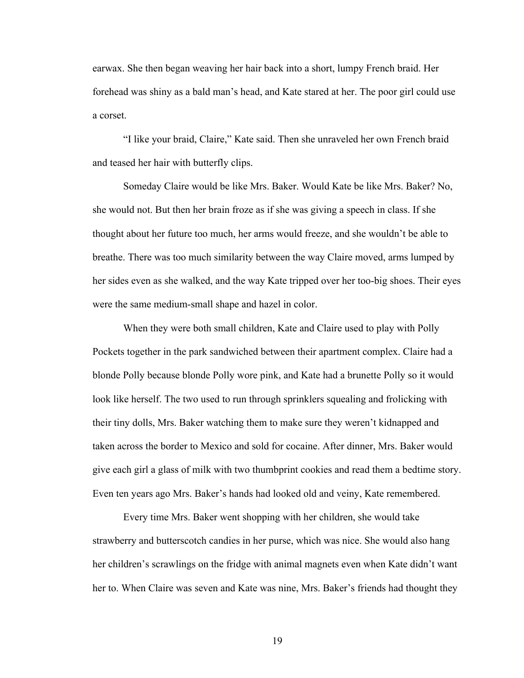earwax. She then began weaving her hair back into a short, lumpy French braid. Her forehead was shiny as a bald man's head, and Kate stared at her. The poor girl could use a corset.

"I like your braid, Claire," Kate said. Then she unraveled her own French braid and teased her hair with butterfly clips.

Someday Claire would be like Mrs. Baker. Would Kate be like Mrs. Baker? No, she would not. But then her brain froze as if she was giving a speech in class. If she thought about her future too much, her arms would freeze, and she wouldn't be able to breathe. There was too much similarity between the way Claire moved, arms lumped by her sides even as she walked, and the way Kate tripped over her too-big shoes. Their eyes were the same medium-small shape and hazel in color.

When they were both small children, Kate and Claire used to play with Polly Pockets together in the park sandwiched between their apartment complex. Claire had a blonde Polly because blonde Polly wore pink, and Kate had a brunette Polly so it would look like herself. The two used to run through sprinklers squealing and frolicking with their tiny dolls, Mrs. Baker watching them to make sure they weren't kidnapped and taken across the border to Mexico and sold for cocaine. After dinner, Mrs. Baker would give each girl a glass of milk with two thumbprint cookies and read them a bedtime story. Even ten years ago Mrs. Baker's hands had looked old and veiny, Kate remembered.

Every time Mrs. Baker went shopping with her children, she would take strawberry and butterscotch candies in her purse, which was nice. She would also hang her children's scrawlings on the fridge with animal magnets even when Kate didn't want her to. When Claire was seven and Kate was nine, Mrs. Baker's friends had thought they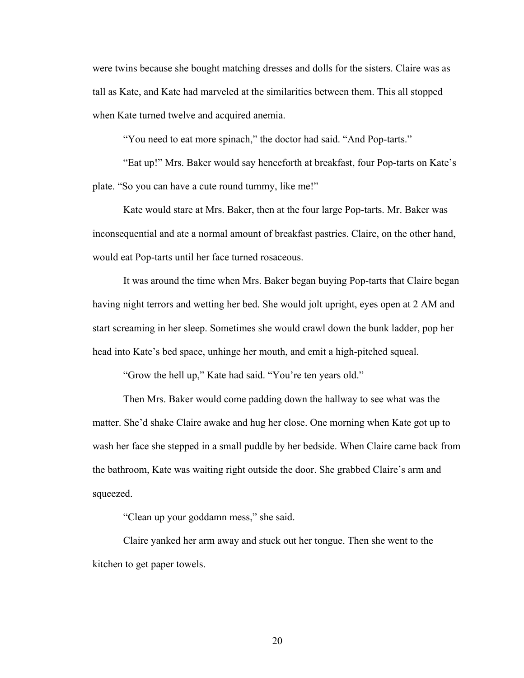were twins because she bought matching dresses and dolls for the sisters. Claire was as tall as Kate, and Kate had marveled at the similarities between them. This all stopped when Kate turned twelve and acquired anemia.

"You need to eat more spinach," the doctor had said. "And Pop-tarts."

"Eat up!" Mrs. Baker would say henceforth at breakfast, four Pop-tarts on Kate's plate. "So you can have a cute round tummy, like me!"

Kate would stare at Mrs. Baker, then at the four large Pop-tarts. Mr. Baker was inconsequential and ate a normal amount of breakfast pastries. Claire, on the other hand, would eat Pop-tarts until her face turned rosaceous.

It was around the time when Mrs. Baker began buying Pop-tarts that Claire began having night terrors and wetting her bed. She would jolt upright, eyes open at 2 AM and start screaming in her sleep. Sometimes she would crawl down the bunk ladder, pop her head into Kate's bed space, unhinge her mouth, and emit a high-pitched squeal.

"Grow the hell up," Kate had said. "You're ten years old."

Then Mrs. Baker would come padding down the hallway to see what was the matter. She'd shake Claire awake and hug her close. One morning when Kate got up to wash her face she stepped in a small puddle by her bedside. When Claire came back from the bathroom, Kate was waiting right outside the door. She grabbed Claire's arm and squeezed.

"Clean up your goddamn mess," she said.

Claire yanked her arm away and stuck out her tongue. Then she went to the kitchen to get paper towels.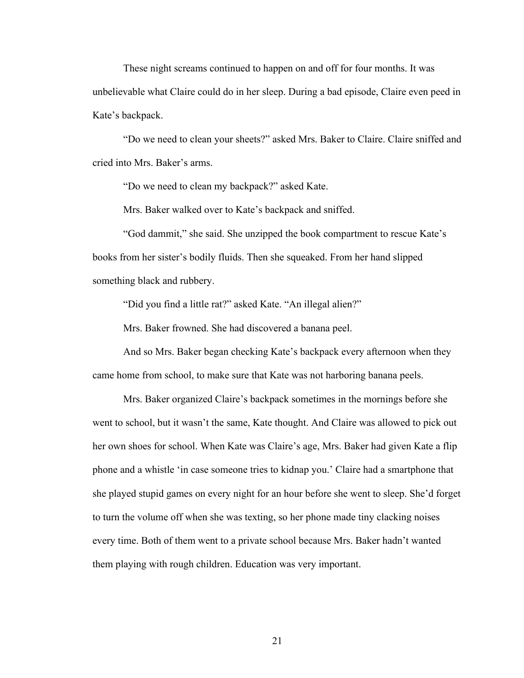These night screams continued to happen on and off for four months. It was unbelievable what Claire could do in her sleep. During a bad episode, Claire even peed in Kate's backpack.

"Do we need to clean your sheets?" asked Mrs. Baker to Claire. Claire sniffed and cried into Mrs. Baker's arms.

"Do we need to clean my backpack?" asked Kate.

Mrs. Baker walked over to Kate's backpack and sniffed.

"God dammit," she said. She unzipped the book compartment to rescue Kate's books from her sister's bodily fluids. Then she squeaked. From her hand slipped something black and rubbery.

"Did you find a little rat?" asked Kate. "An illegal alien?"

Mrs. Baker frowned. She had discovered a banana peel.

And so Mrs. Baker began checking Kate's backpack every afternoon when they came home from school, to make sure that Kate was not harboring banana peels.

Mrs. Baker organized Claire's backpack sometimes in the mornings before she went to school, but it wasn't the same, Kate thought. And Claire was allowed to pick out her own shoes for school. When Kate was Claire's age, Mrs. Baker had given Kate a flip phone and a whistle 'in case someone tries to kidnap you.' Claire had a smartphone that she played stupid games on every night for an hour before she went to sleep. She'd forget to turn the volume off when she was texting, so her phone made tiny clacking noises every time. Both of them went to a private school because Mrs. Baker hadn't wanted them playing with rough children. Education was very important.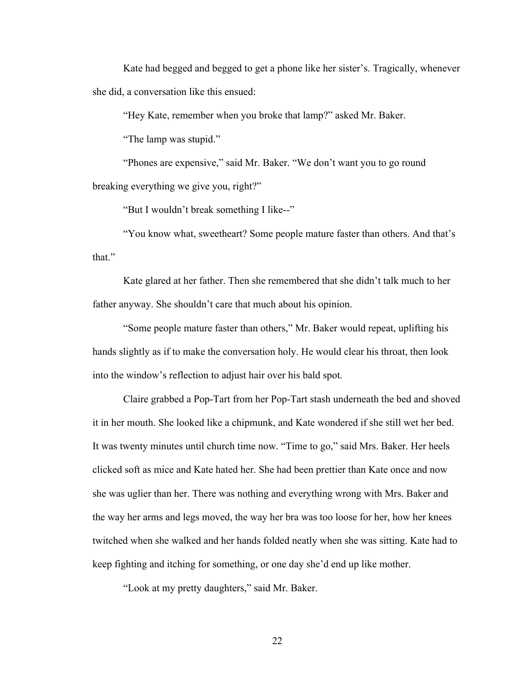Kate had begged and begged to get a phone like her sister's. Tragically, whenever she did, a conversation like this ensued:

"Hey Kate, remember when you broke that lamp?" asked Mr. Baker.

"The lamp was stupid."

"Phones are expensive," said Mr. Baker. "We don't want you to go round breaking everything we give you, right?"

"But I wouldn't break something I like--"

"You know what, sweetheart? Some people mature faster than others. And that's that."

Kate glared at her father. Then she remembered that she didn't talk much to her father anyway. She shouldn't care that much about his opinion.

"Some people mature faster than others," Mr. Baker would repeat, uplifting his hands slightly as if to make the conversation holy. He would clear his throat, then look into the window's reflection to adjust hair over his bald spot.

Claire grabbed a Pop-Tart from her Pop-Tart stash underneath the bed and shoved it in her mouth. She looked like a chipmunk, and Kate wondered if she still wet her bed. It was twenty minutes until church time now. "Time to go," said Mrs. Baker. Her heels clicked soft as mice and Kate hated her. She had been prettier than Kate once and now she was uglier than her. There was nothing and everything wrong with Mrs. Baker and the way her arms and legs moved, the way her bra was too loose for her, how her knees twitched when she walked and her hands folded neatly when she was sitting. Kate had to keep fighting and itching for something, or one day she'd end up like mother.

"Look at my pretty daughters," said Mr. Baker.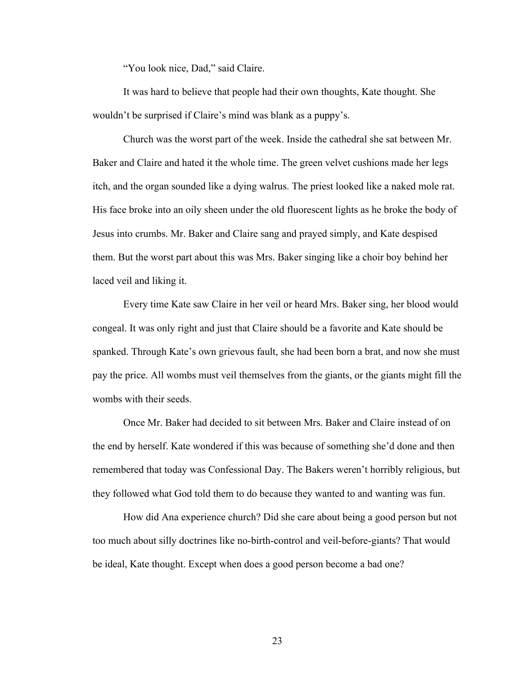"You look nice, Dad," said Claire.

It was hard to believe that people had their own thoughts, Kate thought. She wouldn't be surprised if Claire's mind was blank as a puppy's.

Church was the worst part of the week. Inside the cathedral she sat between Mr. Baker and Claire and hated it the whole time. The green velvet cushions made her legs itch, and the organ sounded like a dying walrus. The priest looked like a naked mole rat. His face broke into an oily sheen under the old fluorescent lights as he broke the body of Jesus into crumbs. Mr. Baker and Claire sang and prayed simply, and Kate despised them. But the worst part about this was Mrs. Baker singing like a choir boy behind her laced veil and liking it.

Every time Kate saw Claire in her veil or heard Mrs. Baker sing, her blood would congeal. It was only right and just that Claire should be a favorite and Kate should be spanked. Through Kate's own grievous fault, she had been born a brat, and now she must pay the price. All wombs must veil themselves from the giants, or the giants might fill the wombs with their seeds.

Once Mr. Baker had decided to sit between Mrs. Baker and Claire instead of on the end by herself. Kate wondered if this was because of something she'd done and then remembered that today was Confessional Day. The Bakers weren't horribly religious, but they followed what God told them to do because they wanted to and wanting was fun.

How did Ana experience church? Did she care about being a good person but not too much about silly doctrines like no-birth-control and veil-before-giants? That would be ideal, Kate thought. Except when does a good person become a bad one?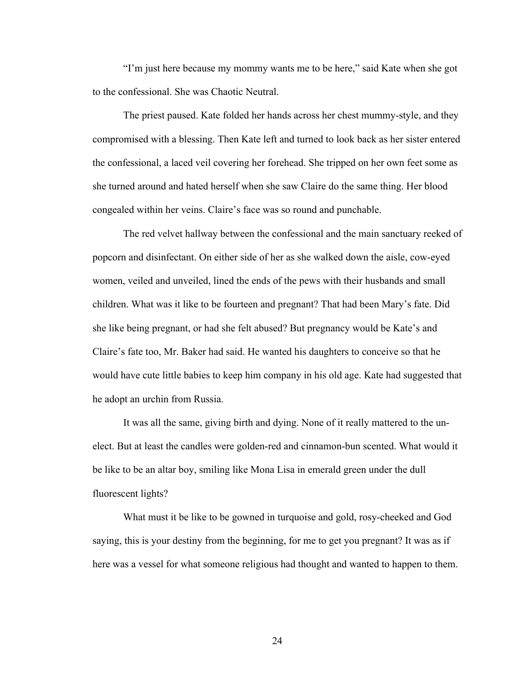"I'm just here because my mommy wants me to be here," said Kate when she got to the confessional. She was Chaotic Neutral.

The priest paused. Kate folded her hands across her chest mummy-style, and they compromised with a blessing. Then Kate left and turned to look back as her sister entered the confessional, a laced veil covering her forehead. She tripped on her own feet some as she turned around and hated herself when she saw Claire do the same thing. Her blood congealed within her veins. Claire's face was so round and punchable.

The red velvet hallway between the confessional and the main sanctuary reeked of popcorn and disinfectant. On either side of her as she walked down the aisle, cow-eyed women, veiled and unveiled, lined the ends of the pews with their husbands and small children. What was it like to be fourteen and pregnant? That had been Mary's fate. Did she like being pregnant, or had she felt abused? But pregnancy would be Kate's and Claire's fate too, Mr. Baker had said. He wanted his daughters to conceive so that he would have cute little babies to keep him company in his old age. Kate had suggested that he adopt an urchin from Russia.

It was all the same, giving birth and dying. None of it really mattered to the unelect. But at least the candles were golden-red and cinnamon-bun scented. What would it be like to be an altar boy, smiling like Mona Lisa in emerald green under the dull fluorescent lights?

What must it be like to be gowned in turquoise and gold, rosy-cheeked and God saying, this is your destiny from the beginning, for me to get you pregnant? It was as if here was a vessel for what someone religious had thought and wanted to happen to them.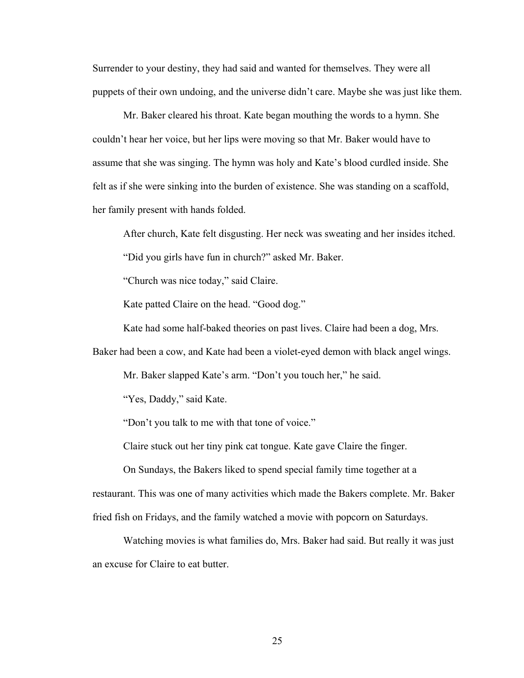Surrender to your destiny, they had said and wanted for themselves. They were all puppets of their own undoing, and the universe didn't care. Maybe she was just like them.

Mr. Baker cleared his throat. Kate began mouthing the words to a hymn. She couldn't hear her voice, but her lips were moving so that Mr. Baker would have to assume that she was singing. The hymn was holy and Kate's blood curdled inside. She felt as if she were sinking into the burden of existence. She was standing on a scaffold, her family present with hands folded.

After church, Kate felt disgusting. Her neck was sweating and her insides itched.

"Did you girls have fun in church?" asked Mr. Baker.

"Church was nice today," said Claire.

Kate patted Claire on the head. "Good dog."

Kate had some half-baked theories on past lives. Claire had been a dog, Mrs.

Baker had been a cow, and Kate had been a violet-eyed demon with black angel wings.

Mr. Baker slapped Kate's arm. "Don't you touch her," he said.

"Yes, Daddy," said Kate.

"Don't you talk to me with that tone of voice."

Claire stuck out her tiny pink cat tongue. Kate gave Claire the finger.

On Sundays, the Bakers liked to spend special family time together at a restaurant. This was one of many activities which made the Bakers complete. Mr. Baker fried fish on Fridays, and the family watched a movie with popcorn on Saturdays.

Watching movies is what families do, Mrs. Baker had said. But really it was just an excuse for Claire to eat butter.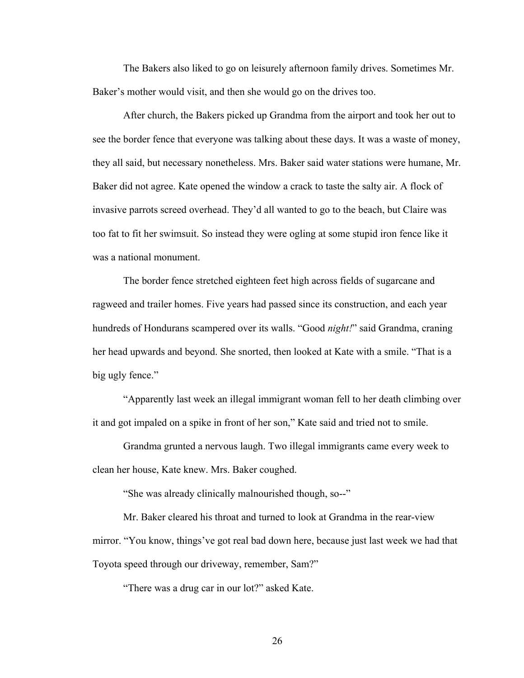The Bakers also liked to go on leisurely afternoon family drives. Sometimes Mr. Baker's mother would visit, and then she would go on the drives too.

After church, the Bakers picked up Grandma from the airport and took her out to see the border fence that everyone was talking about these days. It was a waste of money, they all said, but necessary nonetheless. Mrs. Baker said water stations were humane, Mr. Baker did not agree. Kate opened the window a crack to taste the salty air. A flock of invasive parrots screed overhead. They'd all wanted to go to the beach, but Claire was too fat to fit her swimsuit. So instead they were ogling at some stupid iron fence like it was a national monument.

The border fence stretched eighteen feet high across fields of sugarcane and ragweed and trailer homes. Five years had passed since its construction, and each year hundreds of Hondurans scampered over its walls. "Good *night!*" said Grandma, craning her head upwards and beyond. She snorted, then looked at Kate with a smile. "That is a big ugly fence."

"Apparently last week an illegal immigrant woman fell to her death climbing over it and got impaled on a spike in front of her son," Kate said and tried not to smile.

Grandma grunted a nervous laugh. Two illegal immigrants came every week to clean her house, Kate knew. Mrs. Baker coughed.

"She was already clinically malnourished though, so--"

Mr. Baker cleared his throat and turned to look at Grandma in the rear-view mirror. "You know, things've got real bad down here, because just last week we had that Toyota speed through our driveway, remember, Sam?"

"There was a drug car in our lot?" asked Kate.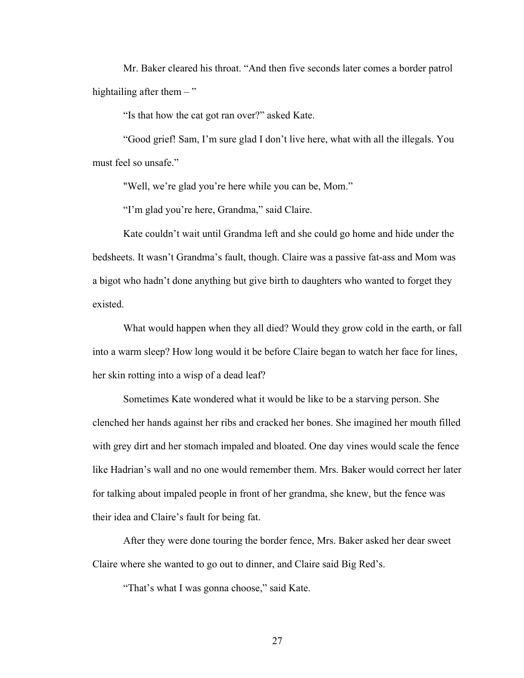Mr. Baker cleared his throat. "And then five seconds later comes a border patrol hightailing after them  $-$ "

"Is that how the cat got ran over?" asked Kate.

"Good grief! Sam, I'm sure glad I don't live here, what with all the illegals. You must feel so unsafe."

"Well, we're glad you're here while you can be, Mom."

"I'm glad you're here, Grandma," said Claire.

Kate couldn't wait until Grandma left and she could go home and hide under the bedsheets. It wasn't Grandma's fault, though. Claire was a passive fat-ass and Mom was a bigot who hadn't done anything but give birth to daughters who wanted to forget they existed.

What would happen when they all died? Would they grow cold in the earth, or fall into a warm sleep? How long would it be before Claire began to watch her face for lines, her skin rotting into a wisp of a dead leaf?

Sometimes Kate wondered what it would be like to be a starving person. She clenched her hands against her ribs and cracked her bones. She imagined her mouth filled with grey dirt and her stomach impaled and bloated. One day vines would scale the fence like Hadrian's wall and no one would remember them. Mrs. Baker would correct her later for talking about impaled people in front of her grandma, she knew, but the fence was their idea and Claire's fault for being fat.

After they were done touring the border fence, Mrs. Baker asked her dear sweet Claire where she wanted to go out to dinner, and Claire said Big Red's.

"That's what I was gonna choose," said Kate.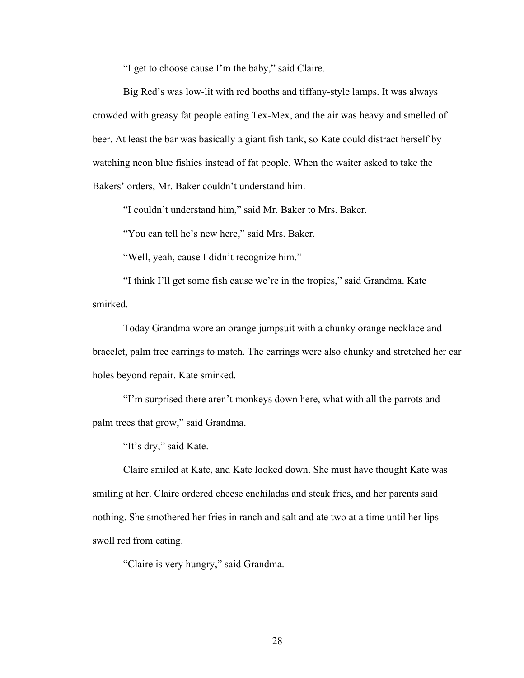"I get to choose cause I'm the baby," said Claire.

Big Red's was low-lit with red booths and tiffany-style lamps. It was always crowded with greasy fat people eating Tex-Mex, and the air was heavy and smelled of beer. At least the bar was basically a giant fish tank, so Kate could distract herself by watching neon blue fishies instead of fat people. When the waiter asked to take the Bakers' orders, Mr. Baker couldn't understand him.

"I couldn't understand him," said Mr. Baker to Mrs. Baker.

"You can tell he's new here," said Mrs. Baker.

"Well, yeah, cause I didn't recognize him."

"I think I'll get some fish cause we're in the tropics," said Grandma. Kate smirked.

Today Grandma wore an orange jumpsuit with a chunky orange necklace and bracelet, palm tree earrings to match. The earrings were also chunky and stretched her ear holes beyond repair. Kate smirked.

"I'm surprised there aren't monkeys down here, what with all the parrots and palm trees that grow," said Grandma.

"It's dry," said Kate.

Claire smiled at Kate, and Kate looked down. She must have thought Kate was smiling at her. Claire ordered cheese enchiladas and steak fries, and her parents said nothing. She smothered her fries in ranch and salt and ate two at a time until her lips swoll red from eating.

"Claire is very hungry," said Grandma.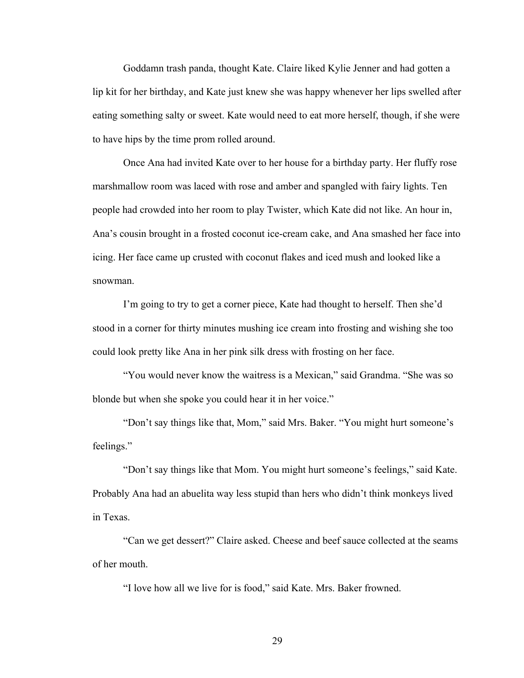Goddamn trash panda, thought Kate. Claire liked Kylie Jenner and had gotten a lip kit for her birthday, and Kate just knew she was happy whenever her lips swelled after eating something salty or sweet. Kate would need to eat more herself, though, if she were to have hips by the time prom rolled around.

Once Ana had invited Kate over to her house for a birthday party. Her fluffy rose marshmallow room was laced with rose and amber and spangled with fairy lights. Ten people had crowded into her room to play Twister, which Kate did not like. An hour in, Ana's cousin brought in a frosted coconut ice-cream cake, and Ana smashed her face into icing. Her face came up crusted with coconut flakes and iced mush and looked like a snowman.

I'm going to try to get a corner piece, Kate had thought to herself. Then she'd stood in a corner for thirty minutes mushing ice cream into frosting and wishing she too could look pretty like Ana in her pink silk dress with frosting on her face.

"You would never know the waitress is a Mexican," said Grandma. "She was so blonde but when she spoke you could hear it in her voice."

"Don't say things like that, Mom," said Mrs. Baker. "You might hurt someone's feelings."

"Don't say things like that Mom. You might hurt someone's feelings," said Kate. Probably Ana had an abuelita way less stupid than hers who didn't think monkeys lived in Texas.

"Can we get dessert?" Claire asked. Cheese and beef sauce collected at the seams of her mouth.

"I love how all we live for is food," said Kate. Mrs. Baker frowned.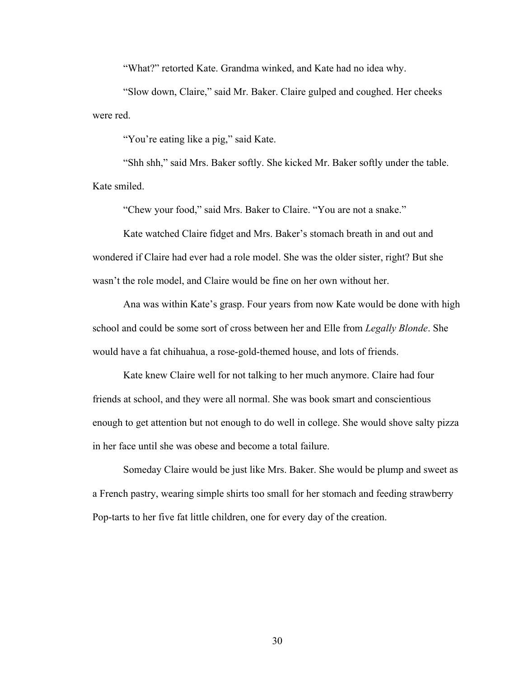"What?" retorted Kate. Grandma winked, and Kate had no idea why.

"Slow down, Claire," said Mr. Baker. Claire gulped and coughed. Her cheeks were red.

"You're eating like a pig," said Kate.

"Shh shh," said Mrs. Baker softly. She kicked Mr. Baker softly under the table. Kate smiled.

"Chew your food," said Mrs. Baker to Claire. "You are not a snake."

Kate watched Claire fidget and Mrs. Baker's stomach breath in and out and wondered if Claire had ever had a role model. She was the older sister, right? But she wasn't the role model, and Claire would be fine on her own without her.

Ana was within Kate's grasp. Four years from now Kate would be done with high school and could be some sort of cross between her and Elle from *Legally Blonde*. She would have a fat chihuahua, a rose-gold-themed house, and lots of friends.

Kate knew Claire well for not talking to her much anymore. Claire had four friends at school, and they were all normal. She was book smart and conscientious enough to get attention but not enough to do well in college. She would shove salty pizza in her face until she was obese and become a total failure.

Someday Claire would be just like Mrs. Baker. She would be plump and sweet as a French pastry, wearing simple shirts too small for her stomach and feeding strawberry Pop-tarts to her five fat little children, one for every day of the creation.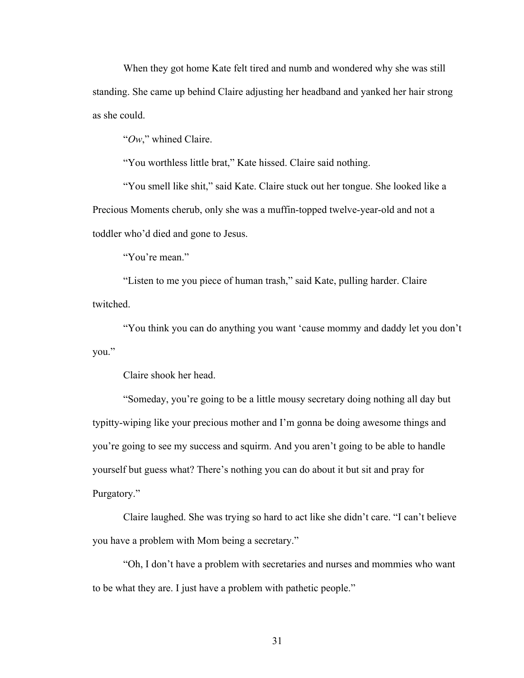When they got home Kate felt tired and numb and wondered why she was still standing. She came up behind Claire adjusting her headband and yanked her hair strong as she could.

"*Ow*," whined Claire.

"You worthless little brat," Kate hissed. Claire said nothing.

"You smell like shit," said Kate. Claire stuck out her tongue. She looked like a Precious Moments cherub, only she was a muffin-topped twelve-year-old and not a toddler who'd died and gone to Jesus.

"You're mean."

"Listen to me you piece of human trash," said Kate, pulling harder. Claire twitched.

"You think you can do anything you want 'cause mommy and daddy let you don't you."

Claire shook her head.

"Someday, you're going to be a little mousy secretary doing nothing all day but typitty-wiping like your precious mother and I'm gonna be doing awesome things and you're going to see my success and squirm. And you aren't going to be able to handle yourself but guess what? There's nothing you can do about it but sit and pray for Purgatory."

Claire laughed. She was trying so hard to act like she didn't care. "I can't believe you have a problem with Mom being a secretary."

"Oh, I don't have a problem with secretaries and nurses and mommies who want to be what they are. I just have a problem with pathetic people."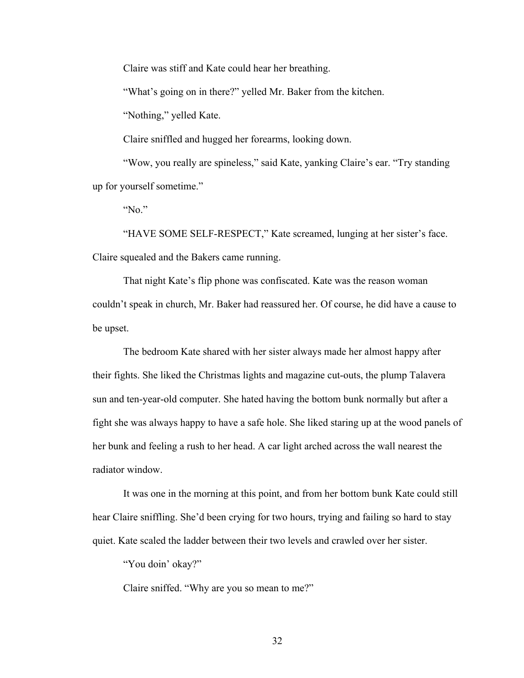Claire was stiff and Kate could hear her breathing.

"What's going on in there?" yelled Mr. Baker from the kitchen.

"Nothing," yelled Kate.

Claire sniffled and hugged her forearms, looking down.

"Wow, you really are spineless," said Kate, yanking Claire's ear. "Try standing up for yourself sometime."

"No."

"HAVE SOME SELF-RESPECT," Kate screamed, lunging at her sister's face. Claire squealed and the Bakers came running.

That night Kate's flip phone was confiscated. Kate was the reason woman couldn't speak in church, Mr. Baker had reassured her. Of course, he did have a cause to be upset.

The bedroom Kate shared with her sister always made her almost happy after their fights. She liked the Christmas lights and magazine cut-outs, the plump Talavera sun and ten-year-old computer. She hated having the bottom bunk normally but after a fight she was always happy to have a safe hole. She liked staring up at the wood panels of her bunk and feeling a rush to her head. A car light arched across the wall nearest the radiator window.

It was one in the morning at this point, and from her bottom bunk Kate could still hear Claire sniffling. She'd been crying for two hours, trying and failing so hard to stay quiet. Kate scaled the ladder between their two levels and crawled over her sister.

"You doin' okay?"

Claire sniffed. "Why are you so mean to me?"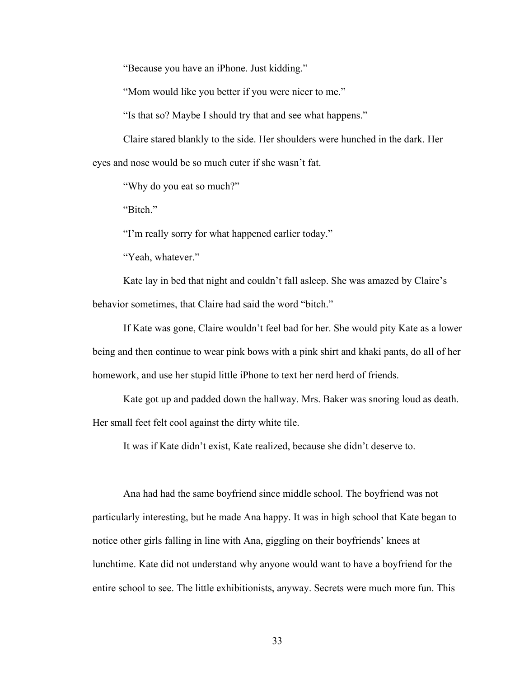"Because you have an iPhone. Just kidding."

"Mom would like you better if you were nicer to me."

"Is that so? Maybe I should try that and see what happens."

Claire stared blankly to the side. Her shoulders were hunched in the dark. Her eyes and nose would be so much cuter if she wasn't fat.

"Why do you eat so much?"

"Bitch."

"I'm really sorry for what happened earlier today."

"Yeah, whatever."

Kate lay in bed that night and couldn't fall asleep. She was amazed by Claire's behavior sometimes, that Claire had said the word "bitch."

If Kate was gone, Claire wouldn't feel bad for her. She would pity Kate as a lower being and then continue to wear pink bows with a pink shirt and khaki pants, do all of her homework, and use her stupid little iPhone to text her nerd herd of friends.

Kate got up and padded down the hallway. Mrs. Baker was snoring loud as death. Her small feet felt cool against the dirty white tile.

It was if Kate didn't exist, Kate realized, because she didn't deserve to.

Ana had had the same boyfriend since middle school. The boyfriend was not particularly interesting, but he made Ana happy. It was in high school that Kate began to notice other girls falling in line with Ana, giggling on their boyfriends' knees at lunchtime. Kate did not understand why anyone would want to have a boyfriend for the entire school to see. The little exhibitionists, anyway. Secrets were much more fun. This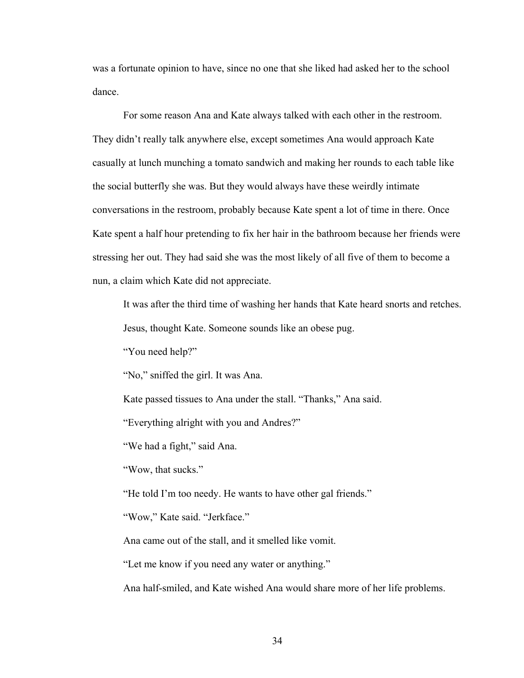was a fortunate opinion to have, since no one that she liked had asked her to the school dance.

For some reason Ana and Kate always talked with each other in the restroom. They didn't really talk anywhere else, except sometimes Ana would approach Kate casually at lunch munching a tomato sandwich and making her rounds to each table like the social butterfly she was. But they would always have these weirdly intimate conversations in the restroom, probably because Kate spent a lot of time in there. Once Kate spent a half hour pretending to fix her hair in the bathroom because her friends were stressing her out. They had said she was the most likely of all five of them to become a nun, a claim which Kate did not appreciate.

It was after the third time of washing her hands that Kate heard snorts and retches. Jesus, thought Kate. Someone sounds like an obese pug.

"You need help?"

"No," sniffed the girl. It was Ana.

Kate passed tissues to Ana under the stall. "Thanks," Ana said.

"Everything alright with you and Andres?"

"We had a fight," said Ana.

"Wow, that sucks."

"He told I'm too needy. He wants to have other gal friends."

"Wow," Kate said. "Jerkface."

Ana came out of the stall, and it smelled like vomit.

"Let me know if you need any water or anything."

Ana half-smiled, and Kate wished Ana would share more of her life problems.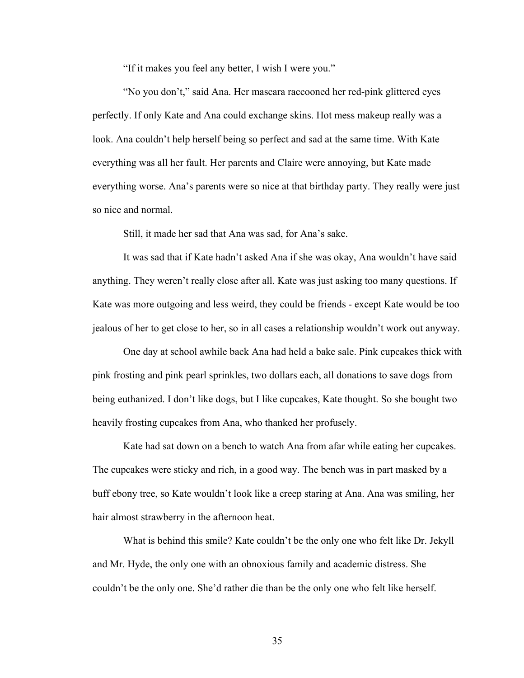"If it makes you feel any better, I wish I were you."

"No you don't," said Ana. Her mascara raccooned her red-pink glittered eyes perfectly. If only Kate and Ana could exchange skins. Hot mess makeup really was a look. Ana couldn't help herself being so perfect and sad at the same time. With Kate everything was all her fault. Her parents and Claire were annoying, but Kate made everything worse. Ana's parents were so nice at that birthday party. They really were just so nice and normal.

Still, it made her sad that Ana was sad, for Ana's sake.

It was sad that if Kate hadn't asked Ana if she was okay, Ana wouldn't have said anything. They weren't really close after all. Kate was just asking too many questions. If Kate was more outgoing and less weird, they could be friends - except Kate would be too jealous of her to get close to her, so in all cases a relationship wouldn't work out anyway.

One day at school awhile back Ana had held a bake sale. Pink cupcakes thick with pink frosting and pink pearl sprinkles, two dollars each, all donations to save dogs from being euthanized. I don't like dogs, but I like cupcakes, Kate thought. So she bought two heavily frosting cupcakes from Ana, who thanked her profusely.

Kate had sat down on a bench to watch Ana from afar while eating her cupcakes. The cupcakes were sticky and rich, in a good way. The bench was in part masked by a buff ebony tree, so Kate wouldn't look like a creep staring at Ana. Ana was smiling, her hair almost strawberry in the afternoon heat.

What is behind this smile? Kate couldn't be the only one who felt like Dr. Jekyll and Mr. Hyde, the only one with an obnoxious family and academic distress. She couldn't be the only one. She'd rather die than be the only one who felt like herself.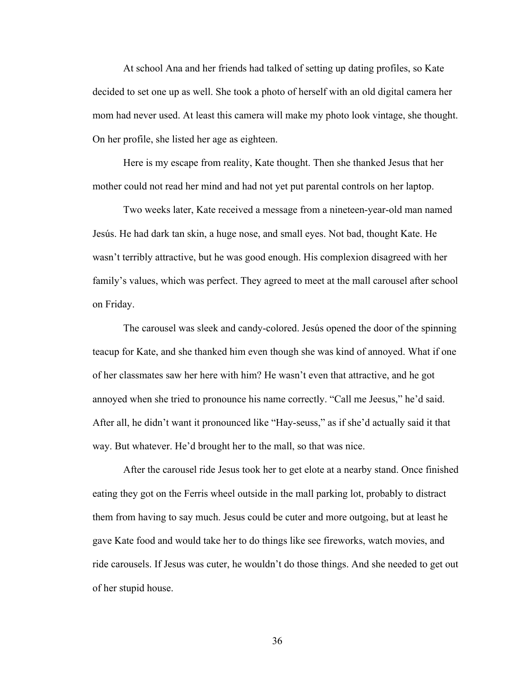At school Ana and her friends had talked of setting up dating profiles, so Kate decided to set one up as well. She took a photo of herself with an old digital camera her mom had never used. At least this camera will make my photo look vintage, she thought. On her profile, she listed her age as eighteen.

Here is my escape from reality, Kate thought. Then she thanked Jesus that her mother could not read her mind and had not yet put parental controls on her laptop.

Two weeks later, Kate received a message from a nineteen-year-old man named Jesús. He had dark tan skin, a huge nose, and small eyes. Not bad, thought Kate. He wasn't terribly attractive, but he was good enough. His complexion disagreed with her family's values, which was perfect. They agreed to meet at the mall carousel after school on Friday.

The carousel was sleek and candy-colored. Jesús opened the door of the spinning teacup for Kate, and she thanked him even though she was kind of annoyed. What if one of her classmates saw her here with him? He wasn't even that attractive, and he got annoyed when she tried to pronounce his name correctly. "Call me Jeesus," he'd said. After all, he didn't want it pronounced like "Hay-seuss," as if she'd actually said it that way. But whatever. He'd brought her to the mall, so that was nice.

After the carousel ride Jesus took her to get elote at a nearby stand. Once finished eating they got on the Ferris wheel outside in the mall parking lot, probably to distract them from having to say much. Jesus could be cuter and more outgoing, but at least he gave Kate food and would take her to do things like see fireworks, watch movies, and ride carousels. If Jesus was cuter, he wouldn't do those things. And she needed to get out of her stupid house.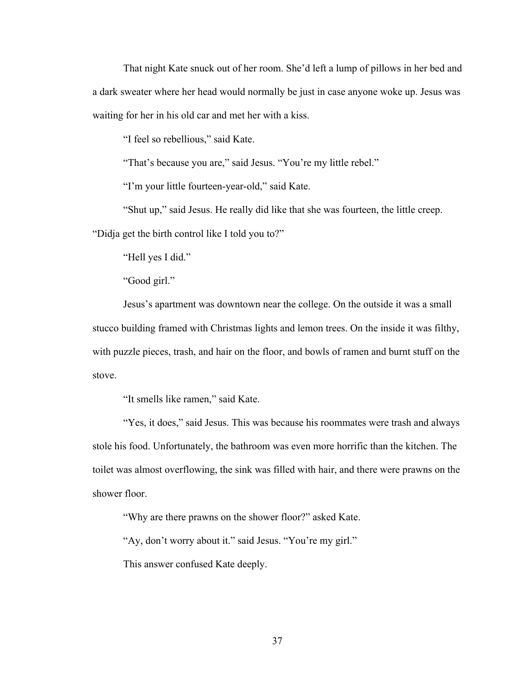That night Kate snuck out of her room. She'd left a lump of pillows in her bed and a dark sweater where her head would normally be just in case anyone woke up. Jesus was waiting for her in his old car and met her with a kiss.

"I feel so rebellious," said Kate.

"That's because you are," said Jesus. "You're my little rebel."

"I'm your little fourteen-year-old," said Kate.

"Shut up," said Jesus. He really did like that she was fourteen, the little creep.

"Didja get the birth control like I told you to?"

"Hell yes I did."

"Good girl."

Jesus's apartment was downtown near the college. On the outside it was a small stucco building framed with Christmas lights and lemon trees. On the inside it was filthy, with puzzle pieces, trash, and hair on the floor, and bowls of ramen and burnt stuff on the stove.

"It smells like ramen," said Kate.

"Yes, it does," said Jesus. This was because his roommates were trash and always stole his food. Unfortunately, the bathroom was even more horrific than the kitchen. The toilet was almost overflowing, the sink was filled with hair, and there were prawns on the shower floor.

"Why are there prawns on the shower floor?" asked Kate.

"Ay, don't worry about it." said Jesus. "You're my girl."

This answer confused Kate deeply.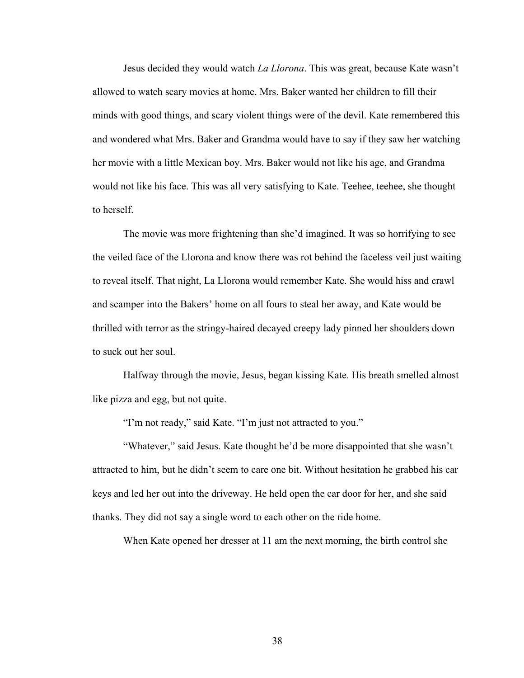Jesus decided they would watch *La Llorona*. This was great, because Kate wasn't allowed to watch scary movies at home. Mrs. Baker wanted her children to fill their minds with good things, and scary violent things were of the devil. Kate remembered this and wondered what Mrs. Baker and Grandma would have to say if they saw her watching her movie with a little Mexican boy. Mrs. Baker would not like his age, and Grandma would not like his face. This was all very satisfying to Kate. Teehee, teehee, she thought to herself.

The movie was more frightening than she'd imagined. It was so horrifying to see the veiled face of the Llorona and know there was rot behind the faceless veil just waiting to reveal itself. That night, La Llorona would remember Kate. She would hiss and crawl and scamper into the Bakers' home on all fours to steal her away, and Kate would be thrilled with terror as the stringy-haired decayed creepy lady pinned her shoulders down to suck out her soul.

Halfway through the movie, Jesus, began kissing Kate. His breath smelled almost like pizza and egg, but not quite.

"I'm not ready," said Kate. "I'm just not attracted to you."

"Whatever," said Jesus. Kate thought he'd be more disappointed that she wasn't attracted to him, but he didn't seem to care one bit. Without hesitation he grabbed his car keys and led her out into the driveway. He held open the car door for her, and she said thanks. They did not say a single word to each other on the ride home.

When Kate opened her dresser at 11 am the next morning, the birth control she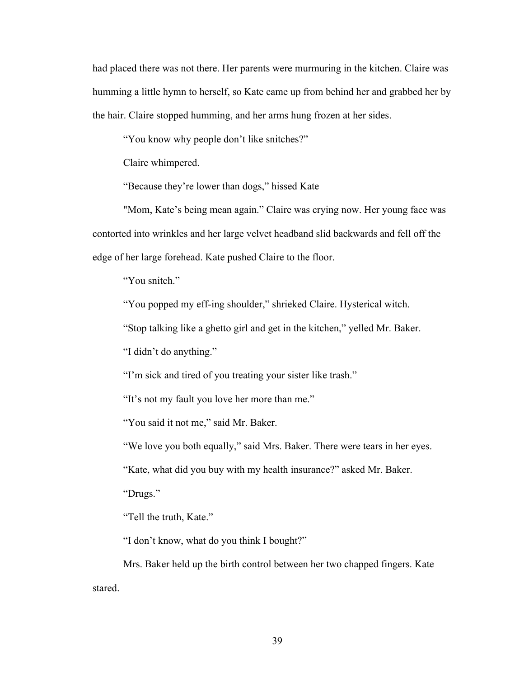had placed there was not there. Her parents were murmuring in the kitchen. Claire was humming a little hymn to herself, so Kate came up from behind her and grabbed her by the hair. Claire stopped humming, and her arms hung frozen at her sides.

"You know why people don't like snitches?"

Claire whimpered.

"Because they're lower than dogs," hissed Kate

"Mom, Kate's being mean again." Claire was crying now. Her young face was contorted into wrinkles and her large velvet headband slid backwards and fell off the edge of her large forehead. Kate pushed Claire to the floor.

"You snitch."

"You popped my eff-ing shoulder," shrieked Claire. Hysterical witch.

"Stop talking like a ghetto girl and get in the kitchen," yelled Mr. Baker.

"I didn't do anything."

"I'm sick and tired of you treating your sister like trash."

"It's not my fault you love her more than me."

"You said it not me," said Mr. Baker.

"We love you both equally," said Mrs. Baker. There were tears in her eyes.

"Kate, what did you buy with my health insurance?" asked Mr. Baker.

"Drugs."

"Tell the truth, Kate."

"I don't know, what do you think I bought?"

Mrs. Baker held up the birth control between her two chapped fingers. Kate stared.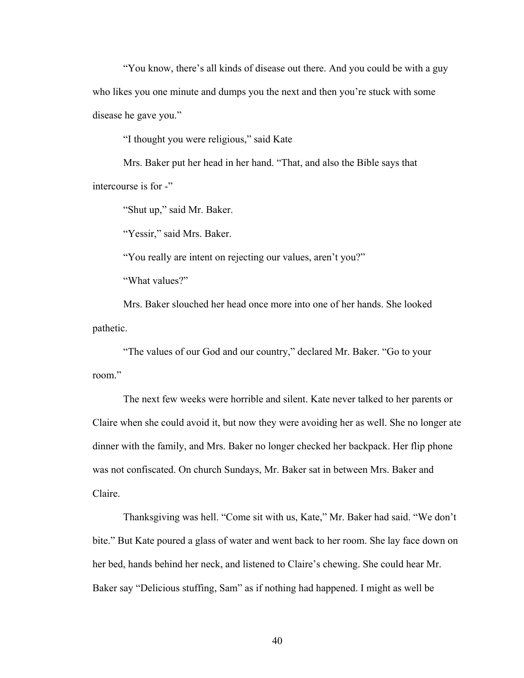"You know, there's all kinds of disease out there. And you could be with a guy who likes you one minute and dumps you the next and then you're stuck with some disease he gave you."

"I thought you were religious," said Kate

Mrs. Baker put her head in her hand. "That, and also the Bible says that intercourse is for -"

"Shut up," said Mr. Baker.

"Yessir," said Mrs. Baker.

"You really are intent on rejecting our values, aren't you?"

"What values?"

Mrs. Baker slouched her head once more into one of her hands. She looked pathetic.

"The values of our God and our country," declared Mr. Baker. "Go to your room."

The next few weeks were horrible and silent. Kate never talked to her parents or Claire when she could avoid it, but now they were avoiding her as well. She no longer ate dinner with the family, and Mrs. Baker no longer checked her backpack. Her flip phone was not confiscated. On church Sundays, Mr. Baker sat in between Mrs. Baker and Claire.

Thanksgiving was hell. "Come sit with us, Kate," Mr. Baker had said. "We don't bite." But Kate poured a glass of water and went back to her room. She lay face down on her bed, hands behind her neck, and listened to Claire's chewing. She could hear Mr. Baker say "Delicious stuffing, Sam" as if nothing had happened. I might as well be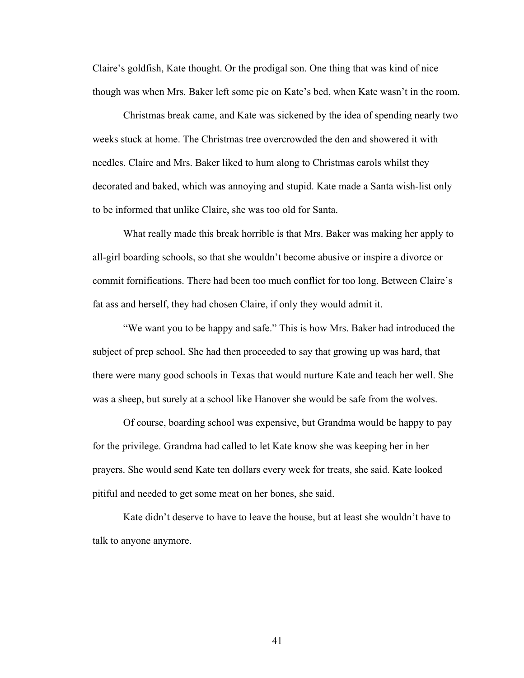Claire's goldfish, Kate thought. Or the prodigal son. One thing that was kind of nice though was when Mrs. Baker left some pie on Kate's bed, when Kate wasn't in the room.

Christmas break came, and Kate was sickened by the idea of spending nearly two weeks stuck at home. The Christmas tree overcrowded the den and showered it with needles. Claire and Mrs. Baker liked to hum along to Christmas carols whilst they decorated and baked, which was annoying and stupid. Kate made a Santa wish-list only to be informed that unlike Claire, she was too old for Santa.

What really made this break horrible is that Mrs. Baker was making her apply to all-girl boarding schools, so that she wouldn't become abusive or inspire a divorce or commit fornifications. There had been too much conflict for too long. Between Claire's fat ass and herself, they had chosen Claire, if only they would admit it.

"We want you to be happy and safe." This is how Mrs. Baker had introduced the subject of prep school. She had then proceeded to say that growing up was hard, that there were many good schools in Texas that would nurture Kate and teach her well. She was a sheep, but surely at a school like Hanover she would be safe from the wolves.

Of course, boarding school was expensive, but Grandma would be happy to pay for the privilege. Grandma had called to let Kate know she was keeping her in her prayers. She would send Kate ten dollars every week for treats, she said. Kate looked pitiful and needed to get some meat on her bones, she said.

Kate didn't deserve to have to leave the house, but at least she wouldn't have to talk to anyone anymore.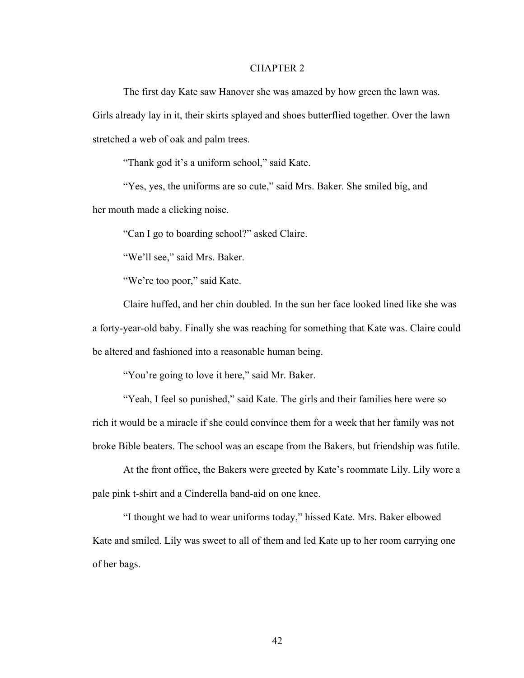## CHAPTER 2

The first day Kate saw Hanover she was amazed by how green the lawn was. Girls already lay in it, their skirts splayed and shoes butterflied together. Over the lawn stretched a web of oak and palm trees.

"Thank god it's a uniform school," said Kate.

"Yes, yes, the uniforms are so cute," said Mrs. Baker. She smiled big, and her mouth made a clicking noise.

"Can I go to boarding school?" asked Claire.

"We'll see," said Mrs. Baker.

"We're too poor," said Kate.

Claire huffed, and her chin doubled. In the sun her face looked lined like she was a forty-year-old baby. Finally she was reaching for something that Kate was. Claire could be altered and fashioned into a reasonable human being.

"You're going to love it here," said Mr. Baker.

"Yeah, I feel so punished," said Kate. The girls and their families here were so rich it would be a miracle if she could convince them for a week that her family was not broke Bible beaters. The school was an escape from the Bakers, but friendship was futile.

At the front office, the Bakers were greeted by Kate's roommate Lily. Lily wore a pale pink t-shirt and a Cinderella band-aid on one knee.

"I thought we had to wear uniforms today," hissed Kate. Mrs. Baker elbowed Kate and smiled. Lily was sweet to all of them and led Kate up to her room carrying one of her bags.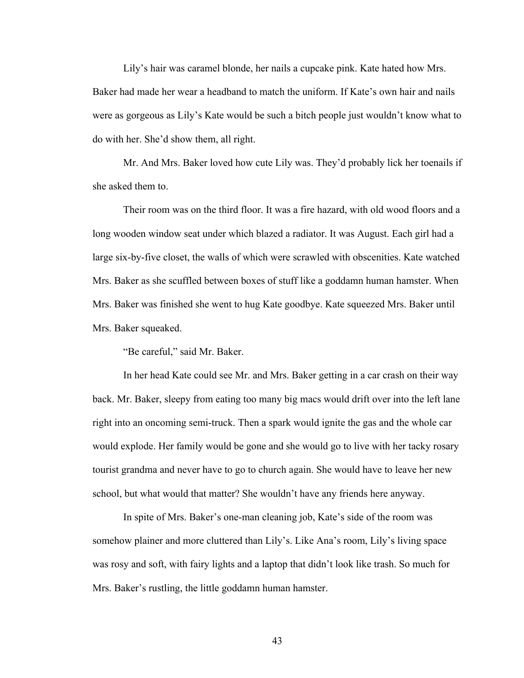Lily's hair was caramel blonde, her nails a cupcake pink. Kate hated how Mrs. Baker had made her wear a headband to match the uniform. If Kate's own hair and nails were as gorgeous as Lily's Kate would be such a bitch people just wouldn't know what to do with her. She'd show them, all right.

Mr. And Mrs. Baker loved how cute Lily was. They'd probably lick her toenails if she asked them to.

Their room was on the third floor. It was a fire hazard, with old wood floors and a long wooden window seat under which blazed a radiator. It was August. Each girl had a large six-by-five closet, the walls of which were scrawled with obscenities. Kate watched Mrs. Baker as she scuffled between boxes of stuff like a goddamn human hamster. When Mrs. Baker was finished she went to hug Kate goodbye. Kate squeezed Mrs. Baker until Mrs. Baker squeaked.

"Be careful," said Mr. Baker.

In her head Kate could see Mr. and Mrs. Baker getting in a car crash on their way back. Mr. Baker, sleepy from eating too many big macs would drift over into the left lane right into an oncoming semi-truck. Then a spark would ignite the gas and the whole car would explode. Her family would be gone and she would go to live with her tacky rosary tourist grandma and never have to go to church again. She would have to leave her new school, but what would that matter? She wouldn't have any friends here anyway.

In spite of Mrs. Baker's one-man cleaning job, Kate's side of the room was somehow plainer and more cluttered than Lily's. Like Ana's room, Lily's living space was rosy and soft, with fairy lights and a laptop that didn't look like trash. So much for Mrs. Baker's rustling, the little goddamn human hamster.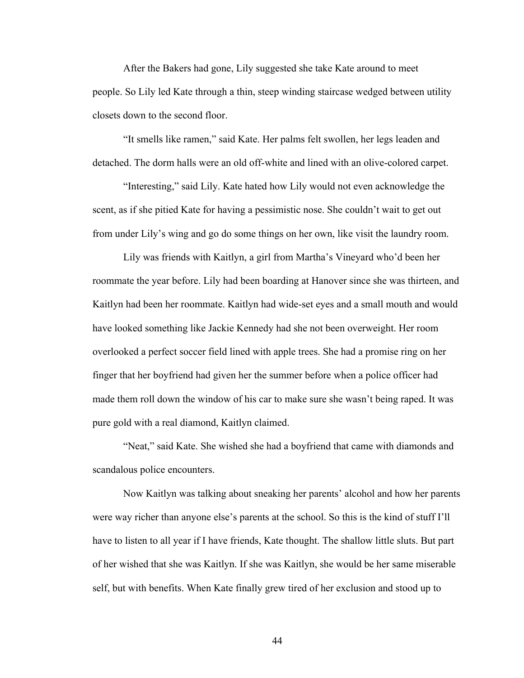After the Bakers had gone, Lily suggested she take Kate around to meet people. So Lily led Kate through a thin, steep winding staircase wedged between utility closets down to the second floor.

"It smells like ramen," said Kate. Her palms felt swollen, her legs leaden and detached. The dorm halls were an old off-white and lined with an olive-colored carpet.

"Interesting," said Lily. Kate hated how Lily would not even acknowledge the scent, as if she pitied Kate for having a pessimistic nose. She couldn't wait to get out from under Lily's wing and go do some things on her own, like visit the laundry room.

Lily was friends with Kaitlyn, a girl from Martha's Vineyard who'd been her roommate the year before. Lily had been boarding at Hanover since she was thirteen, and Kaitlyn had been her roommate. Kaitlyn had wide-set eyes and a small mouth and would have looked something like Jackie Kennedy had she not been overweight. Her room overlooked a perfect soccer field lined with apple trees. She had a promise ring on her finger that her boyfriend had given her the summer before when a police officer had made them roll down the window of his car to make sure she wasn't being raped. It was pure gold with a real diamond, Kaitlyn claimed.

"Neat," said Kate. She wished she had a boyfriend that came with diamonds and scandalous police encounters.

Now Kaitlyn was talking about sneaking her parents' alcohol and how her parents were way richer than anyone else's parents at the school. So this is the kind of stuff I'll have to listen to all year if I have friends, Kate thought. The shallow little sluts. But part of her wished that she was Kaitlyn. If she was Kaitlyn, she would be her same miserable self, but with benefits. When Kate finally grew tired of her exclusion and stood up to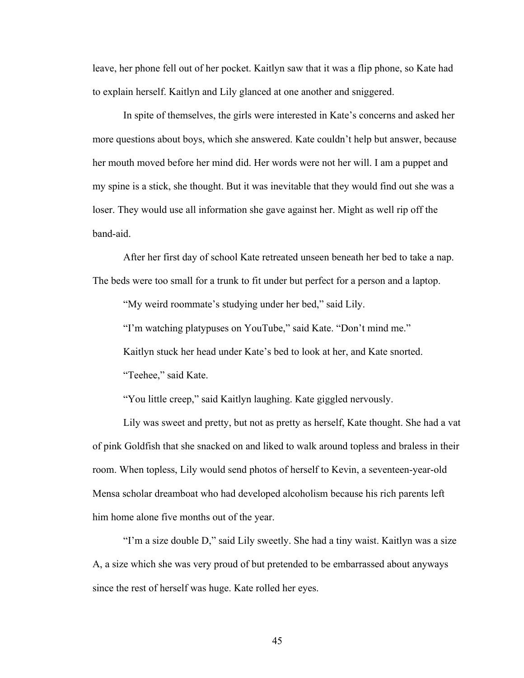leave, her phone fell out of her pocket. Kaitlyn saw that it was a flip phone, so Kate had to explain herself. Kaitlyn and Lily glanced at one another and sniggered.

In spite of themselves, the girls were interested in Kate's concerns and asked her more questions about boys, which she answered. Kate couldn't help but answer, because her mouth moved before her mind did. Her words were not her will. I am a puppet and my spine is a stick, she thought. But it was inevitable that they would find out she was a loser. They would use all information she gave against her. Might as well rip off the band-aid.

After her first day of school Kate retreated unseen beneath her bed to take a nap. The beds were too small for a trunk to fit under but perfect for a person and a laptop.

"My weird roommate's studying under her bed," said Lily.

"I'm watching platypuses on YouTube," said Kate. "Don't mind me."

Kaitlyn stuck her head under Kate's bed to look at her, and Kate snorted.

"Teehee," said Kate.

"You little creep," said Kaitlyn laughing. Kate giggled nervously.

Lily was sweet and pretty, but not as pretty as herself, Kate thought. She had a vat of pink Goldfish that she snacked on and liked to walk around topless and braless in their room. When topless, Lily would send photos of herself to Kevin, a seventeen-year-old Mensa scholar dreamboat who had developed alcoholism because his rich parents left him home alone five months out of the year.

"I'm a size double D," said Lily sweetly. She had a tiny waist. Kaitlyn was a size A, a size which she was very proud of but pretended to be embarrassed about anyways since the rest of herself was huge. Kate rolled her eyes.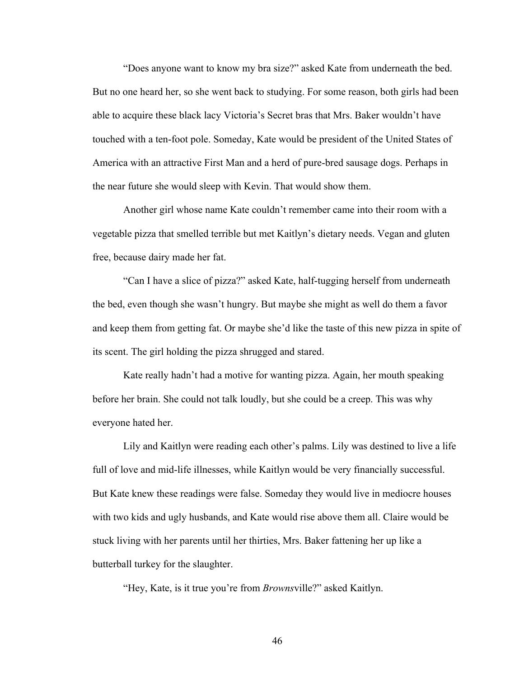"Does anyone want to know my bra size?" asked Kate from underneath the bed. But no one heard her, so she went back to studying. For some reason, both girls had been able to acquire these black lacy Victoria's Secret bras that Mrs. Baker wouldn't have touched with a ten-foot pole. Someday, Kate would be president of the United States of America with an attractive First Man and a herd of pure-bred sausage dogs. Perhaps in the near future she would sleep with Kevin. That would show them.

Another girl whose name Kate couldn't remember came into their room with a vegetable pizza that smelled terrible but met Kaitlyn's dietary needs. Vegan and gluten free, because dairy made her fat.

"Can I have a slice of pizza?" asked Kate, half-tugging herself from underneath the bed, even though she wasn't hungry. But maybe she might as well do them a favor and keep them from getting fat. Or maybe she'd like the taste of this new pizza in spite of its scent. The girl holding the pizza shrugged and stared.

Kate really hadn't had a motive for wanting pizza. Again, her mouth speaking before her brain. She could not talk loudly, but she could be a creep. This was why everyone hated her.

Lily and Kaitlyn were reading each other's palms. Lily was destined to live a life full of love and mid-life illnesses, while Kaitlyn would be very financially successful. But Kate knew these readings were false. Someday they would live in mediocre houses with two kids and ugly husbands, and Kate would rise above them all. Claire would be stuck living with her parents until her thirties, Mrs. Baker fattening her up like a butterball turkey for the slaughter.

"Hey, Kate, is it true you're from *Browns*ville?" asked Kaitlyn.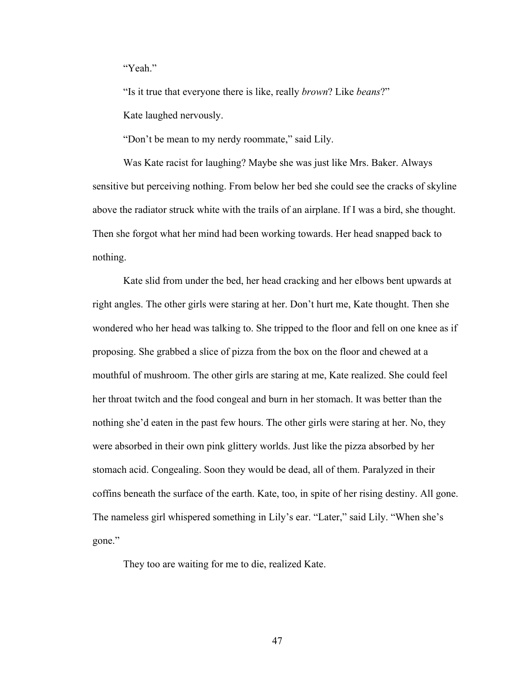"Yeah"

"Is it true that everyone there is like, really *brown*? Like *beans*?"

Kate laughed nervously.

"Don't be mean to my nerdy roommate," said Lily.

Was Kate racist for laughing? Maybe she was just like Mrs. Baker. Always sensitive but perceiving nothing. From below her bed she could see the cracks of skyline above the radiator struck white with the trails of an airplane. If I was a bird, she thought. Then she forgot what her mind had been working towards. Her head snapped back to nothing.

Kate slid from under the bed, her head cracking and her elbows bent upwards at right angles. The other girls were staring at her. Don't hurt me, Kate thought. Then she wondered who her head was talking to. She tripped to the floor and fell on one knee as if proposing. She grabbed a slice of pizza from the box on the floor and chewed at a mouthful of mushroom. The other girls are staring at me, Kate realized. She could feel her throat twitch and the food congeal and burn in her stomach. It was better than the nothing she'd eaten in the past few hours. The other girls were staring at her. No, they were absorbed in their own pink glittery worlds. Just like the pizza absorbed by her stomach acid. Congealing. Soon they would be dead, all of them. Paralyzed in their coffins beneath the surface of the earth. Kate, too, in spite of her rising destiny. All gone. The nameless girl whispered something in Lily's ear. "Later," said Lily. "When she's gone."

They too are waiting for me to die, realized Kate.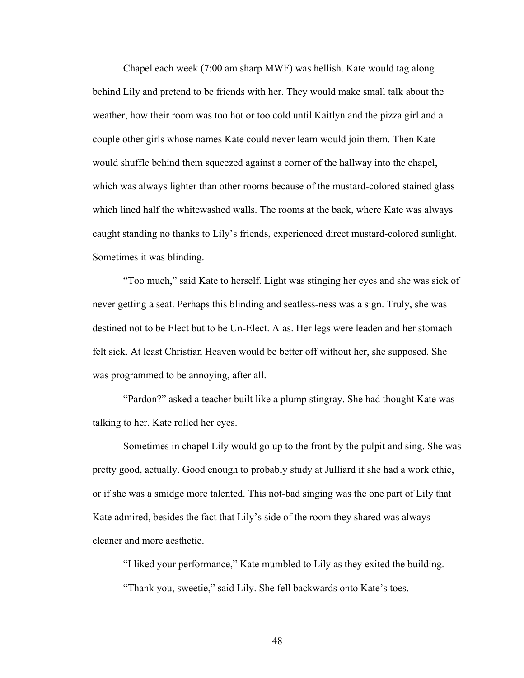Chapel each week (7:00 am sharp MWF) was hellish. Kate would tag along behind Lily and pretend to be friends with her. They would make small talk about the weather, how their room was too hot or too cold until Kaitlyn and the pizza girl and a couple other girls whose names Kate could never learn would join them. Then Kate would shuffle behind them squeezed against a corner of the hallway into the chapel, which was always lighter than other rooms because of the mustard-colored stained glass which lined half the whitewashed walls. The rooms at the back, where Kate was always caught standing no thanks to Lily's friends, experienced direct mustard-colored sunlight. Sometimes it was blinding.

"Too much," said Kate to herself. Light was stinging her eyes and she was sick of never getting a seat. Perhaps this blinding and seatless-ness was a sign. Truly, she was destined not to be Elect but to be Un-Elect. Alas. Her legs were leaden and her stomach felt sick. At least Christian Heaven would be better off without her, she supposed. She was programmed to be annoying, after all.

"Pardon?" asked a teacher built like a plump stingray. She had thought Kate was talking to her. Kate rolled her eyes.

Sometimes in chapel Lily would go up to the front by the pulpit and sing. She was pretty good, actually. Good enough to probably study at Julliard if she had a work ethic, or if she was a smidge more talented. This not-bad singing was the one part of Lily that Kate admired, besides the fact that Lily's side of the room they shared was always cleaner and more aesthetic.

"I liked your performance," Kate mumbled to Lily as they exited the building. "Thank you, sweetie," said Lily. She fell backwards onto Kate's toes.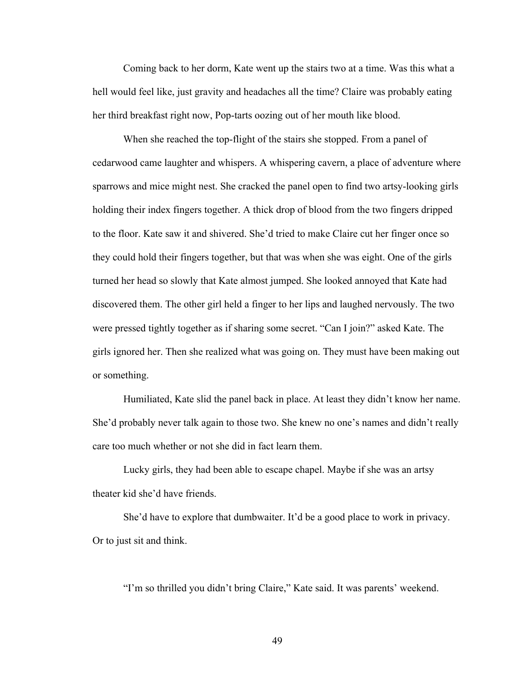Coming back to her dorm, Kate went up the stairs two at a time. Was this what a hell would feel like, just gravity and headaches all the time? Claire was probably eating her third breakfast right now, Pop-tarts oozing out of her mouth like blood.

When she reached the top-flight of the stairs she stopped. From a panel of cedarwood came laughter and whispers. A whispering cavern, a place of adventure where sparrows and mice might nest. She cracked the panel open to find two artsy-looking girls holding their index fingers together. A thick drop of blood from the two fingers dripped to the floor. Kate saw it and shivered. She'd tried to make Claire cut her finger once so they could hold their fingers together, but that was when she was eight. One of the girls turned her head so slowly that Kate almost jumped. She looked annoyed that Kate had discovered them. The other girl held a finger to her lips and laughed nervously. The two were pressed tightly together as if sharing some secret. "Can I join?" asked Kate. The girls ignored her. Then she realized what was going on. They must have been making out or something.

Humiliated, Kate slid the panel back in place. At least they didn't know her name. She'd probably never talk again to those two. She knew no one's names and didn't really care too much whether or not she did in fact learn them.

Lucky girls, they had been able to escape chapel. Maybe if she was an artsy theater kid she'd have friends.

She'd have to explore that dumbwaiter. It'd be a good place to work in privacy. Or to just sit and think.

"I'm so thrilled you didn't bring Claire," Kate said. It was parents' weekend.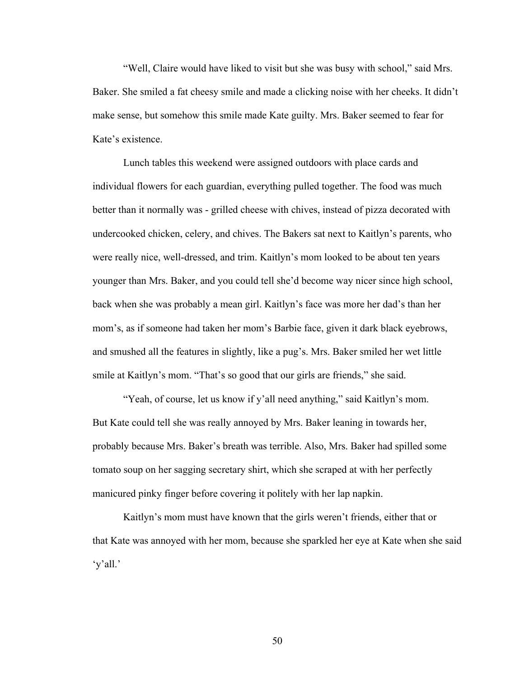"Well, Claire would have liked to visit but she was busy with school," said Mrs. Baker. She smiled a fat cheesy smile and made a clicking noise with her cheeks. It didn't make sense, but somehow this smile made Kate guilty. Mrs. Baker seemed to fear for Kate's existence.

Lunch tables this weekend were assigned outdoors with place cards and individual flowers for each guardian, everything pulled together. The food was much better than it normally was - grilled cheese with chives, instead of pizza decorated with undercooked chicken, celery, and chives. The Bakers sat next to Kaitlyn's parents, who were really nice, well-dressed, and trim. Kaitlyn's mom looked to be about ten years younger than Mrs. Baker, and you could tell she'd become way nicer since high school, back when she was probably a mean girl. Kaitlyn's face was more her dad's than her mom's, as if someone had taken her mom's Barbie face, given it dark black eyebrows, and smushed all the features in slightly, like a pug's. Mrs. Baker smiled her wet little smile at Kaitlyn's mom. "That's so good that our girls are friends," she said.

"Yeah, of course, let us know if y'all need anything," said Kaitlyn's mom. But Kate could tell she was really annoyed by Mrs. Baker leaning in towards her, probably because Mrs. Baker's breath was terrible. Also, Mrs. Baker had spilled some tomato soup on her sagging secretary shirt, which she scraped at with her perfectly manicured pinky finger before covering it politely with her lap napkin.

Kaitlyn's mom must have known that the girls weren't friends, either that or that Kate was annoyed with her mom, because she sparkled her eye at Kate when she said 'y'all.'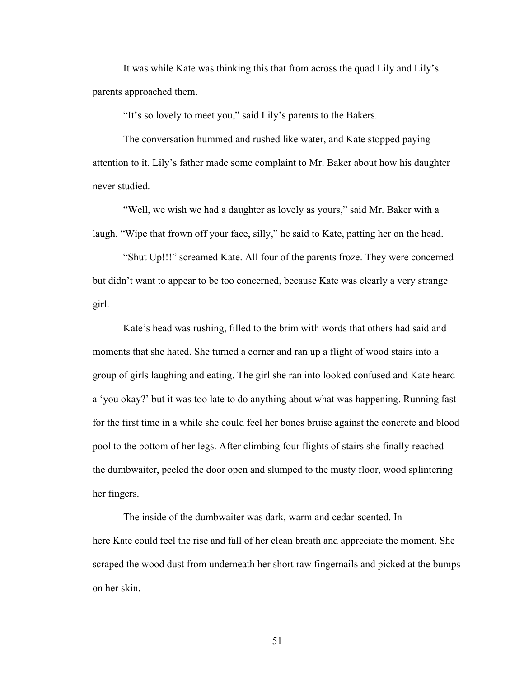It was while Kate was thinking this that from across the quad Lily and Lily's parents approached them.

"It's so lovely to meet you," said Lily's parents to the Bakers.

The conversation hummed and rushed like water, and Kate stopped paying attention to it. Lily's father made some complaint to Mr. Baker about how his daughter never studied.

"Well, we wish we had a daughter as lovely as yours," said Mr. Baker with a laugh. "Wipe that frown off your face, silly," he said to Kate, patting her on the head.

"Shut Up!!!" screamed Kate. All four of the parents froze. They were concerned but didn't want to appear to be too concerned, because Kate was clearly a very strange girl.

Kate's head was rushing, filled to the brim with words that others had said and moments that she hated. She turned a corner and ran up a flight of wood stairs into a group of girls laughing and eating. The girl she ran into looked confused and Kate heard a 'you okay?' but it was too late to do anything about what was happening. Running fast for the first time in a while she could feel her bones bruise against the concrete and blood pool to the bottom of her legs. After climbing four flights of stairs she finally reached the dumbwaiter, peeled the door open and slumped to the musty floor, wood splintering her fingers.

The inside of the dumbwaiter was dark, warm and cedar-scented. In here Kate could feel the rise and fall of her clean breath and appreciate the moment. She scraped the wood dust from underneath her short raw fingernails and picked at the bumps on her skin.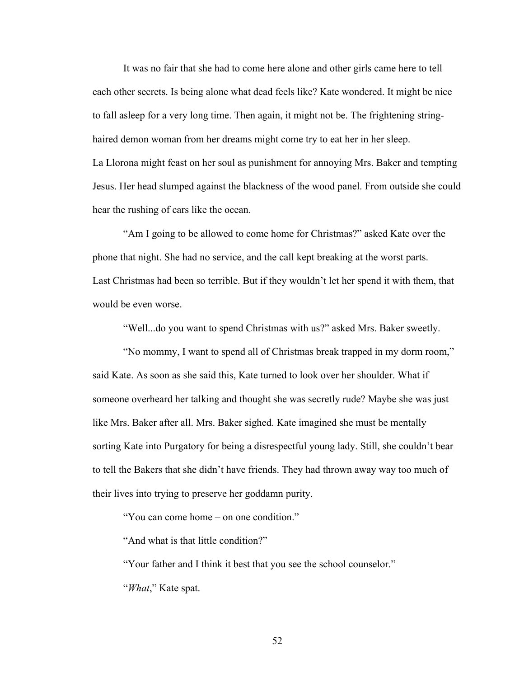It was no fair that she had to come here alone and other girls came here to tell each other secrets. Is being alone what dead feels like? Kate wondered. It might be nice to fall asleep for a very long time. Then again, it might not be. The frightening stringhaired demon woman from her dreams might come try to eat her in her sleep. La Llorona might feast on her soul as punishment for annoying Mrs. Baker and tempting Jesus. Her head slumped against the blackness of the wood panel. From outside she could hear the rushing of cars like the ocean.

"Am I going to be allowed to come home for Christmas?" asked Kate over the phone that night. She had no service, and the call kept breaking at the worst parts. Last Christmas had been so terrible. But if they wouldn't let her spend it with them, that would be even worse.

"Well...do you want to spend Christmas with us?" asked Mrs. Baker sweetly.

"No mommy, I want to spend all of Christmas break trapped in my dorm room," said Kate. As soon as she said this, Kate turned to look over her shoulder. What if someone overheard her talking and thought she was secretly rude? Maybe she was just like Mrs. Baker after all. Mrs. Baker sighed. Kate imagined she must be mentally sorting Kate into Purgatory for being a disrespectful young lady. Still, she couldn't bear to tell the Bakers that she didn't have friends. They had thrown away way too much of their lives into trying to preserve her goddamn purity.

"You can come home – on one condition."

"And what is that little condition?"

"Your father and I think it best that you see the school counselor." "*What*," Kate spat.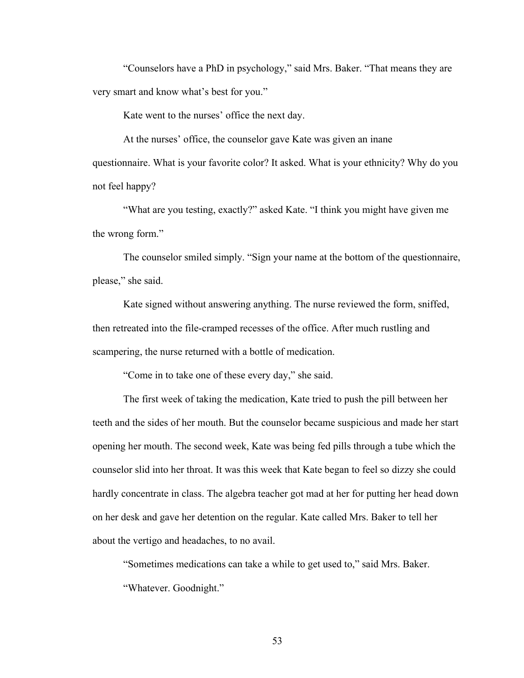"Counselors have a PhD in psychology," said Mrs. Baker. "That means they are very smart and know what's best for you."

Kate went to the nurses' office the next day.

At the nurses' office, the counselor gave Kate was given an inane questionnaire. What is your favorite color? It asked. What is your ethnicity? Why do you not feel happy?

"What are you testing, exactly?" asked Kate. "I think you might have given me the wrong form."

The counselor smiled simply. "Sign your name at the bottom of the questionnaire, please," she said.

Kate signed without answering anything. The nurse reviewed the form, sniffed, then retreated into the file-cramped recesses of the office. After much rustling and scampering, the nurse returned with a bottle of medication.

"Come in to take one of these every day," she said.

The first week of taking the medication, Kate tried to push the pill between her teeth and the sides of her mouth. But the counselor became suspicious and made her start opening her mouth. The second week, Kate was being fed pills through a tube which the counselor slid into her throat. It was this week that Kate began to feel so dizzy she could hardly concentrate in class. The algebra teacher got mad at her for putting her head down on her desk and gave her detention on the regular. Kate called Mrs. Baker to tell her about the vertigo and headaches, to no avail.

"Sometimes medications can take a while to get used to," said Mrs. Baker. "Whatever. Goodnight."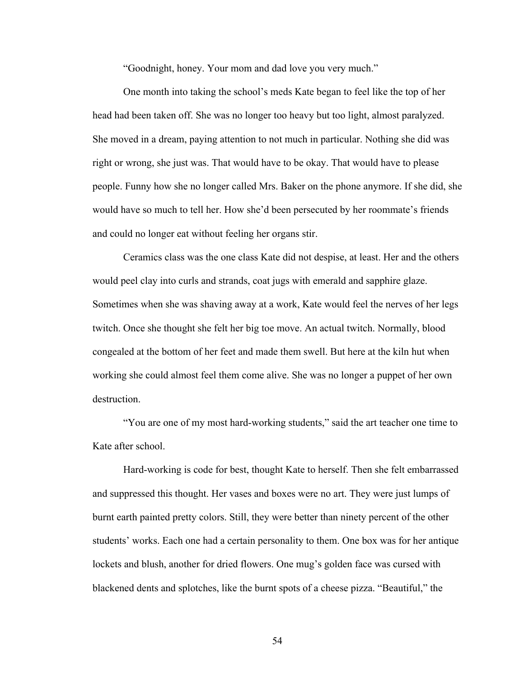"Goodnight, honey. Your mom and dad love you very much."

One month into taking the school's meds Kate began to feel like the top of her head had been taken off. She was no longer too heavy but too light, almost paralyzed. She moved in a dream, paying attention to not much in particular. Nothing she did was right or wrong, she just was. That would have to be okay. That would have to please people. Funny how she no longer called Mrs. Baker on the phone anymore. If she did, she would have so much to tell her. How she'd been persecuted by her roommate's friends and could no longer eat without feeling her organs stir.

Ceramics class was the one class Kate did not despise, at least. Her and the others would peel clay into curls and strands, coat jugs with emerald and sapphire glaze. Sometimes when she was shaving away at a work, Kate would feel the nerves of her legs twitch. Once she thought she felt her big toe move. An actual twitch. Normally, blood congealed at the bottom of her feet and made them swell. But here at the kiln hut when working she could almost feel them come alive. She was no longer a puppet of her own destruction.

"You are one of my most hard-working students," said the art teacher one time to Kate after school.

Hard-working is code for best, thought Kate to herself. Then she felt embarrassed and suppressed this thought. Her vases and boxes were no art. They were just lumps of burnt earth painted pretty colors. Still, they were better than ninety percent of the other students' works. Each one had a certain personality to them. One box was for her antique lockets and blush, another for dried flowers. One mug's golden face was cursed with blackened dents and splotches, like the burnt spots of a cheese pizza. "Beautiful," the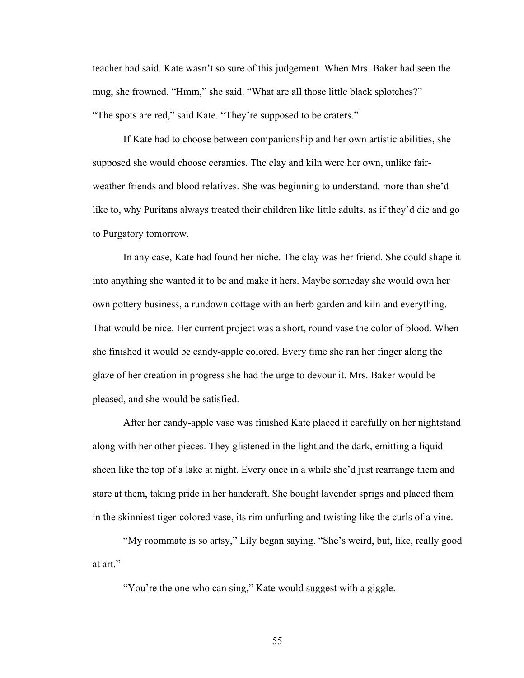teacher had said. Kate wasn't so sure of this judgement. When Mrs. Baker had seen the mug, she frowned. "Hmm," she said. "What are all those little black splotches?" "The spots are red," said Kate. "They're supposed to be craters."

If Kate had to choose between companionship and her own artistic abilities, she supposed she would choose ceramics. The clay and kiln were her own, unlike fairweather friends and blood relatives. She was beginning to understand, more than she'd like to, why Puritans always treated their children like little adults, as if they'd die and go to Purgatory tomorrow.

In any case, Kate had found her niche. The clay was her friend. She could shape it into anything she wanted it to be and make it hers. Maybe someday she would own her own pottery business, a rundown cottage with an herb garden and kiln and everything. That would be nice. Her current project was a short, round vase the color of blood. When she finished it would be candy-apple colored. Every time she ran her finger along the glaze of her creation in progress she had the urge to devour it. Mrs. Baker would be pleased, and she would be satisfied.

After her candy-apple vase was finished Kate placed it carefully on her nightstand along with her other pieces. They glistened in the light and the dark, emitting a liquid sheen like the top of a lake at night. Every once in a while she'd just rearrange them and stare at them, taking pride in her handcraft. She bought lavender sprigs and placed them in the skinniest tiger-colored vase, its rim unfurling and twisting like the curls of a vine.

"My roommate is so artsy," Lily began saying. "She's weird, but, like, really good at art."

"You're the one who can sing," Kate would suggest with a giggle.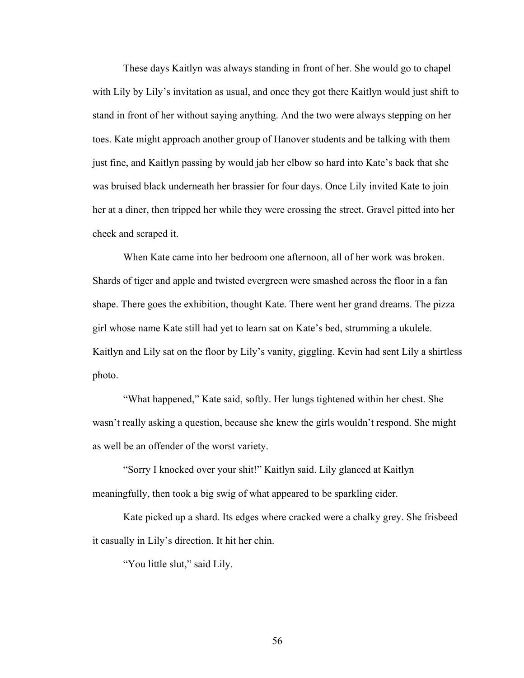These days Kaitlyn was always standing in front of her. She would go to chapel with Lily by Lily's invitation as usual, and once they got there Kaitlyn would just shift to stand in front of her without saying anything. And the two were always stepping on her toes. Kate might approach another group of Hanover students and be talking with them just fine, and Kaitlyn passing by would jab her elbow so hard into Kate's back that she was bruised black underneath her brassier for four days. Once Lily invited Kate to join her at a diner, then tripped her while they were crossing the street. Gravel pitted into her cheek and scraped it.

When Kate came into her bedroom one afternoon, all of her work was broken. Shards of tiger and apple and twisted evergreen were smashed across the floor in a fan shape. There goes the exhibition, thought Kate. There went her grand dreams. The pizza girl whose name Kate still had yet to learn sat on Kate's bed, strumming a ukulele. Kaitlyn and Lily sat on the floor by Lily's vanity, giggling. Kevin had sent Lily a shirtless photo.

"What happened," Kate said, softly. Her lungs tightened within her chest. She wasn't really asking a question, because she knew the girls wouldn't respond. She might as well be an offender of the worst variety.

"Sorry I knocked over your shit!" Kaitlyn said. Lily glanced at Kaitlyn meaningfully, then took a big swig of what appeared to be sparkling cider.

Kate picked up a shard. Its edges where cracked were a chalky grey. She frisbeed it casually in Lily's direction. It hit her chin.

"You little slut," said Lily.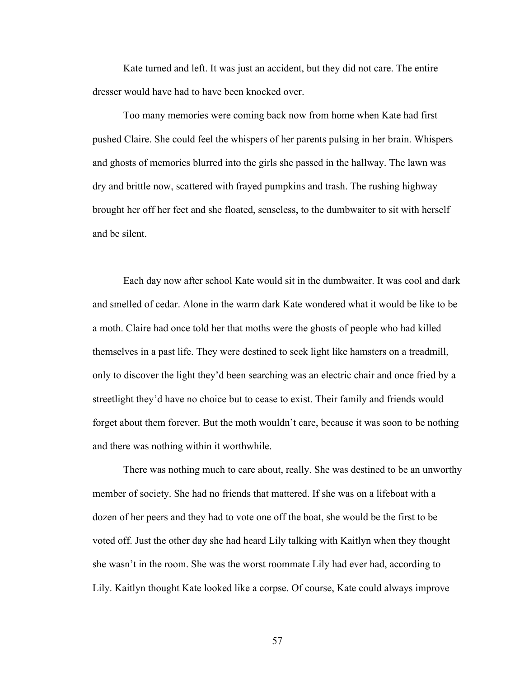Kate turned and left. It was just an accident, but they did not care. The entire dresser would have had to have been knocked over.

Too many memories were coming back now from home when Kate had first pushed Claire. She could feel the whispers of her parents pulsing in her brain. Whispers and ghosts of memories blurred into the girls she passed in the hallway. The lawn was dry and brittle now, scattered with frayed pumpkins and trash. The rushing highway brought her off her feet and she floated, senseless, to the dumbwaiter to sit with herself and be silent.

Each day now after school Kate would sit in the dumbwaiter. It was cool and dark and smelled of cedar. Alone in the warm dark Kate wondered what it would be like to be a moth. Claire had once told her that moths were the ghosts of people who had killed themselves in a past life. They were destined to seek light like hamsters on a treadmill, only to discover the light they'd been searching was an electric chair and once fried by a streetlight they'd have no choice but to cease to exist. Their family and friends would forget about them forever. But the moth wouldn't care, because it was soon to be nothing and there was nothing within it worthwhile.

There was nothing much to care about, really. She was destined to be an unworthy member of society. She had no friends that mattered. If she was on a lifeboat with a dozen of her peers and they had to vote one off the boat, she would be the first to be voted off. Just the other day she had heard Lily talking with Kaitlyn when they thought she wasn't in the room. She was the worst roommate Lily had ever had, according to Lily. Kaitlyn thought Kate looked like a corpse. Of course, Kate could always improve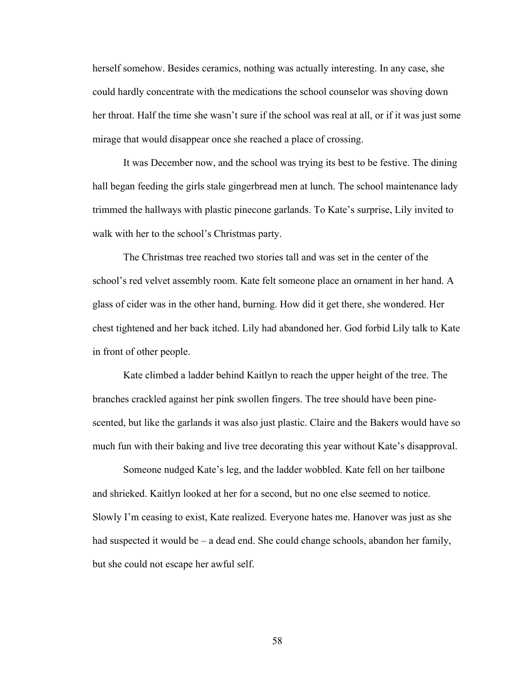herself somehow. Besides ceramics, nothing was actually interesting. In any case, she could hardly concentrate with the medications the school counselor was shoving down her throat. Half the time she wasn't sure if the school was real at all, or if it was just some mirage that would disappear once she reached a place of crossing.

It was December now, and the school was trying its best to be festive. The dining hall began feeding the girls stale gingerbread men at lunch. The school maintenance lady trimmed the hallways with plastic pinecone garlands. To Kate's surprise, Lily invited to walk with her to the school's Christmas party.

The Christmas tree reached two stories tall and was set in the center of the school's red velvet assembly room. Kate felt someone place an ornament in her hand. A glass of cider was in the other hand, burning. How did it get there, she wondered. Her chest tightened and her back itched. Lily had abandoned her. God forbid Lily talk to Kate in front of other people.

Kate climbed a ladder behind Kaitlyn to reach the upper height of the tree. The branches crackled against her pink swollen fingers. The tree should have been pinescented, but like the garlands it was also just plastic. Claire and the Bakers would have so much fun with their baking and live tree decorating this year without Kate's disapproval.

Someone nudged Kate's leg, and the ladder wobbled. Kate fell on her tailbone and shrieked. Kaitlyn looked at her for a second, but no one else seemed to notice. Slowly I'm ceasing to exist, Kate realized. Everyone hates me. Hanover was just as she had suspected it would be – a dead end. She could change schools, abandon her family, but she could not escape her awful self.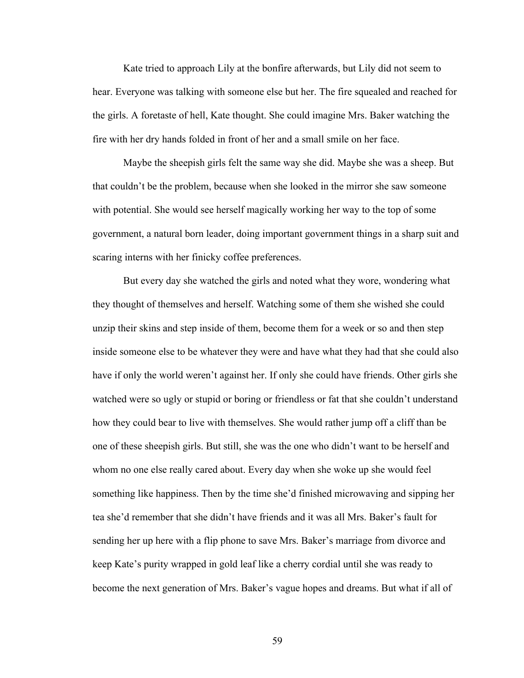Kate tried to approach Lily at the bonfire afterwards, but Lily did not seem to hear. Everyone was talking with someone else but her. The fire squealed and reached for the girls. A foretaste of hell, Kate thought. She could imagine Mrs. Baker watching the fire with her dry hands folded in front of her and a small smile on her face.

Maybe the sheepish girls felt the same way she did. Maybe she was a sheep. But that couldn't be the problem, because when she looked in the mirror she saw someone with potential. She would see herself magically working her way to the top of some government, a natural born leader, doing important government things in a sharp suit and scaring interns with her finicky coffee preferences.

But every day she watched the girls and noted what they wore, wondering what they thought of themselves and herself. Watching some of them she wished she could unzip their skins and step inside of them, become them for a week or so and then step inside someone else to be whatever they were and have what they had that she could also have if only the world weren't against her. If only she could have friends. Other girls she watched were so ugly or stupid or boring or friendless or fat that she couldn't understand how they could bear to live with themselves. She would rather jump off a cliff than be one of these sheepish girls. But still, she was the one who didn't want to be herself and whom no one else really cared about. Every day when she woke up she would feel something like happiness. Then by the time she'd finished microwaving and sipping her tea she'd remember that she didn't have friends and it was all Mrs. Baker's fault for sending her up here with a flip phone to save Mrs. Baker's marriage from divorce and keep Kate's purity wrapped in gold leaf like a cherry cordial until she was ready to become the next generation of Mrs. Baker's vague hopes and dreams. But what if all of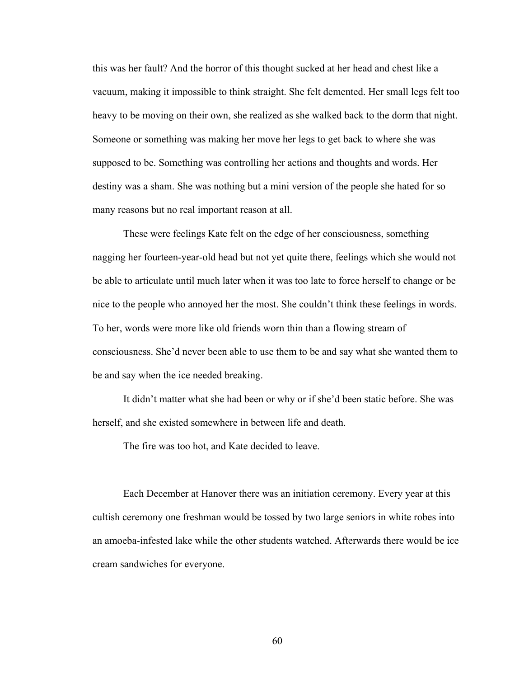this was her fault? And the horror of this thought sucked at her head and chest like a vacuum, making it impossible to think straight. She felt demented. Her small legs felt too heavy to be moving on their own, she realized as she walked back to the dorm that night. Someone or something was making her move her legs to get back to where she was supposed to be. Something was controlling her actions and thoughts and words. Her destiny was a sham. She was nothing but a mini version of the people she hated for so many reasons but no real important reason at all.

These were feelings Kate felt on the edge of her consciousness, something nagging her fourteen-year-old head but not yet quite there, feelings which she would not be able to articulate until much later when it was too late to force herself to change or be nice to the people who annoyed her the most. She couldn't think these feelings in words. To her, words were more like old friends worn thin than a flowing stream of consciousness. She'd never been able to use them to be and say what she wanted them to be and say when the ice needed breaking.

It didn't matter what she had been or why or if she'd been static before. She was herself, and she existed somewhere in between life and death.

The fire was too hot, and Kate decided to leave.

Each December at Hanover there was an initiation ceremony. Every year at this cultish ceremony one freshman would be tossed by two large seniors in white robes into an amoeba-infested lake while the other students watched. Afterwards there would be ice cream sandwiches for everyone.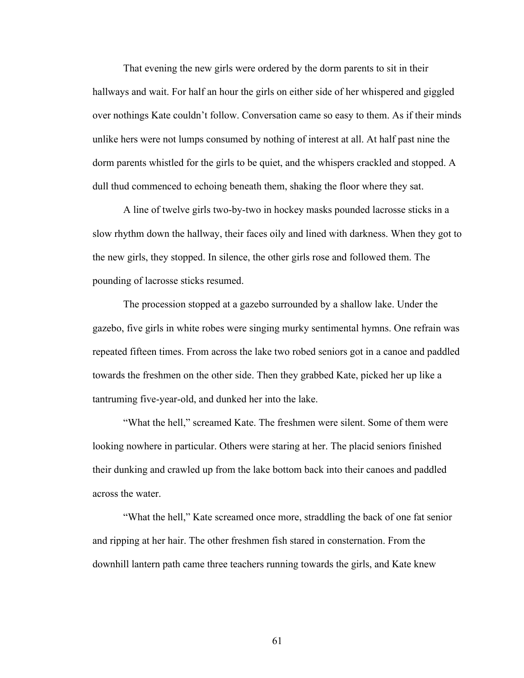That evening the new girls were ordered by the dorm parents to sit in their hallways and wait. For half an hour the girls on either side of her whispered and giggled over nothings Kate couldn't follow. Conversation came so easy to them. As if their minds unlike hers were not lumps consumed by nothing of interest at all. At half past nine the dorm parents whistled for the girls to be quiet, and the whispers crackled and stopped. A dull thud commenced to echoing beneath them, shaking the floor where they sat.

A line of twelve girls two-by-two in hockey masks pounded lacrosse sticks in a slow rhythm down the hallway, their faces oily and lined with darkness. When they got to the new girls, they stopped. In silence, the other girls rose and followed them. The pounding of lacrosse sticks resumed.

The procession stopped at a gazebo surrounded by a shallow lake. Under the gazebo, five girls in white robes were singing murky sentimental hymns. One refrain was repeated fifteen times. From across the lake two robed seniors got in a canoe and paddled towards the freshmen on the other side. Then they grabbed Kate, picked her up like a tantruming five-year-old, and dunked her into the lake.

"What the hell," screamed Kate. The freshmen were silent. Some of them were looking nowhere in particular. Others were staring at her. The placid seniors finished their dunking and crawled up from the lake bottom back into their canoes and paddled across the water.

"What the hell," Kate screamed once more, straddling the back of one fat senior and ripping at her hair. The other freshmen fish stared in consternation. From the downhill lantern path came three teachers running towards the girls, and Kate knew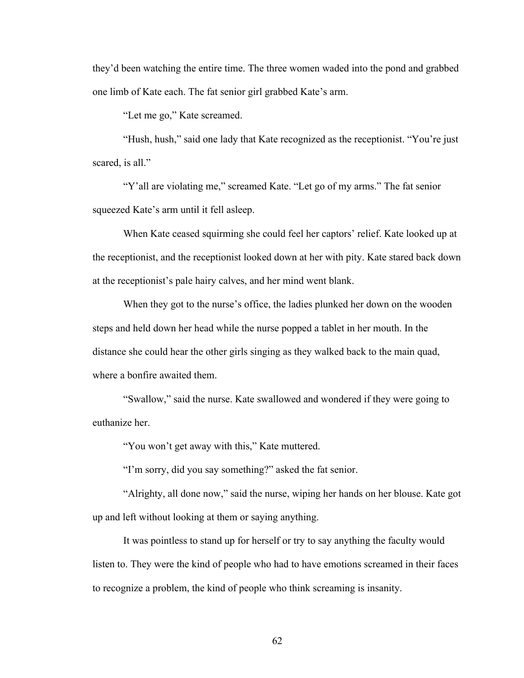they'd been watching the entire time. The three women waded into the pond and grabbed one limb of Kate each. The fat senior girl grabbed Kate's arm.

"Let me go," Kate screamed.

"Hush, hush," said one lady that Kate recognized as the receptionist. "You're just scared, is all."

"Y'all are violating me," screamed Kate. "Let go of my arms." The fat senior squeezed Kate's arm until it fell asleep.

When Kate ceased squirming she could feel her captors' relief. Kate looked up at the receptionist, and the receptionist looked down at her with pity. Kate stared back down at the receptionist's pale hairy calves, and her mind went blank.

When they got to the nurse's office, the ladies plunked her down on the wooden steps and held down her head while the nurse popped a tablet in her mouth. In the distance she could hear the other girls singing as they walked back to the main quad, where a bonfire awaited them.

"Swallow," said the nurse. Kate swallowed and wondered if they were going to euthanize her.

"You won't get away with this," Kate muttered.

"I'm sorry, did you say something?" asked the fat senior.

"Alrighty, all done now," said the nurse, wiping her hands on her blouse. Kate got up and left without looking at them or saying anything.

It was pointless to stand up for herself or try to say anything the faculty would listen to. They were the kind of people who had to have emotions screamed in their faces to recognize a problem, the kind of people who think screaming is insanity.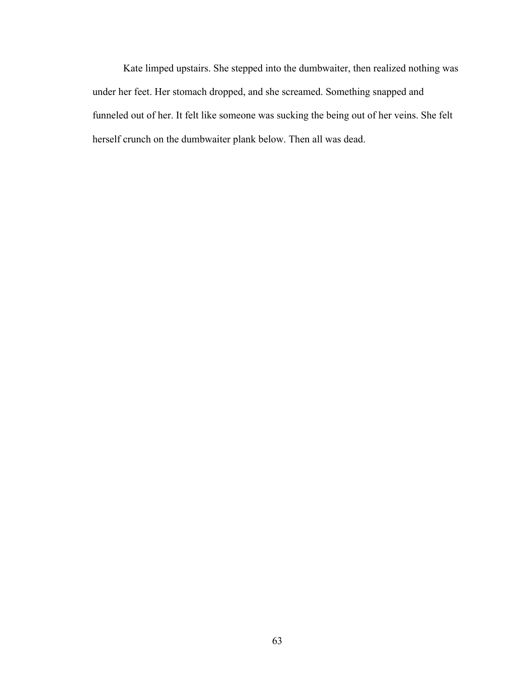Kate limped upstairs. She stepped into the dumbwaiter, then realized nothing was under her feet. Her stomach dropped, and she screamed. Something snapped and funneled out of her. It felt like someone was sucking the being out of her veins. She felt herself crunch on the dumbwaiter plank below. Then all was dead.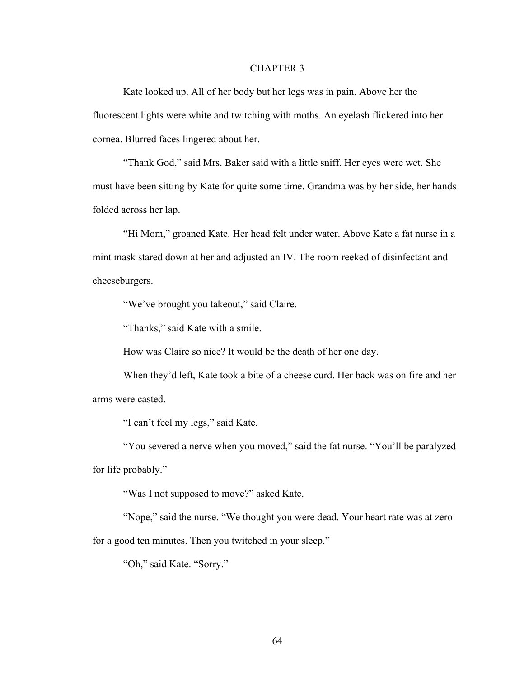## CHAPTER 3

Kate looked up. All of her body but her legs was in pain. Above her the fluorescent lights were white and twitching with moths. An eyelash flickered into her cornea. Blurred faces lingered about her.

"Thank God," said Mrs. Baker said with a little sniff. Her eyes were wet. She must have been sitting by Kate for quite some time. Grandma was by her side, her hands folded across her lap.

"Hi Mom," groaned Kate. Her head felt under water. Above Kate a fat nurse in a mint mask stared down at her and adjusted an IV. The room reeked of disinfectant and cheeseburgers.

"We've brought you takeout," said Claire.

"Thanks," said Kate with a smile.

How was Claire so nice? It would be the death of her one day.

When they'd left, Kate took a bite of a cheese curd. Her back was on fire and her arms were casted.

"I can't feel my legs," said Kate.

"You severed a nerve when you moved," said the fat nurse. "You'll be paralyzed for life probably."

"Was I not supposed to move?" asked Kate.

"Nope," said the nurse. "We thought you were dead. Your heart rate was at zero for a good ten minutes. Then you twitched in your sleep."

"Oh," said Kate. "Sorry."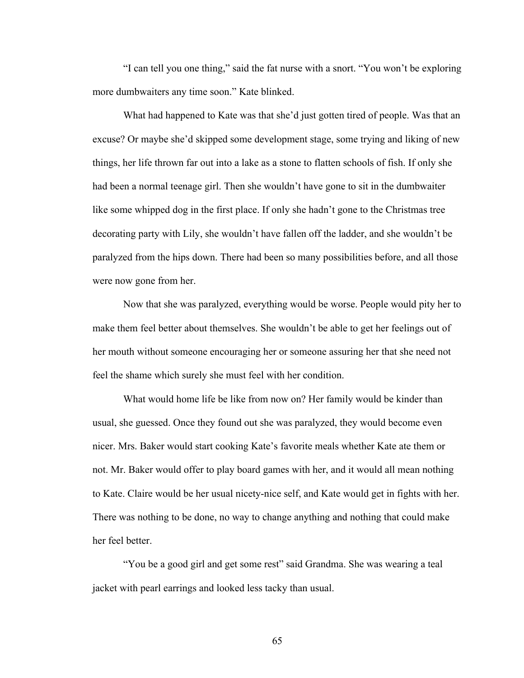"I can tell you one thing," said the fat nurse with a snort. "You won't be exploring more dumbwaiters any time soon." Kate blinked.

What had happened to Kate was that she'd just gotten tired of people. Was that an excuse? Or maybe she'd skipped some development stage, some trying and liking of new things, her life thrown far out into a lake as a stone to flatten schools of fish. If only she had been a normal teenage girl. Then she wouldn't have gone to sit in the dumbwaiter like some whipped dog in the first place. If only she hadn't gone to the Christmas tree decorating party with Lily, she wouldn't have fallen off the ladder, and she wouldn't be paralyzed from the hips down. There had been so many possibilities before, and all those were now gone from her.

Now that she was paralyzed, everything would be worse. People would pity her to make them feel better about themselves. She wouldn't be able to get her feelings out of her mouth without someone encouraging her or someone assuring her that she need not feel the shame which surely she must feel with her condition.

What would home life be like from now on? Her family would be kinder than usual, she guessed. Once they found out she was paralyzed, they would become even nicer. Mrs. Baker would start cooking Kate's favorite meals whether Kate ate them or not. Mr. Baker would offer to play board games with her, and it would all mean nothing to Kate. Claire would be her usual nicety-nice self, and Kate would get in fights with her. There was nothing to be done, no way to change anything and nothing that could make her feel better.

"You be a good girl and get some rest" said Grandma. She was wearing a teal jacket with pearl earrings and looked less tacky than usual.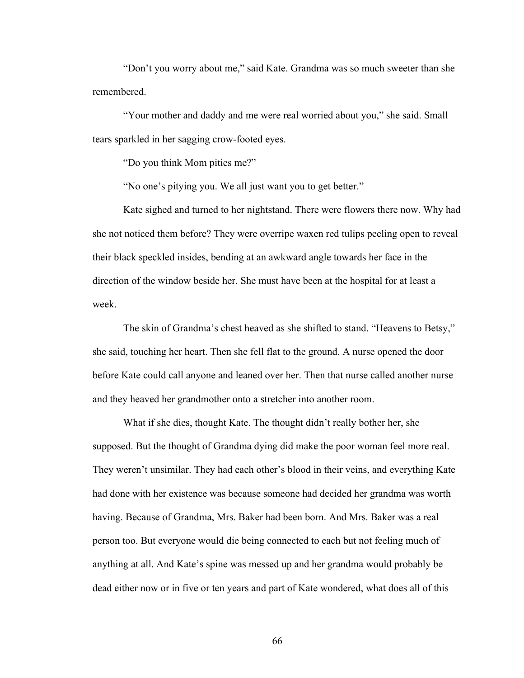"Don't you worry about me," said Kate. Grandma was so much sweeter than she remembered.

"Your mother and daddy and me were real worried about you," she said. Small tears sparkled in her sagging crow-footed eyes.

"Do you think Mom pities me?"

"No one's pitying you. We all just want you to get better."

Kate sighed and turned to her nightstand. There were flowers there now. Why had she not noticed them before? They were overripe waxen red tulips peeling open to reveal their black speckled insides, bending at an awkward angle towards her face in the direction of the window beside her. She must have been at the hospital for at least a week.

The skin of Grandma's chest heaved as she shifted to stand. "Heavens to Betsy," she said, touching her heart. Then she fell flat to the ground. A nurse opened the door before Kate could call anyone and leaned over her. Then that nurse called another nurse and they heaved her grandmother onto a stretcher into another room.

What if she dies, thought Kate. The thought didn't really bother her, she supposed. But the thought of Grandma dying did make the poor woman feel more real. They weren't unsimilar. They had each other's blood in their veins, and everything Kate had done with her existence was because someone had decided her grandma was worth having. Because of Grandma, Mrs. Baker had been born. And Mrs. Baker was a real person too. But everyone would die being connected to each but not feeling much of anything at all. And Kate's spine was messed up and her grandma would probably be dead either now or in five or ten years and part of Kate wondered, what does all of this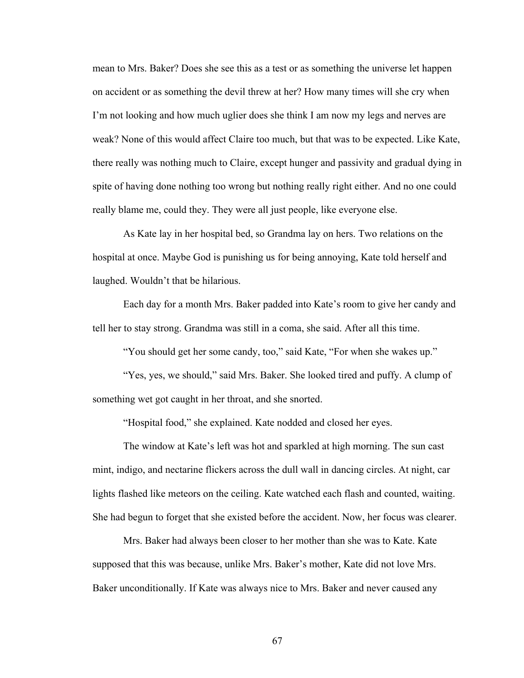mean to Mrs. Baker? Does she see this as a test or as something the universe let happen on accident or as something the devil threw at her? How many times will she cry when I'm not looking and how much uglier does she think I am now my legs and nerves are weak? None of this would affect Claire too much, but that was to be expected. Like Kate, there really was nothing much to Claire, except hunger and passivity and gradual dying in spite of having done nothing too wrong but nothing really right either. And no one could really blame me, could they. They were all just people, like everyone else.

As Kate lay in her hospital bed, so Grandma lay on hers. Two relations on the hospital at once. Maybe God is punishing us for being annoying, Kate told herself and laughed. Wouldn't that be hilarious.

Each day for a month Mrs. Baker padded into Kate's room to give her candy and tell her to stay strong. Grandma was still in a coma, she said. After all this time.

"You should get her some candy, too," said Kate, "For when she wakes up."

"Yes, yes, we should," said Mrs. Baker. She looked tired and puffy. A clump of something wet got caught in her throat, and she snorted.

"Hospital food," she explained. Kate nodded and closed her eyes.

The window at Kate's left was hot and sparkled at high morning. The sun cast mint, indigo, and nectarine flickers across the dull wall in dancing circles. At night, car lights flashed like meteors on the ceiling. Kate watched each flash and counted, waiting. She had begun to forget that she existed before the accident. Now, her focus was clearer.

Mrs. Baker had always been closer to her mother than she was to Kate. Kate supposed that this was because, unlike Mrs. Baker's mother, Kate did not love Mrs. Baker unconditionally. If Kate was always nice to Mrs. Baker and never caused any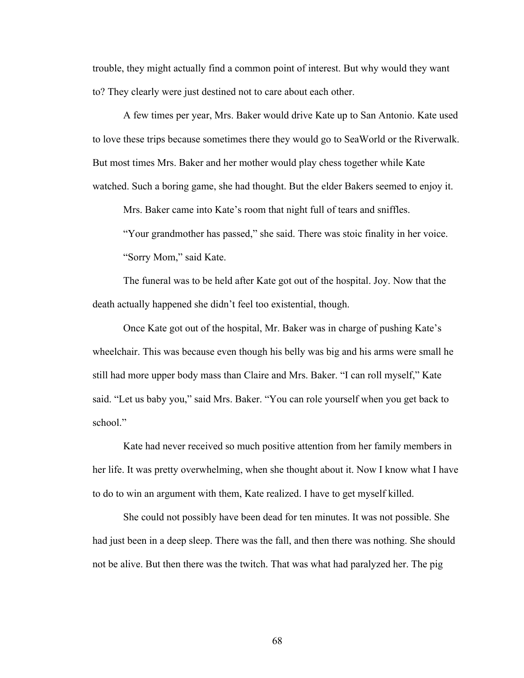trouble, they might actually find a common point of interest. But why would they want to? They clearly were just destined not to care about each other.

A few times per year, Mrs. Baker would drive Kate up to San Antonio. Kate used to love these trips because sometimes there they would go to SeaWorld or the Riverwalk. But most times Mrs. Baker and her mother would play chess together while Kate watched. Such a boring game, she had thought. But the elder Bakers seemed to enjoy it.

Mrs. Baker came into Kate's room that night full of tears and sniffles.

"Your grandmother has passed," she said. There was stoic finality in her voice. "Sorry Mom," said Kate.

The funeral was to be held after Kate got out of the hospital. Joy. Now that the death actually happened she didn't feel too existential, though.

Once Kate got out of the hospital, Mr. Baker was in charge of pushing Kate's wheelchair. This was because even though his belly was big and his arms were small he still had more upper body mass than Claire and Mrs. Baker. "I can roll myself," Kate said. "Let us baby you," said Mrs. Baker. "You can role yourself when you get back to school."

Kate had never received so much positive attention from her family members in her life. It was pretty overwhelming, when she thought about it. Now I know what I have to do to win an argument with them, Kate realized. I have to get myself killed.

She could not possibly have been dead for ten minutes. It was not possible. She had just been in a deep sleep. There was the fall, and then there was nothing. She should not be alive. But then there was the twitch. That was what had paralyzed her. The pig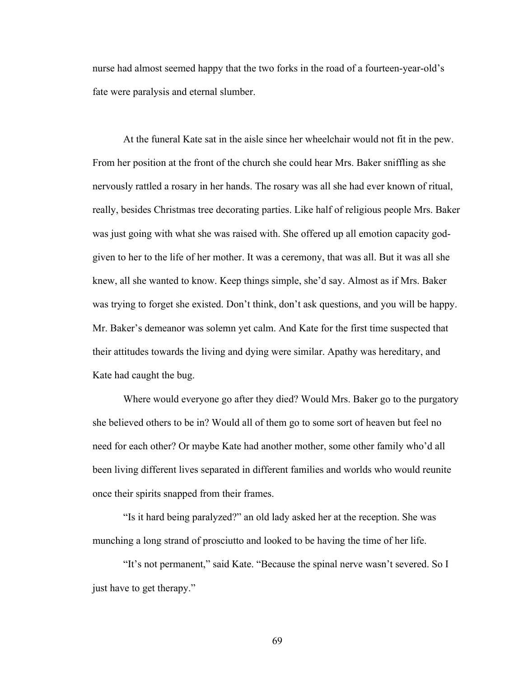nurse had almost seemed happy that the two forks in the road of a fourteen-year-old's fate were paralysis and eternal slumber.

At the funeral Kate sat in the aisle since her wheelchair would not fit in the pew. From her position at the front of the church she could hear Mrs. Baker sniffling as she nervously rattled a rosary in her hands. The rosary was all she had ever known of ritual, really, besides Christmas tree decorating parties. Like half of religious people Mrs. Baker was just going with what she was raised with. She offered up all emotion capacity godgiven to her to the life of her mother. It was a ceremony, that was all. But it was all she knew, all she wanted to know. Keep things simple, she'd say. Almost as if Mrs. Baker was trying to forget she existed. Don't think, don't ask questions, and you will be happy. Mr. Baker's demeanor was solemn yet calm. And Kate for the first time suspected that their attitudes towards the living and dying were similar. Apathy was hereditary, and Kate had caught the bug.

Where would everyone go after they died? Would Mrs. Baker go to the purgatory she believed others to be in? Would all of them go to some sort of heaven but feel no need for each other? Or maybe Kate had another mother, some other family who'd all been living different lives separated in different families and worlds who would reunite once their spirits snapped from their frames.

"Is it hard being paralyzed?" an old lady asked her at the reception. She was munching a long strand of prosciutto and looked to be having the time of her life.

"It's not permanent," said Kate. "Because the spinal nerve wasn't severed. So I just have to get therapy."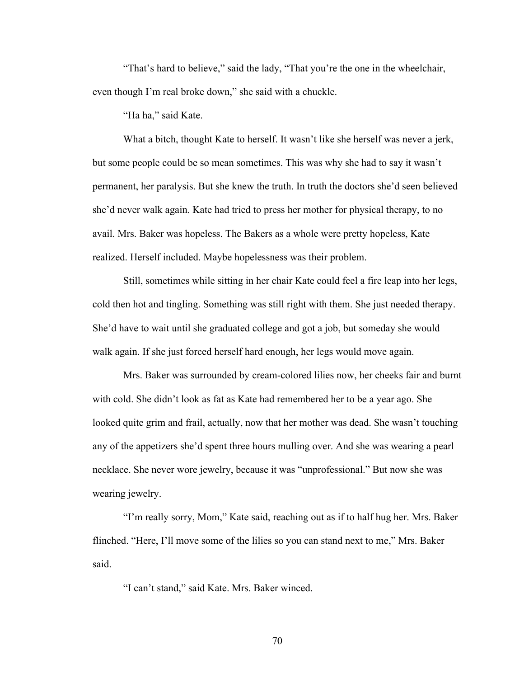"That's hard to believe," said the lady, "That you're the one in the wheelchair, even though I'm real broke down," she said with a chuckle.

"Ha ha," said Kate.

What a bitch, thought Kate to herself. It wasn't like she herself was never a jerk, but some people could be so mean sometimes. This was why she had to say it wasn't permanent, her paralysis. But she knew the truth. In truth the doctors she'd seen believed she'd never walk again. Kate had tried to press her mother for physical therapy, to no avail. Mrs. Baker was hopeless. The Bakers as a whole were pretty hopeless, Kate realized. Herself included. Maybe hopelessness was their problem.

Still, sometimes while sitting in her chair Kate could feel a fire leap into her legs, cold then hot and tingling. Something was still right with them. She just needed therapy. She'd have to wait until she graduated college and got a job, but someday she would walk again. If she just forced herself hard enough, her legs would move again.

Mrs. Baker was surrounded by cream-colored lilies now, her cheeks fair and burnt with cold. She didn't look as fat as Kate had remembered her to be a year ago. She looked quite grim and frail, actually, now that her mother was dead. She wasn't touching any of the appetizers she'd spent three hours mulling over. And she was wearing a pearl necklace. She never wore jewelry, because it was "unprofessional." But now she was wearing jewelry.

"I'm really sorry, Mom," Kate said, reaching out as if to half hug her. Mrs. Baker flinched. "Here, I'll move some of the lilies so you can stand next to me," Mrs. Baker said.

"I can't stand," said Kate. Mrs. Baker winced.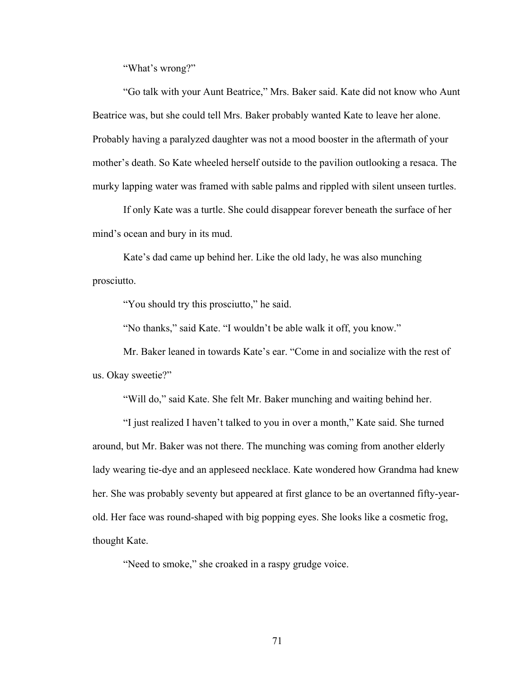"What's wrong?"

"Go talk with your Aunt Beatrice," Mrs. Baker said. Kate did not know who Aunt Beatrice was, but she could tell Mrs. Baker probably wanted Kate to leave her alone. Probably having a paralyzed daughter was not a mood booster in the aftermath of your mother's death. So Kate wheeled herself outside to the pavilion outlooking a resaca. The murky lapping water was framed with sable palms and rippled with silent unseen turtles.

If only Kate was a turtle. She could disappear forever beneath the surface of her mind's ocean and bury in its mud.

Kate's dad came up behind her. Like the old lady, he was also munching prosciutto.

"You should try this prosciutto," he said.

"No thanks," said Kate. "I wouldn't be able walk it off, you know."

Mr. Baker leaned in towards Kate's ear. "Come in and socialize with the rest of us. Okay sweetie?"

"Will do," said Kate. She felt Mr. Baker munching and waiting behind her.

"I just realized I haven't talked to you in over a month," Kate said. She turned around, but Mr. Baker was not there. The munching was coming from another elderly lady wearing tie-dye and an appleseed necklace. Kate wondered how Grandma had knew her. She was probably seventy but appeared at first glance to be an overtanned fifty-yearold. Her face was round-shaped with big popping eyes. She looks like a cosmetic frog, thought Kate.

"Need to smoke," she croaked in a raspy grudge voice.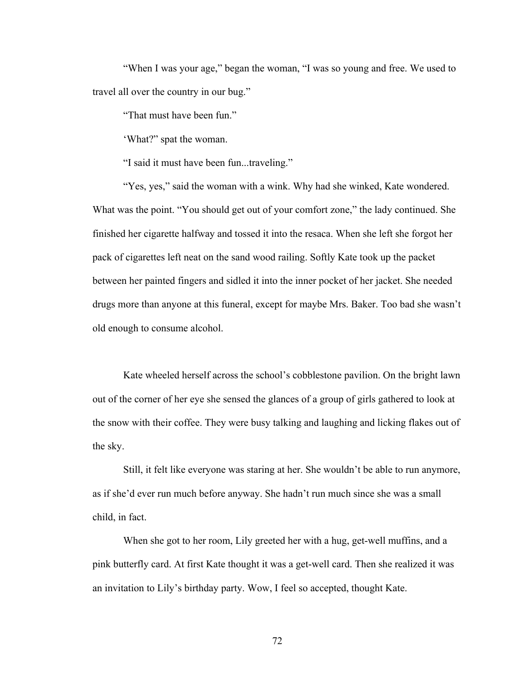"When I was your age," began the woman, "I was so young and free. We used to travel all over the country in our bug."

"That must have been fun."

'What?" spat the woman.

"I said it must have been fun...traveling."

"Yes, yes," said the woman with a wink. Why had she winked, Kate wondered. What was the point. "You should get out of your comfort zone," the lady continued. She finished her cigarette halfway and tossed it into the resaca. When she left she forgot her pack of cigarettes left neat on the sand wood railing. Softly Kate took up the packet between her painted fingers and sidled it into the inner pocket of her jacket. She needed drugs more than anyone at this funeral, except for maybe Mrs. Baker. Too bad she wasn't old enough to consume alcohol.

Kate wheeled herself across the school's cobblestone pavilion. On the bright lawn out of the corner of her eye she sensed the glances of a group of girls gathered to look at the snow with their coffee. They were busy talking and laughing and licking flakes out of the sky.

Still, it felt like everyone was staring at her. She wouldn't be able to run anymore, as if she'd ever run much before anyway. She hadn't run much since she was a small child, in fact.

When she got to her room, Lily greeted her with a hug, get-well muffins, and a pink butterfly card. At first Kate thought it was a get-well card. Then she realized it was an invitation to Lily's birthday party. Wow, I feel so accepted, thought Kate.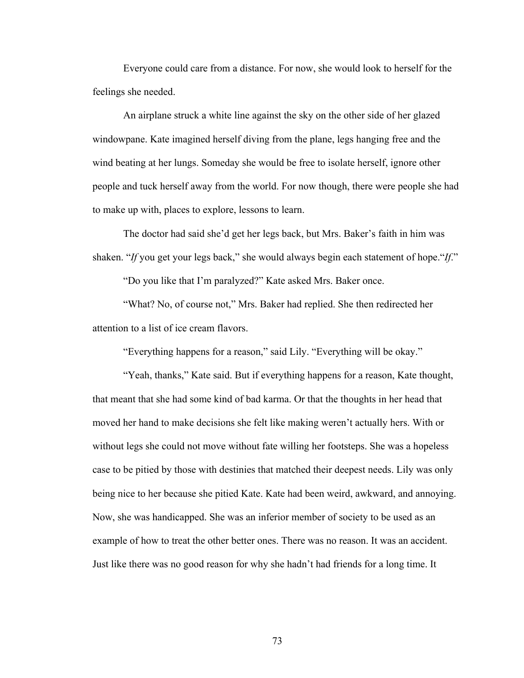Everyone could care from a distance. For now, she would look to herself for the feelings she needed.

An airplane struck a white line against the sky on the other side of her glazed windowpane. Kate imagined herself diving from the plane, legs hanging free and the wind beating at her lungs. Someday she would be free to isolate herself, ignore other people and tuck herself away from the world. For now though, there were people she had to make up with, places to explore, lessons to learn.

The doctor had said she'd get her legs back, but Mrs. Baker's faith in him was shaken. "*If* you get your legs back," she would always begin each statement of hope."*If*."

"Do you like that I'm paralyzed?" Kate asked Mrs. Baker once.

"What? No, of course not," Mrs. Baker had replied. She then redirected her attention to a list of ice cream flavors.

"Everything happens for a reason," said Lily. "Everything will be okay."

"Yeah, thanks," Kate said. But if everything happens for a reason, Kate thought, that meant that she had some kind of bad karma. Or that the thoughts in her head that moved her hand to make decisions she felt like making weren't actually hers. With or without legs she could not move without fate willing her footsteps. She was a hopeless case to be pitied by those with destinies that matched their deepest needs. Lily was only being nice to her because she pitied Kate. Kate had been weird, awkward, and annoying. Now, she was handicapped. She was an inferior member of society to be used as an example of how to treat the other better ones. There was no reason. It was an accident. Just like there was no good reason for why she hadn't had friends for a long time. It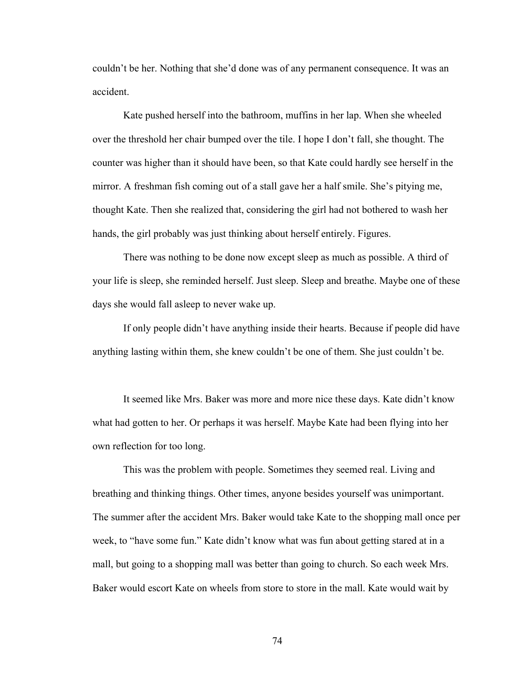couldn't be her. Nothing that she'd done was of any permanent consequence. It was an accident.

Kate pushed herself into the bathroom, muffins in her lap. When she wheeled over the threshold her chair bumped over the tile. I hope I don't fall, she thought. The counter was higher than it should have been, so that Kate could hardly see herself in the mirror. A freshman fish coming out of a stall gave her a half smile. She's pitying me, thought Kate. Then she realized that, considering the girl had not bothered to wash her hands, the girl probably was just thinking about herself entirely. Figures.

There was nothing to be done now except sleep as much as possible. A third of your life is sleep, she reminded herself. Just sleep. Sleep and breathe. Maybe one of these days she would fall asleep to never wake up.

If only people didn't have anything inside their hearts. Because if people did have anything lasting within them, she knew couldn't be one of them. She just couldn't be.

It seemed like Mrs. Baker was more and more nice these days. Kate didn't know what had gotten to her. Or perhaps it was herself. Maybe Kate had been flying into her own reflection for too long.

This was the problem with people. Sometimes they seemed real. Living and breathing and thinking things. Other times, anyone besides yourself was unimportant. The summer after the accident Mrs. Baker would take Kate to the shopping mall once per week, to "have some fun." Kate didn't know what was fun about getting stared at in a mall, but going to a shopping mall was better than going to church. So each week Mrs. Baker would escort Kate on wheels from store to store in the mall. Kate would wait by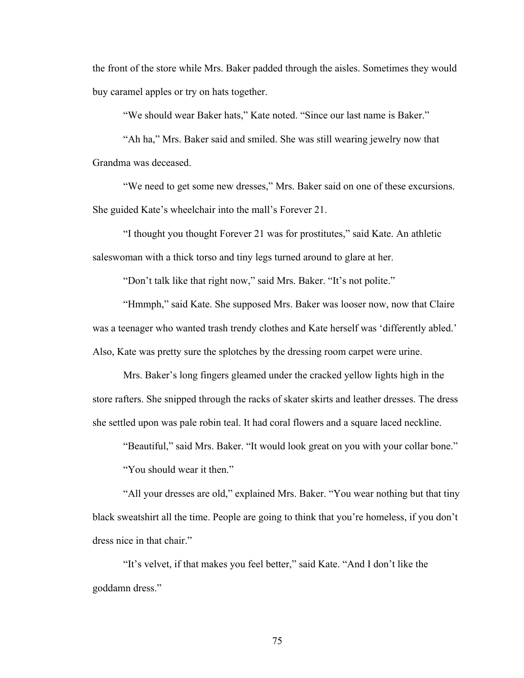the front of the store while Mrs. Baker padded through the aisles. Sometimes they would buy caramel apples or try on hats together.

"We should wear Baker hats," Kate noted. "Since our last name is Baker."

"Ah ha," Mrs. Baker said and smiled. She was still wearing jewelry now that Grandma was deceased.

"We need to get some new dresses," Mrs. Baker said on one of these excursions. She guided Kate's wheelchair into the mall's Forever 21.

"I thought you thought Forever 21 was for prostitutes," said Kate. An athletic saleswoman with a thick torso and tiny legs turned around to glare at her.

"Don't talk like that right now," said Mrs. Baker. "It's not polite."

"Hmmph," said Kate. She supposed Mrs. Baker was looser now, now that Claire was a teenager who wanted trash trendy clothes and Kate herself was 'differently abled.' Also, Kate was pretty sure the splotches by the dressing room carpet were urine.

Mrs. Baker's long fingers gleamed under the cracked yellow lights high in the store rafters. She snipped through the racks of skater skirts and leather dresses. The dress she settled upon was pale robin teal. It had coral flowers and a square laced neckline.

"Beautiful," said Mrs. Baker. "It would look great on you with your collar bone."

"You should wear it then."

"All your dresses are old," explained Mrs. Baker. "You wear nothing but that tiny black sweatshirt all the time. People are going to think that you're homeless, if you don't dress nice in that chair."

"It's velvet, if that makes you feel better," said Kate. "And I don't like the goddamn dress."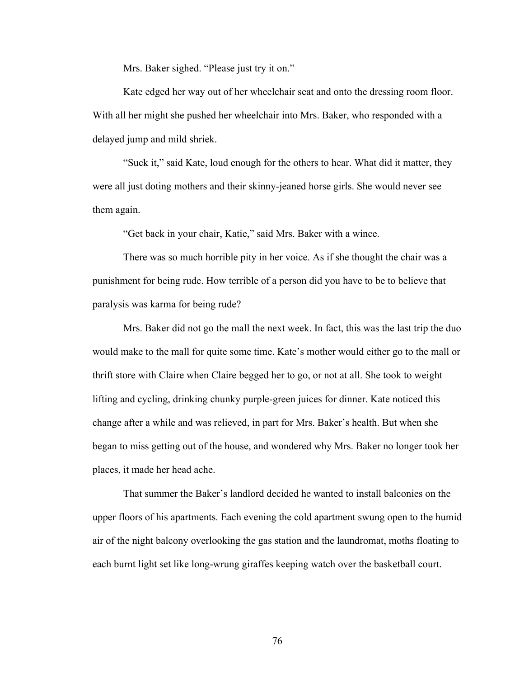Mrs. Baker sighed. "Please just try it on."

Kate edged her way out of her wheelchair seat and onto the dressing room floor. With all her might she pushed her wheelchair into Mrs. Baker, who responded with a delayed jump and mild shriek.

"Suck it," said Kate, loud enough for the others to hear. What did it matter, they were all just doting mothers and their skinny-jeaned horse girls. She would never see them again.

"Get back in your chair, Katie," said Mrs. Baker with a wince.

There was so much horrible pity in her voice. As if she thought the chair was a punishment for being rude. How terrible of a person did you have to be to believe that paralysis was karma for being rude?

Mrs. Baker did not go the mall the next week. In fact, this was the last trip the duo would make to the mall for quite some time. Kate's mother would either go to the mall or thrift store with Claire when Claire begged her to go, or not at all. She took to weight lifting and cycling, drinking chunky purple-green juices for dinner. Kate noticed this change after a while and was relieved, in part for Mrs. Baker's health. But when she began to miss getting out of the house, and wondered why Mrs. Baker no longer took her places, it made her head ache.

That summer the Baker's landlord decided he wanted to install balconies on the upper floors of his apartments. Each evening the cold apartment swung open to the humid air of the night balcony overlooking the gas station and the laundromat, moths floating to each burnt light set like long-wrung giraffes keeping watch over the basketball court.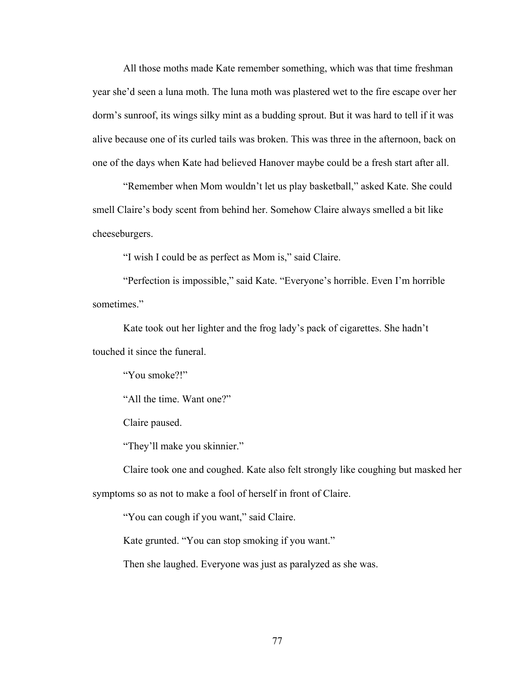All those moths made Kate remember something, which was that time freshman year she'd seen a luna moth. The luna moth was plastered wet to the fire escape over her dorm's sunroof, its wings silky mint as a budding sprout. But it was hard to tell if it was alive because one of its curled tails was broken. This was three in the afternoon, back on one of the days when Kate had believed Hanover maybe could be a fresh start after all.

"Remember when Mom wouldn't let us play basketball," asked Kate. She could smell Claire's body scent from behind her. Somehow Claire always smelled a bit like cheeseburgers.

"I wish I could be as perfect as Mom is," said Claire.

"Perfection is impossible," said Kate. "Everyone's horrible. Even I'm horrible sometimes."

Kate took out her lighter and the frog lady's pack of cigarettes. She hadn't touched it since the funeral.

"You smoke?!"

"All the time. Want one?"

Claire paused.

"They'll make you skinnier."

Claire took one and coughed. Kate also felt strongly like coughing but masked her symptoms so as not to make a fool of herself in front of Claire.

"You can cough if you want," said Claire.

Kate grunted. "You can stop smoking if you want."

Then she laughed. Everyone was just as paralyzed as she was.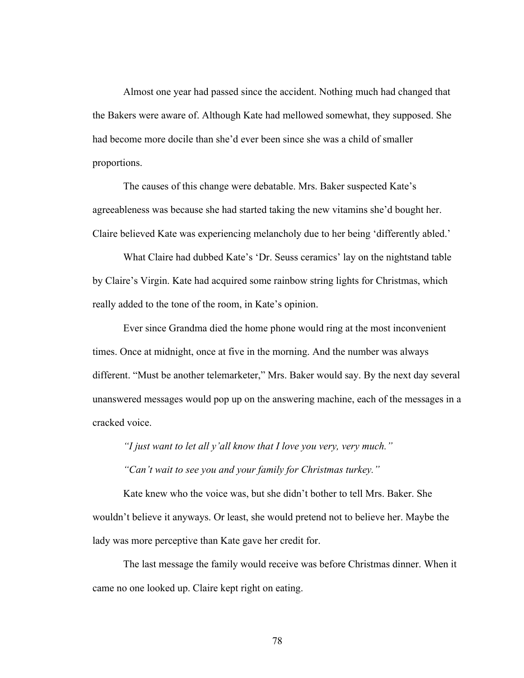Almost one year had passed since the accident. Nothing much had changed that the Bakers were aware of. Although Kate had mellowed somewhat, they supposed. She had become more docile than she'd ever been since she was a child of smaller proportions.

The causes of this change were debatable. Mrs. Baker suspected Kate's agreeableness was because she had started taking the new vitamins she'd bought her. Claire believed Kate was experiencing melancholy due to her being 'differently abled.'

What Claire had dubbed Kate's 'Dr. Seuss ceramics' lay on the nightstand table by Claire's Virgin. Kate had acquired some rainbow string lights for Christmas, which really added to the tone of the room, in Kate's opinion.

Ever since Grandma died the home phone would ring at the most inconvenient times. Once at midnight, once at five in the morning. And the number was always different. "Must be another telemarketer," Mrs. Baker would say. By the next day several unanswered messages would pop up on the answering machine, each of the messages in a cracked voice.

*"I just want to let all y'all know that I love you very, very much."*

*"Can't wait to see you and your family for Christmas turkey."*

Kate knew who the voice was, but she didn't bother to tell Mrs. Baker. She wouldn't believe it anyways. Or least, she would pretend not to believe her. Maybe the lady was more perceptive than Kate gave her credit for.

The last message the family would receive was before Christmas dinner. When it came no one looked up. Claire kept right on eating.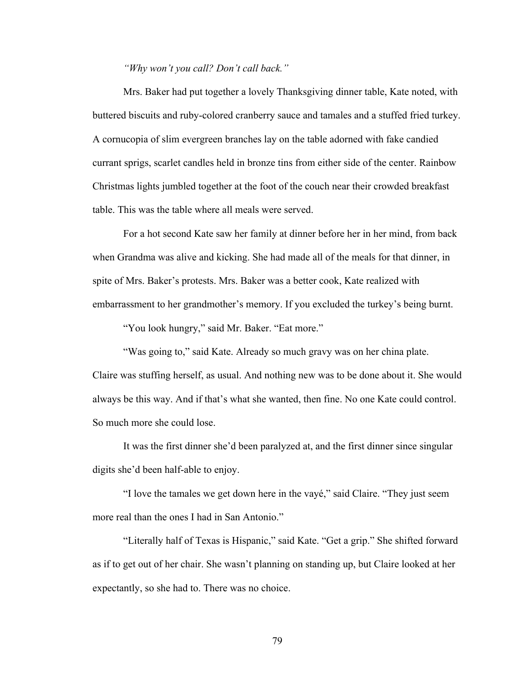*"Why won't you call? Don't call back."*

Mrs. Baker had put together a lovely Thanksgiving dinner table, Kate noted, with buttered biscuits and ruby-colored cranberry sauce and tamales and a stuffed fried turkey. A cornucopia of slim evergreen branches lay on the table adorned with fake candied currant sprigs, scarlet candles held in bronze tins from either side of the center. Rainbow Christmas lights jumbled together at the foot of the couch near their crowded breakfast table. This was the table where all meals were served.

For a hot second Kate saw her family at dinner before her in her mind, from back when Grandma was alive and kicking. She had made all of the meals for that dinner, in spite of Mrs. Baker's protests. Mrs. Baker was a better cook, Kate realized with embarrassment to her grandmother's memory. If you excluded the turkey's being burnt.

"You look hungry," said Mr. Baker. "Eat more."

"Was going to," said Kate. Already so much gravy was on her china plate.

Claire was stuffing herself, as usual. And nothing new was to be done about it. She would always be this way. And if that's what she wanted, then fine. No one Kate could control. So much more she could lose.

It was the first dinner she'd been paralyzed at, and the first dinner since singular digits she'd been half-able to enjoy.

"I love the tamales we get down here in the vayé," said Claire. "They just seem more real than the ones I had in San Antonio."

"Literally half of Texas is Hispanic," said Kate. "Get a grip." She shifted forward as if to get out of her chair. She wasn't planning on standing up, but Claire looked at her expectantly, so she had to. There was no choice.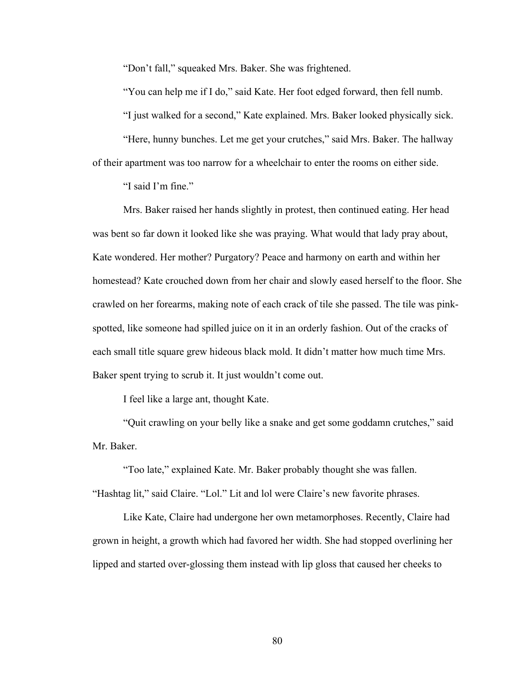"Don't fall," squeaked Mrs. Baker. She was frightened.

"You can help me if I do," said Kate. Her foot edged forward, then fell numb.

"I just walked for a second," Kate explained. Mrs. Baker looked physically sick.

"Here, hunny bunches. Let me get your crutches," said Mrs. Baker. The hallway of their apartment was too narrow for a wheelchair to enter the rooms on either side.

"I said I'm fine."

Mrs. Baker raised her hands slightly in protest, then continued eating. Her head was bent so far down it looked like she was praying. What would that lady pray about, Kate wondered. Her mother? Purgatory? Peace and harmony on earth and within her homestead? Kate crouched down from her chair and slowly eased herself to the floor. She crawled on her forearms, making note of each crack of tile she passed. The tile was pinkspotted, like someone had spilled juice on it in an orderly fashion. Out of the cracks of each small title square grew hideous black mold. It didn't matter how much time Mrs. Baker spent trying to scrub it. It just wouldn't come out.

I feel like a large ant, thought Kate.

"Quit crawling on your belly like a snake and get some goddamn crutches," said Mr. Baker.

"Too late," explained Kate. Mr. Baker probably thought she was fallen.

"Hashtag lit," said Claire. "Lol." Lit and lol were Claire's new favorite phrases.

Like Kate, Claire had undergone her own metamorphoses. Recently, Claire had grown in height, a growth which had favored her width. She had stopped overlining her lipped and started over-glossing them instead with lip gloss that caused her cheeks to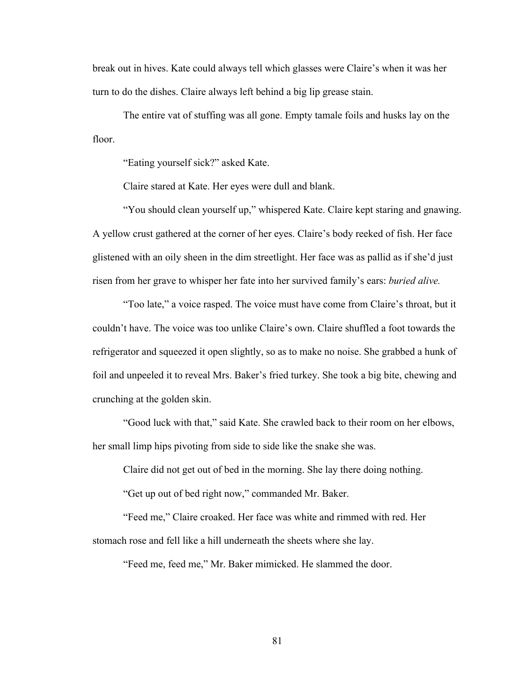break out in hives. Kate could always tell which glasses were Claire's when it was her turn to do the dishes. Claire always left behind a big lip grease stain.

The entire vat of stuffing was all gone. Empty tamale foils and husks lay on the floor.

"Eating yourself sick?" asked Kate.

Claire stared at Kate. Her eyes were dull and blank.

"You should clean yourself up," whispered Kate. Claire kept staring and gnawing. A yellow crust gathered at the corner of her eyes. Claire's body reeked of fish. Her face glistened with an oily sheen in the dim streetlight. Her face was as pallid as if she'd just risen from her grave to whisper her fate into her survived family's ears: *buried alive.*

"Too late," a voice rasped. The voice must have come from Claire's throat, but it couldn't have. The voice was too unlike Claire's own. Claire shuffled a foot towards the refrigerator and squeezed it open slightly, so as to make no noise. She grabbed a hunk of foil and unpeeled it to reveal Mrs. Baker's fried turkey. She took a big bite, chewing and crunching at the golden skin.

"Good luck with that," said Kate. She crawled back to their room on her elbows, her small limp hips pivoting from side to side like the snake she was.

Claire did not get out of bed in the morning. She lay there doing nothing.

"Get up out of bed right now," commanded Mr. Baker.

"Feed me," Claire croaked. Her face was white and rimmed with red. Her stomach rose and fell like a hill underneath the sheets where she lay.

"Feed me, feed me," Mr. Baker mimicked. He slammed the door.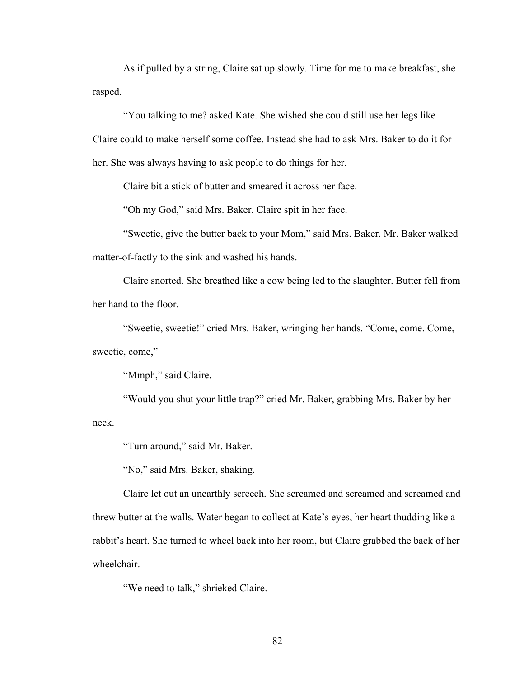As if pulled by a string, Claire sat up slowly. Time for me to make breakfast, she rasped.

"You talking to me? asked Kate. She wished she could still use her legs like Claire could to make herself some coffee. Instead she had to ask Mrs. Baker to do it for her. She was always having to ask people to do things for her.

Claire bit a stick of butter and smeared it across her face.

"Oh my God," said Mrs. Baker. Claire spit in her face.

"Sweetie, give the butter back to your Mom," said Mrs. Baker. Mr. Baker walked matter-of-factly to the sink and washed his hands.

Claire snorted. She breathed like a cow being led to the slaughter. Butter fell from her hand to the floor.

"Sweetie, sweetie!" cried Mrs. Baker, wringing her hands. "Come, come. Come, sweetie, come,"

"Mmph," said Claire.

"Would you shut your little trap?" cried Mr. Baker, grabbing Mrs. Baker by her neck.

"Turn around," said Mr. Baker.

"No," said Mrs. Baker, shaking.

Claire let out an unearthly screech. She screamed and screamed and screamed and threw butter at the walls. Water began to collect at Kate's eyes, her heart thudding like a rabbit's heart. She turned to wheel back into her room, but Claire grabbed the back of her wheelchair.

"We need to talk," shrieked Claire.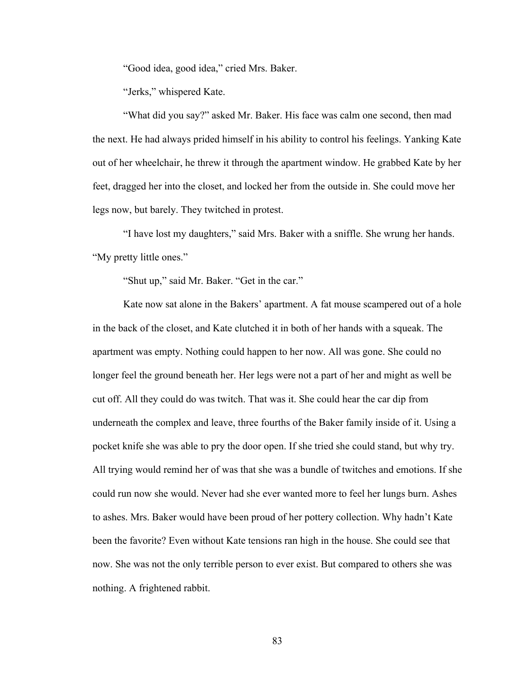"Good idea, good idea," cried Mrs. Baker.

"Jerks," whispered Kate.

"What did you say?" asked Mr. Baker. His face was calm one second, then mad the next. He had always prided himself in his ability to control his feelings. Yanking Kate out of her wheelchair, he threw it through the apartment window. He grabbed Kate by her feet, dragged her into the closet, and locked her from the outside in. She could move her legs now, but barely. They twitched in protest.

"I have lost my daughters," said Mrs. Baker with a sniffle. She wrung her hands. "My pretty little ones."

"Shut up," said Mr. Baker. "Get in the car."

Kate now sat alone in the Bakers' apartment. A fat mouse scampered out of a hole in the back of the closet, and Kate clutched it in both of her hands with a squeak. The apartment was empty. Nothing could happen to her now. All was gone. She could no longer feel the ground beneath her. Her legs were not a part of her and might as well be cut off. All they could do was twitch. That was it. She could hear the car dip from underneath the complex and leave, three fourths of the Baker family inside of it. Using a pocket knife she was able to pry the door open. If she tried she could stand, but why try. All trying would remind her of was that she was a bundle of twitches and emotions. If she could run now she would. Never had she ever wanted more to feel her lungs burn. Ashes to ashes. Mrs. Baker would have been proud of her pottery collection. Why hadn't Kate been the favorite? Even without Kate tensions ran high in the house. She could see that now. She was not the only terrible person to ever exist. But compared to others she was nothing. A frightened rabbit.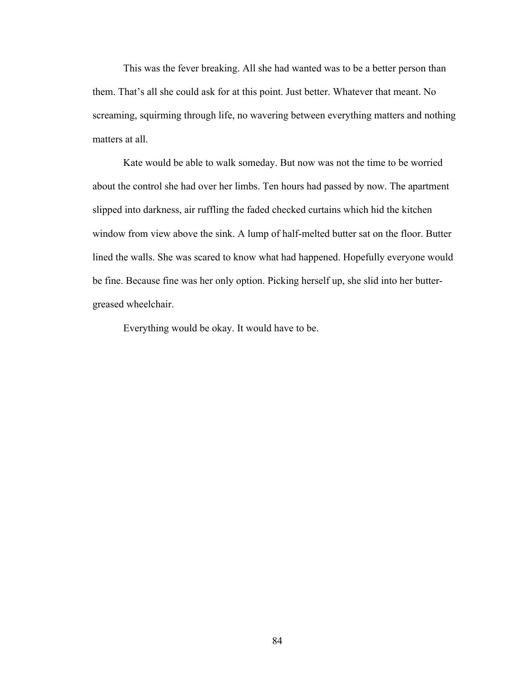This was the fever breaking. All she had wanted was to be a better person than them. That's all she could ask for at this point. Just better. Whatever that meant. No screaming, squirming through life, no wavering between everything matters and nothing matters at all.

Kate would be able to walk someday. But now was not the time to be worried about the control she had over her limbs. Ten hours had passed by now. The apartment slipped into darkness, air ruffling the faded checked curtains which hid the kitchen window from view above the sink. A lump of half-melted butter sat on the floor. Butter lined the walls. She was scared to know what had happened. Hopefully everyone would be fine. Because fine was her only option. Picking herself up, she slid into her buttergreased wheelchair.

Everything would be okay. It would have to be.